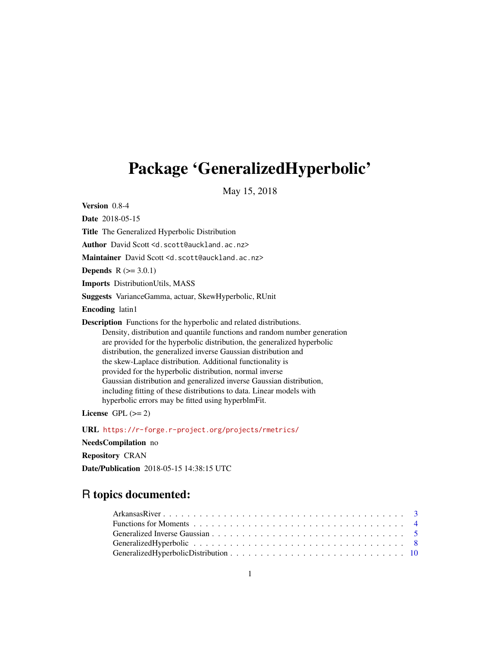# <span id="page-0-0"></span>Package 'GeneralizedHyperbolic'

May 15, 2018

Version 0.8-4

Date 2018-05-15 Title The Generalized Hyperbolic Distribution Author David Scott <d.scott@auckland.ac.nz> Maintainer David Scott <d.scott@auckland.ac.nz> **Depends**  $R (= 3.0.1)$ Imports DistributionUtils, MASS Suggests VarianceGamma, actuar, SkewHyperbolic, RUnit Encoding latin1 Description Functions for the hyperbolic and related distributions. Density, distribution and quantile functions and random number generation are provided for the hyperbolic distribution, the generalized hyperbolic distribution, the generalized inverse Gaussian distribution and the skew-Laplace distribution. Additional functionality is provided for the hyperbolic distribution, normal inverse Gaussian distribution and generalized inverse Gaussian distribution, including fitting of these distributions to data. Linear models with hyperbolic errors may be fitted using hyperblmFit.

License GPL  $(>= 2)$ 

URL <https://r-forge.r-project.org/projects/rmetrics/>

NeedsCompilation no

Repository CRAN

Date/Publication 2018-05-15 14:38:15 UTC

# R topics documented: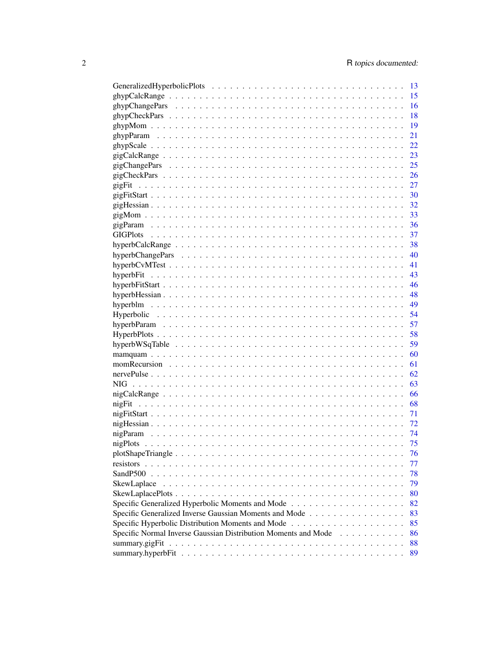|                                                                     | 13 |
|---------------------------------------------------------------------|----|
|                                                                     | 15 |
|                                                                     | 16 |
|                                                                     | 18 |
|                                                                     | 19 |
|                                                                     | 21 |
|                                                                     | 22 |
|                                                                     | 23 |
|                                                                     | 25 |
|                                                                     | 26 |
| gigFit                                                              | 27 |
|                                                                     | 30 |
|                                                                     | 32 |
|                                                                     | 33 |
|                                                                     | 36 |
|                                                                     | 37 |
|                                                                     | 38 |
|                                                                     | 40 |
|                                                                     | 41 |
|                                                                     | 43 |
|                                                                     | 46 |
|                                                                     | 48 |
|                                                                     | 49 |
|                                                                     |    |
|                                                                     | 54 |
|                                                                     | 57 |
|                                                                     | 58 |
|                                                                     | 59 |
|                                                                     | 60 |
|                                                                     | 61 |
|                                                                     | 62 |
|                                                                     | 63 |
|                                                                     | 66 |
|                                                                     | 68 |
|                                                                     | 71 |
|                                                                     | 72 |
|                                                                     | 74 |
|                                                                     | 75 |
|                                                                     | 76 |
| resistors                                                           | 77 |
| SandP500                                                            | 78 |
| SkewLaplace                                                         | 79 |
|                                                                     | 80 |
|                                                                     | 82 |
| Specific Generalized Inverse Gaussian Moments and Mode              | 83 |
|                                                                     | 85 |
| Specific Normal Inverse Gaussian Distribution Moments and Mode<br>. | 86 |
|                                                                     | 88 |
|                                                                     | 89 |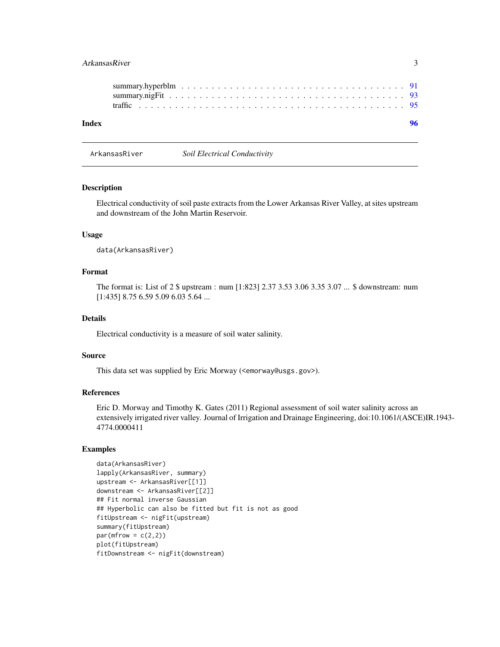# <span id="page-2-0"></span>ArkansasRiver 3

| Index |  |
|-------|--|
|       |  |
|       |  |
|       |  |

ArkansasRiver *Soil Electrical Conductivity*

# Description

Electrical conductivity of soil paste extracts from the Lower Arkansas River Valley, at sites upstream and downstream of the John Martin Reservoir.

# Usage

data(ArkansasRiver)

# Format

The format is: List of 2 \$ upstream : num [1:823] 2.37 3.53 3.06 3.35 3.07 ... \$ downstream: num [1:435] 8.75 6.59 5.09 6.03 5.64 ...

# Details

Electrical conductivity is a measure of soil water salinity.

#### Source

This data set was supplied by Eric Morway (<emorway@usgs.gov>).

#### References

Eric D. Morway and Timothy K. Gates (2011) Regional assessment of soil water salinity across an extensively irrigated river valley. Journal of Irrigation and Drainage Engineering, doi:10.1061/(ASCE)IR.1943- 4774.0000411

```
data(ArkansasRiver)
lapply(ArkansasRiver, summary)
upstream <- ArkansasRiver[[1]]
downstream <- ArkansasRiver[[2]]
## Fit normal inverse Gaussian
## Hyperbolic can also be fitted but fit is not as good
fitUpstream <- nigFit(upstream)
summary(fitUpstream)
par(mfrow = c(2,2))plot(fitUpstream)
fitDownstream <- nigFit(downstream)
```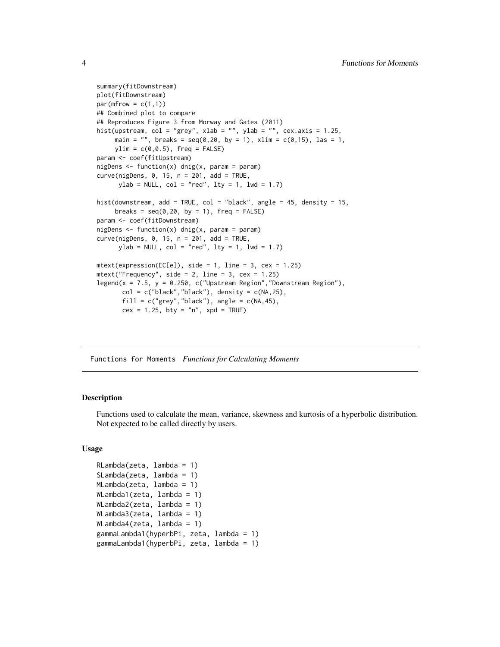```
summary(fitDownstream)
plot(fitDownstream)
par(mfrow = c(1,1))## Combined plot to compare
## Reproduces Figure 3 from Morway and Gates (2011)
hist(upstream, col = "grey", xlab = "", ylab = "", cex.axis = 1.25,
     main = "", breaks = seq(0,20, by = 1), xlim = c(0,15), las = 1,
    ylim = c(0, 0.5), freq = FALSE)
param <- coef(fitUpstream)
nigDens \leq function(x) dnig(x, param = param)
curve(nigDens, 0, 15, n = 201, add = TRUE,ylab = NULL, col = "red", lty = 1, lwd = 1.7)
hist(downstream, add = TRUE, col = "black", angle = 45, density = 15,
     breaks = seq(0, 20, by = 1), freq = FALSE)param <- coef(fitDownstream)
nigDens <- function(x) dnig(x, param = param)
curve(nigDens, 0, 15, n = 201, add = TRUE,ylab = NULL, col = "red", lty = 1, lwd = 1.7)mtext{text(expression(EC[e]), side = 1, line = 3, cex = 1.25)mtext('Frequency", side = 2, line = 3, cex = 1.25)legend(x = 7.5, y = 0.250, c("Upstream Region","Downstream Region"),
       col = c("black", "black"), density = c(NA, 25),
       fill = c("grey", "black"), angle = c(NA, 45),cex = 1.25, bty = "n", xpd = TRUE)
```
Functions for Moments *Functions for Calculating Moments*

#### Description

Functions used to calculate the mean, variance, skewness and kurtosis of a hyperbolic distribution. Not expected to be called directly by users.

#### Usage

```
RLambda(zeta, lambda = 1)
SLambda(zeta, lambda = 1)
MLambda(zeta, lambda = 1)
WLambda1(zeta, lambda = 1)
WLambda2(zeta, lambda = 1)
WLambda3(zeta, lambda = 1)
WLambda4(zeta, lambda = 1)
gammaLambda1(hyperbPi, zeta, lambda = 1)
gammaLambda1(hyperbPi, zeta, lambda = 1)
```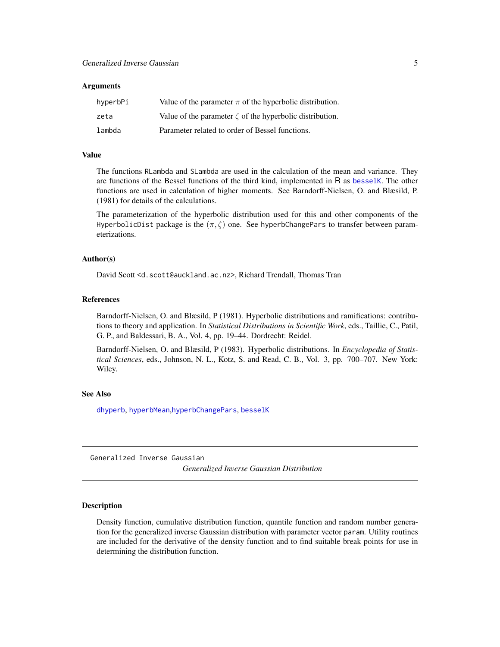#### <span id="page-4-0"></span>**Arguments**

| hyperbPi | Value of the parameter $\pi$ of the hyperbolic distribution.   |
|----------|----------------------------------------------------------------|
| zeta     | Value of the parameter $\zeta$ of the hyperbolic distribution. |
| lambda   | Parameter related to order of Bessel functions.                |

#### Value

The functions RLambda and SLambda are used in the calculation of the mean and variance. They are functions of the Bessel functions of the third kind, implemented in R as [besselK](#page-0-0). The other functions are used in calculation of higher moments. See Barndorff-Nielsen, O. and Blæsild, P. (1981) for details of the calculations.

The parameterization of the hyperbolic distribution used for this and other components of the HyperbolicDist package is the  $(\pi, \zeta)$  one. See hyperbChangePars to transfer between parameterizations.

#### Author(s)

David Scott <d.scott@auckland.ac.nz>, Richard Trendall, Thomas Tran

#### References

Barndorff-Nielsen, O. and Blæsild, P (1981). Hyperbolic distributions and ramifications: contributions to theory and application. In *Statistical Distributions in Scientific Work*, eds., Taillie, C., Patil, G. P., and Baldessari, B. A., Vol. 4, pp. 19–44. Dordrecht: Reidel.

Barndorff-Nielsen, O. and Blæsild, P (1983). Hyperbolic distributions. In *Encyclopedia of Statistical Sciences*, eds., Johnson, N. L., Kotz, S. and Read, C. B., Vol. 3, pp. 700–707. New York: Wiley.

#### See Also

[dhyperb](#page-53-1), [hyperbMean](#page-84-1),[hyperbChangePars](#page-39-1), [besselK](#page-0-0)

Generalized Inverse Gaussian *Generalized Inverse Gaussian Distribution*

# <span id="page-4-1"></span>Description

Density function, cumulative distribution function, quantile function and random number generation for the generalized inverse Gaussian distribution with parameter vector param. Utility routines are included for the derivative of the density function and to find suitable break points for use in determining the distribution function.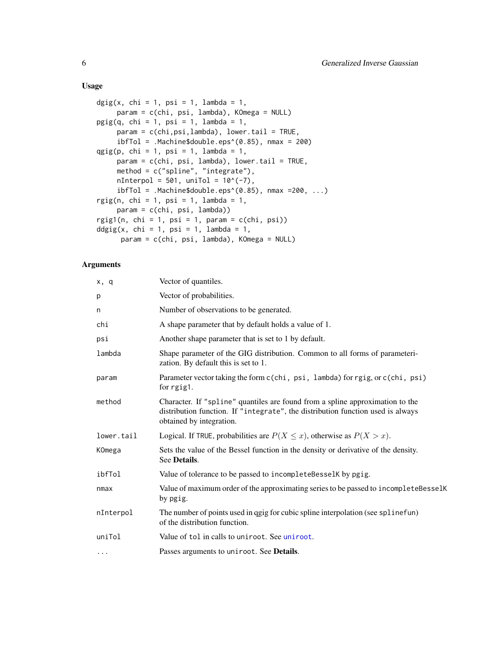# Usage

```
\text{dgig}(x, \text{ chi} = 1, \text{ psi} = 1, \text{ lambda} = 1,param = c(chi, psi, lambda), KOmega = NULL)
pgig(q, chi = 1, psi = 1, lambda = 1,param = c(chi,psi,lambda), lower.tail = TRUE,
     ibfTol = .Machine$double.eps^(0.85), nmax = 200)qgig(p, chi = 1, psi = 1, lambda = 1,param = c(chi, psi, lambda), lower.tail = TRUE,method = c("spline", "integrate"),
     nInterpol = 501, unifol = 10^(-7),
     ibfTol = .Machine$double.eps^(0.85), max =200, ...)rgig(n, chi = 1, psi = 1, lambda = 1,param = c(chi, psi, lambda))
rgig1(n, chi = 1, psi = 1, param = c(chi, psi))
ddgig(x, chi = 1, psi = 1, lambda = 1,param = c(chi, psi, lambda), KOmega = NULL)
```

| x, q       | Vector of quantiles.                                                                                                                                                                         |
|------------|----------------------------------------------------------------------------------------------------------------------------------------------------------------------------------------------|
| p          | Vector of probabilities.                                                                                                                                                                     |
| n          | Number of observations to be generated.                                                                                                                                                      |
| chi        | A shape parameter that by default holds a value of 1.                                                                                                                                        |
| psi        | Another shape parameter that is set to 1 by default.                                                                                                                                         |
| lambda     | Shape parameter of the GIG distribution. Common to all forms of parameteri-<br>zation. By default this is set to 1.                                                                          |
| param      | Parameter vector taking the form c(chi, psi, lambda) for rgig, or c(chi, psi)<br>for rgig1.                                                                                                  |
| method     | Character. If "spline" quantiles are found from a spline approximation to the<br>distribution function. If "integrate", the distribution function used is always<br>obtained by integration. |
| lower.tail | Logical. If TRUE, probabilities are $P(X \le x)$ , otherwise as $P(X > x)$ .                                                                                                                 |
| KOmega     | Sets the value of the Bessel function in the density or derivative of the density.<br>See Details.                                                                                           |
| ibfTol     | Value of tolerance to be passed to incompleteBesselK by pgig.                                                                                                                                |
| nmax       | Value of maximum order of the approximating series to be passed to incompleteBesselK<br>by pgig.                                                                                             |
| nInterpol  | The number of points used in qgig for cubic spline interpolation (see splinefun)<br>of the distribution function.                                                                            |
| uniTol     | Value of tol in calls to uniroot. See uniroot.                                                                                                                                               |
| $\cdots$   | Passes arguments to uniroot. See <b>Details</b> .                                                                                                                                            |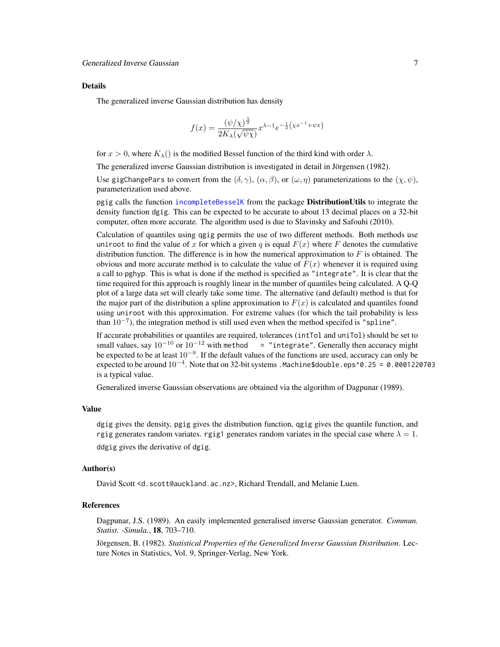#### Details

The generalized inverse Gaussian distribution has density

$$
f(x) = \frac{(\psi/\chi)^{\frac{\lambda}{2}}}{2K_{\lambda}(\sqrt{\psi\chi})} x^{\lambda - 1} e^{-\frac{1}{2}(\chi x^{-1} + \psi x)}
$$

for  $x > 0$ , where  $K_{\lambda}$ () is the modified Bessel function of the third kind with order  $\lambda$ .

The generalized inverse Gaussian distribution is investigated in detail in Jörgensen (1982).

Use gigChangePars to convert from the  $(\delta, \gamma)$ ,  $(\alpha, \beta)$ , or  $(\omega, \eta)$  parameterizations to the  $(\chi, \psi)$ , parameterization used above.

pgig calls the function [incompleteBesselK](#page-0-0) from the package **DistributionUtils** to integrate the density function dgig. This can be expected to be accurate to about 13 decimal places on a 32-bit computer, often more accurate. The algorithm used is due to Slavinsky and Safouhi (2010).

Calculation of quantiles using qgig permits the use of two different methods. Both methods use uniroot to find the value of x for which a given q is equal  $F(x)$  where F denotes the cumulative distribution function. The difference is in how the numerical approximation to  $F$  is obtained. The obvious and more accurate method is to calculate the value of  $F(x)$  whenever it is required using a call to pghyp. This is what is done if the method is specified as "integrate". It is clear that the time required for this approach is roughly linear in the number of quantiles being calculated. A Q-Q plot of a large data set will clearly take some time. The alternative (and default) method is that for the major part of the distribution a spline approximation to  $F(x)$  is calculated and quantiles found using uniroot with this approximation. For extreme values (for which the tail probability is less than  $10^{-7}$ ), the integration method is still used even when the method specifed is "spline".

If accurate probabilities or quantiles are required, tolerances (intTol and uniTol) should be set to small values, say  $10^{-10}$  or  $10^{-12}$  with method = "integrate". Generally then accuracy might be expected to be at least  $10^{-9}$ . If the default values of the functions are used, accuracy can only be expected to be around  $10^{-4}$ . Note that on 32-bit systems . Machine\$double.eps^0.25 = 0.0001220703 is a typical value.

Generalized inverse Gaussian observations are obtained via the algorithm of Dagpunar (1989).

#### Value

dgig gives the density, pgig gives the distribution function, qgig gives the quantile function, and rgig generates random variates. rgig1 generates random variates in the special case where  $\lambda = 1$ . ddgig gives the derivative of dgig.

#### Author(s)

David Scott <d.scott@auckland.ac.nz>, Richard Trendall, and Melanie Luen.

# References

Dagpunar, J.S. (1989). An easily implemented generalised inverse Gaussian generator. *Commun. Statist. -Simula.*, 18, 703–710.

Jörgensen, B. (1982). *Statistical Properties of the Generalized Inverse Gaussian Distribution*. Lecture Notes in Statistics, Vol. 9, Springer-Verlag, New York.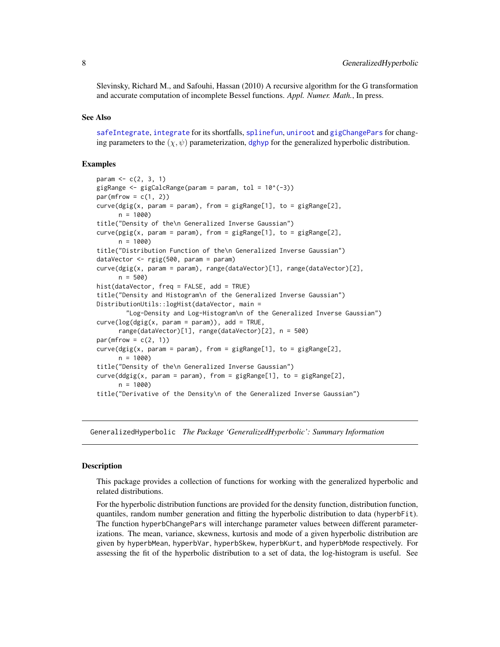<span id="page-7-0"></span>Slevinsky, Richard M., and Safouhi, Hassan (2010) A recursive algorithm for the G transformation and accurate computation of incomplete Bessel functions. *Appl. Numer. Math.*, In press.

#### See Also

[safeIntegrate](#page-0-0), [integrate](#page-0-0) for its shortfalls, [splinefun](#page-0-0), [uniroot](#page-0-0) and [gigChangePars](#page-24-1) for changing parameters to the  $(\chi, \psi)$  parameterization, [dghyp](#page-9-1) for the generalized hyperbolic distribution.

# Examples

```
param <-c(2, 3, 1)gigRange \leq gigCalcRange(param = param, tol = 10^(-3))
par(mfrow = c(1, 2))curve(dgig(x, param = param), from = gigRange[1], to = gigRange[2],n = 1000title("Density of the\n Generalized Inverse Gaussian")
curve(pgig(x, param = param), from = gigRange[1], to = gigRange[2],n = 1000title("Distribution Function of the\n Generalized Inverse Gaussian")
dataVector <- rgig(500, param = param)
curve(dgig(x, param = param), range(dataVector)[1], range(dataVector)[2],
     n = 500hist(dataVector, freq = FALSE, add = TRUE)
title("Density and Histogram\n of the Generalized Inverse Gaussian")
DistributionUtils::logHist(dataVector, main =
        "Log-Density and Log-Histogram\n of the Generalized Inverse Gaussian")
curve(log(gig(x, param = param)), add = TRUE,range(dataVector)[1], range(dataVector)[2], n = 500)
par(mfrow = c(2, 1))curve(dgig(x, param = param), from = gigRange[1], to = gigRange[2],n = 1000title("Density of the\n Generalized Inverse Gaussian")
curve(ddgig(x, param = param), from = gigRange[1], to = gigRange[2],n = 1000title("Derivative of the Density\n of the Generalized Inverse Gaussian")
```
GeneralizedHyperbolic *The Package 'GeneralizedHyperbolic': Summary Information*

#### Description

This package provides a collection of functions for working with the generalized hyperbolic and related distributions.

For the hyperbolic distribution functions are provided for the density function, distribution function, quantiles, random number generation and fitting the hyperbolic distribution to data (hyperbFit). The function hyperbChangePars will interchange parameter values between different parameterizations. The mean, variance, skewness, kurtosis and mode of a given hyperbolic distribution are given by hyperbMean, hyperbVar, hyperbSkew, hyperbKurt, and hyperbMode respectively. For assessing the fit of the hyperbolic distribution to a set of data, the log-histogram is useful. See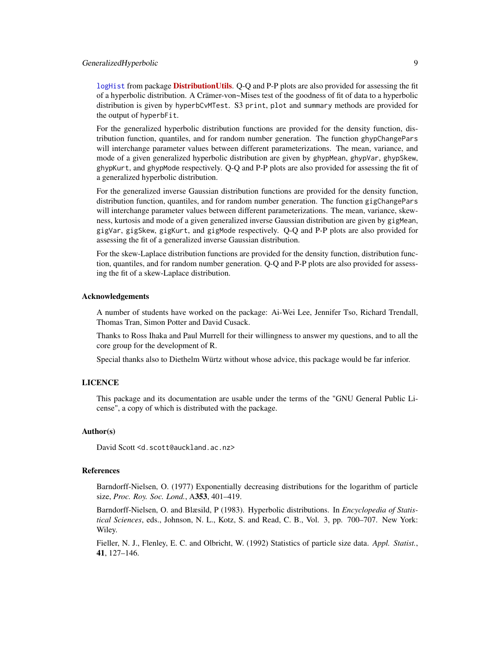# GeneralizedHyperbolic 9

[logHist](#page-0-0) from package **[DistributionUtils](https://CRAN.R-project.org/package=DistributionUtils)**. Q-Q and P-P plots are also provided for assessing the fit of a hyperbolic distribution. A Crämer-von~Mises test of the goodness of fit of data to a hyperbolic distribution is given by hyperbCvMTest. S3 print, plot and summary methods are provided for the output of hyperbFit.

For the generalized hyperbolic distribution functions are provided for the density function, distribution function, quantiles, and for random number generation. The function ghypChangePars will interchange parameter values between different parameterizations. The mean, variance, and mode of a given generalized hyperbolic distribution are given by ghypMean, ghypVar, ghypSkew, ghypKurt, and ghypMode respectively. Q-Q and P-P plots are also provided for assessing the fit of a generalized hyperbolic distribution.

For the generalized inverse Gaussian distribution functions are provided for the density function, distribution function, quantiles, and for random number generation. The function gigChangePars will interchange parameter values between different parameterizations. The mean, variance, skewness, kurtosis and mode of a given generalized inverse Gaussian distribution are given by gigMean, gigVar, gigSkew, gigKurt, and gigMode respectively. Q-Q and P-P plots are also provided for assessing the fit of a generalized inverse Gaussian distribution.

For the skew-Laplace distribution functions are provided for the density function, distribution function, quantiles, and for random number generation. Q-Q and P-P plots are also provided for assessing the fit of a skew-Laplace distribution.

#### Acknowledgements

A number of students have worked on the package: Ai-Wei Lee, Jennifer Tso, Richard Trendall, Thomas Tran, Simon Potter and David Cusack.

Thanks to Ross Ihaka and Paul Murrell for their willingness to answer my questions, and to all the core group for the development of R.

Special thanks also to Diethelm Würtz without whose advice, this package would be far inferior.

# LICENCE

This package and its documentation are usable under the terms of the "GNU General Public License", a copy of which is distributed with the package.

#### Author(s)

David Scott <d.scott@auckland.ac.nz>

# References

Barndorff-Nielsen, O. (1977) Exponentially decreasing distributions for the logarithm of particle size, *Proc. Roy. Soc. Lond.*, A353, 401–419.

Barndorff-Nielsen, O. and Blæsild, P (1983). Hyperbolic distributions. In *Encyclopedia of Statistical Sciences*, eds., Johnson, N. L., Kotz, S. and Read, C. B., Vol. 3, pp. 700–707. New York: Wiley.

Fieller, N. J., Flenley, E. C. and Olbricht, W. (1992) Statistics of particle size data. *Appl. Statist.*, 41, 127–146.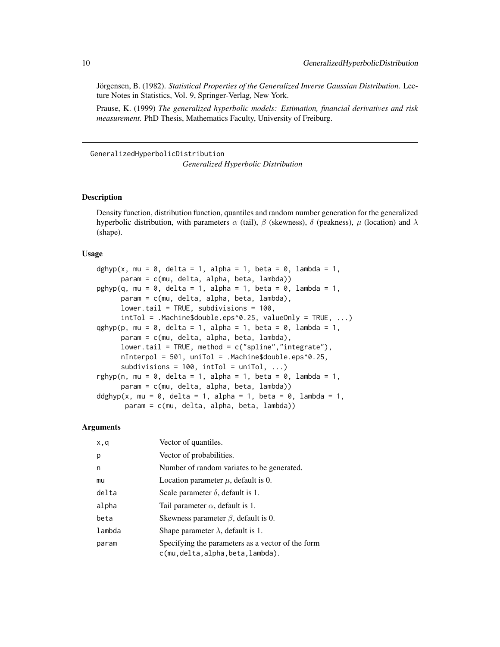Jörgensen, B. (1982). *Statistical Properties of the Generalized Inverse Gaussian Distribution*. Lecture Notes in Statistics, Vol. 9, Springer-Verlag, New York.

Prause, K. (1999) *The generalized hyperbolic models: Estimation, financial derivatives and risk measurement.* PhD Thesis, Mathematics Faculty, University of Freiburg.

GeneralizedHyperbolicDistribution *Generalized Hyperbolic Distribution*

#### <span id="page-9-1"></span>Description

Density function, distribution function, quantiles and random number generation for the generalized hyperbolic distribution, with parameters  $\alpha$  (tail),  $\beta$  (skewness), δ (peakness), μ (location) and  $\lambda$ (shape).

#### Usage

```
dghyp(x, mu = 0, delta = 1, alpha = 1, beta = 0, lambda = 1,
     param = c(mu, delta, alpha, beta, lambda))
pghyp(q, mu = 0, delta = 1, alpha = 1, beta = 0, lambda = 1,param = c(mu, delta, alpha, beta, lambda),
     lower.tail = TRUE, subdivisions = 100,intTol = Machine\{double.eps^0.25, valueOnly = TRUE, ...}
qghyp(p, mu = 0, delta = 1, alpha = 1, beta = 0, lambda = 1,
     param = c(mu, delta, alpha, beta, lambda),
     lower.tail = TRUE, method = c("split" , "integrate"),nInterpol = 501, uniTol = .Machine$double.eps^0.25,
     subdivisions = 100, intTol = uniTol, ...)
rghyp(n, mu = 0, delta = 1, alpha = 1, beta = 0, lambda = 1,
     param = c(mu, delta, alpha, beta, lambda))
ddghyp(x, mu = 0, delta = 1, alpha = 1, beta = 0, lambda = 1,
      param = c(mu, delta, alpha, beta, lambda))
```

| x,q    | Vector of quantiles.                                                                    |
|--------|-----------------------------------------------------------------------------------------|
| p      | Vector of probabilities.                                                                |
| n      | Number of random variates to be generated.                                              |
| mu     | Location parameter $\mu$ , default is 0.                                                |
| delta  | Scale parameter $\delta$ , default is 1.                                                |
| alpha  | Tail parameter $\alpha$ , default is 1.                                                 |
| beta   | Skewness parameter $\beta$ , default is 0.                                              |
| lambda | Shape parameter $\lambda$ , default is 1.                                               |
| param  | Specifying the parameters as a vector of the form<br>c(mu, delta, alpha, beta, lambda). |

<span id="page-9-0"></span>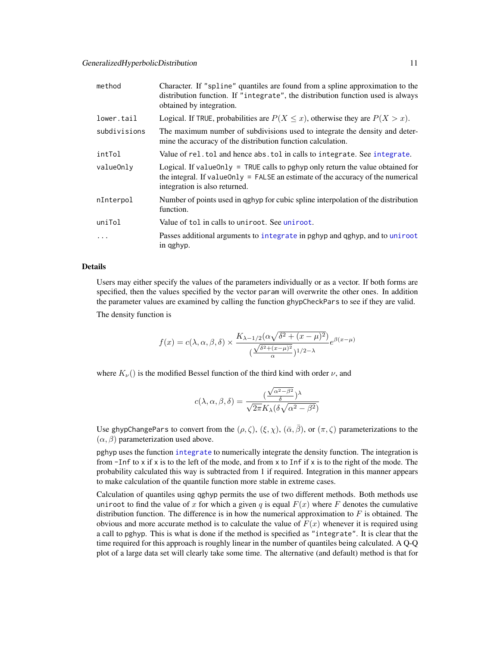| method       | Character. If "spline" quantiles are found from a spline approximation to the<br>distribution function. If "integrate", the distribution function used is always<br>obtained by integration.           |
|--------------|--------------------------------------------------------------------------------------------------------------------------------------------------------------------------------------------------------|
| lower.tail   | Logical. If TRUE, probabilities are $P(X \leq x)$ , otherwise they are $P(X > x)$ .                                                                                                                    |
| subdivisions | The maximum number of subdivisions used to integrate the density and deter-<br>mine the accuracy of the distribution function calculation.                                                             |
| intTol       | Value of rel.tol and hence abs.tol in calls to integrate. See integrate.                                                                                                                               |
| valueOnly    | Logical. If value Only = TRUE calls to pghyp only return the value obtained for<br>the integral. If value Only $=$ FALSE an estimate of the accuracy of the numerical<br>integration is also returned. |
| nInterpol    | Number of points used in qghyp for cubic spline interpolation of the distribution<br>function.                                                                                                         |
| uniTol       | Value of tol in calls to uniroot. See uniroot.                                                                                                                                                         |
| $\ddots$     | Passes additional arguments to integrate in pghyp and qghyp, and to uniroot<br>in qghyp.                                                                                                               |

#### Details

Users may either specify the values of the parameters individually or as a vector. If both forms are specified, then the values specified by the vector param will overwrite the other ones. In addition the parameter values are examined by calling the function ghypCheckPars to see if they are valid.

The density function is

$$
f(x) = c(\lambda, \alpha, \beta, \delta) \times \frac{K_{\lambda - 1/2}(\alpha \sqrt{\delta^2 + (x - \mu)^2})}{(\frac{\sqrt{\delta^2 + (x - \mu)^2}}{\alpha})^{1/2 - \lambda}} e^{\beta(x - \mu)}
$$

where  $K_{\nu}$ () is the modified Bessel function of the third kind with order  $\nu$ , and

$$
c(\lambda, \alpha, \beta, \delta) = \frac{(\frac{\sqrt{\alpha^2 - \beta^2}}{\delta})^{\lambda}}{\sqrt{2\pi}K_{\lambda}(\delta\sqrt{\alpha^2 - \beta^2})}
$$

Use ghypChangePars to convert from the  $(\rho, \zeta)$ ,  $(\xi, \chi)$ ,  $(\bar{\alpha}, \bar{\beta})$ , or  $(\pi, \zeta)$  parameterizations to the  $(\alpha, \beta)$  parameterization used above.

pghyp uses the function [integrate](#page-0-0) to numerically integrate the density function. The integration is from  $-I$ nf to x if x is to the left of the mode, and from x to Inf if x is to the right of the mode. The probability calculated this way is subtracted from 1 if required. Integration in this manner appears to make calculation of the quantile function more stable in extreme cases.

Calculation of quantiles using qghyp permits the use of two different methods. Both methods use uniroot to find the value of x for which a given q is equal  $F(x)$  where F denotes the cumulative distribution function. The difference is in how the numerical approximation to  $F$  is obtained. The obvious and more accurate method is to calculate the value of  $F(x)$  whenever it is required using a call to pghyp. This is what is done if the method is specified as "integrate". It is clear that the time required for this approach is roughly linear in the number of quantiles being calculated. A Q-Q plot of a large data set will clearly take some time. The alternative (and default) method is that for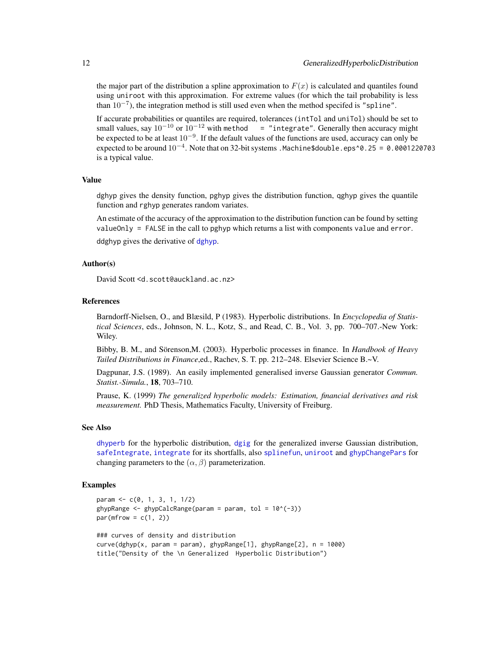the major part of the distribution a spline approximation to  $F(x)$  is calculated and quantiles found using uniroot with this approximation. For extreme values (for which the tail probability is less than  $10^{-7}$ ), the integration method is still used even when the method specifed is "spline".

If accurate probabilities or quantiles are required, tolerances (intTol and uniTol) should be set to small values, say  $10^{-10}$  or  $10^{-12}$  with method = "integrate". Generally then accuracy might be expected to be at least  $10^{-9}$ . If the default values of the functions are used, accuracy can only be expected to be around  $10^{-4}$ . Note that on 32-bit systems .Machine\$double.eps^0.25 = 0.0001220703 is a typical value.

# Value

dghyp gives the density function, pghyp gives the distribution function, qghyp gives the quantile function and rghyp generates random variates.

An estimate of the accuracy of the approximation to the distribution function can be found by setting valueOnly = FALSE in the call to pghyp which returns a list with components value and error.

ddghyp gives the derivative of [dghyp](#page-9-1).

# Author(s)

David Scott <d.scott@auckland.ac.nz>

#### References

Barndorff-Nielsen, O., and Blæsild, P (1983). Hyperbolic distributions. In *Encyclopedia of Statistical Sciences*, eds., Johnson, N. L., Kotz, S., and Read, C. B., Vol. 3, pp. 700–707.-New York: Wiley.

Bibby, B. M., and Sörenson,M. (2003). Hyperbolic processes in finance. In *Handbook of Heavy Tailed Distributions in Finance*,ed., Rachev, S. T. pp. 212–248. Elsevier Science B.~V.

Dagpunar, J.S. (1989). An easily implemented generalised inverse Gaussian generator *Commun. Statist.-Simula.*, 18, 703–710.

Prause, K. (1999) *The generalized hyperbolic models: Estimation, financial derivatives and risk measurement.* PhD Thesis, Mathematics Faculty, University of Freiburg.

# See Also

[dhyperb](#page-53-1) for the hyperbolic distribution, [dgig](#page-4-1) for the generalized inverse Gaussian distribution, [safeIntegrate](#page-0-0), [integrate](#page-0-0) for its shortfalls, also [splinefun](#page-0-0), [uniroot](#page-0-0) and [ghypChangePars](#page-15-1) for changing parameters to the  $(\alpha, \beta)$  parameterization.

```
param <- c(0, 1, 3, 1, 1/2)
ghypRange \leq ghypCalcRange(param = param, tol = 10^(-3))
par(mfrow = c(1, 2))### curves of density and distribution
curve(dghyp(x, param = param), ghypRange[1], ghypRange[2], n = 1000)
title("Density of the \n Generalized Hyperbolic Distribution")
```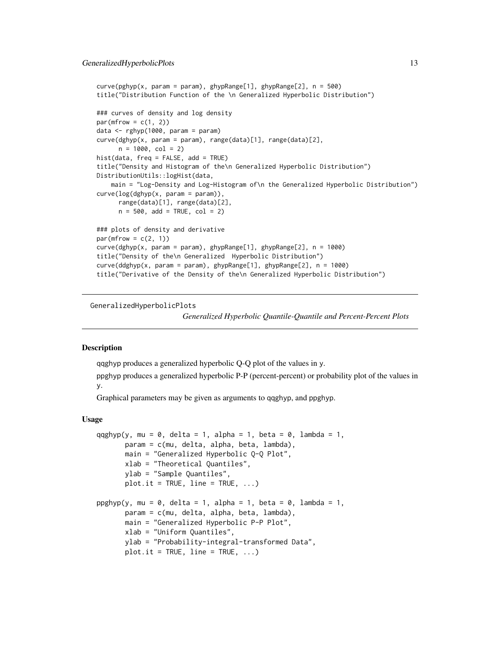```
curve(pghyp(x, param = param), ghypRange[1], ghypRange[2], n = 500)
title("Distribution Function of the \n Generalized Hyperbolic Distribution")
### curves of density and log density
par(mfrow = c(1, 2))data <- rghyp(1000, param = param)
curve(dghyp(x, param = param), range(data)[1], range(data)[2],
     n = 1000, col = 2)
hist(data, freq = FALSE, add = TRUE)
title("Density and Histogram of the\n Generalized Hyperbolic Distribution")
DistributionUtils::logHist(data,
   main = "Log-Density and Log-Histogram of\n the Generalized Hyperbolic Distribution")
curve(log(dghyp(x, param = param)),
      range(data)[1], range(data)[2],
     n = 500, add = TRUE, col = 2)
### plots of density and derivative
par(mfrow = c(2, 1))curve(dghyp(x, param = param), ghypRange[1], ghypRange[2], n = 1000)title("Density of the\n Generalized Hyperbolic Distribution")
curve(ddghyp(x, param = param), ghypRange[1], ghypRange[2], n = 1000)
title("Derivative of the Density of the\n Generalized Hyperbolic Distribution")
```
GeneralizedHyperbolicPlots

*Generalized Hyperbolic Quantile-Quantile and Percent-Percent Plots*

#### Description

qqghyp produces a generalized hyperbolic Q-Q plot of the values in y.

ppghyp produces a generalized hyperbolic P-P (percent-percent) or probability plot of the values in y.

Graphical parameters may be given as arguments to qqghyp, and ppghyp.

#### Usage

```
qqghyp(y, mu = 0, delta = 1, alpha = 1, beta = 0, lambda = 1,
      param = c(mu, delta, alpha, beta, lambda),
      main = "Generalized Hyperbolic Q-Q Plot",
      xlab = "Theoretical Quantiles",
      ylab = "Sample Quantiles",
      plot.it = TRUE, line = TRUE, ...ppghyp(y, mu = 0, delta = 1, alpha = 1, beta = 0, lambda = 1,param = c(mu, delta, alpha, beta, lambda),
      main = "Generalized Hyperbolic P-P Plot",
      xlab = "Uniform Quantiles",
      ylab = "Probability-integral-transformed Data",
      plot.it = TRUE, line = TRUE, ...)
```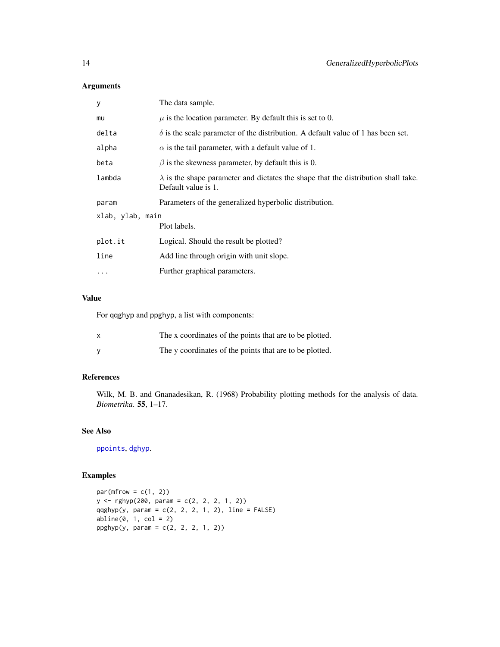# Arguments

| У                | The data sample.                                                                                                 |  |
|------------------|------------------------------------------------------------------------------------------------------------------|--|
| mu               | $\mu$ is the location parameter. By default this is set to 0.                                                    |  |
| delta            | $\delta$ is the scale parameter of the distribution. A default value of 1 has been set.                          |  |
| alpha            | $\alpha$ is the tail parameter, with a default value of 1.                                                       |  |
| beta             | $\beta$ is the skewness parameter, by default this is 0.                                                         |  |
| lambda           | $\lambda$ is the shape parameter and dictates the shape that the distribution shall take.<br>Default value is 1. |  |
| param            | Parameters of the generalized hyperbolic distribution.                                                           |  |
| xlab, ylab, main |                                                                                                                  |  |
|                  | Plot labels.                                                                                                     |  |
| plot.it          | Logical. Should the result be plotted?                                                                           |  |
| line             | Add line through origin with unit slope.                                                                         |  |
| $\cdots$         | Further graphical parameters.                                                                                    |  |
|                  |                                                                                                                  |  |

# Value

For qqghyp and ppghyp, a list with components:

| The x coordinates of the points that are to be plotted. |
|---------------------------------------------------------|
| The y coordinates of the points that are to be plotted. |

# References

Wilk, M. B. and Gnanadesikan, R. (1968) Probability plotting methods for the analysis of data. *Biometrika*. 55, 1–17.

# See Also

[ppoints](#page-0-0), [dghyp](#page-9-1).

```
par(mfrow = c(1, 2))y <- rghyp(200, param = c(2, 2, 2, 1, 2))
qqghyp(y, param = c(2, 2, 2, 1, 2), line = FALSE)abline(0, 1, col = 2)ppghyp(y, param = c(2, 2, 2, 1, 2))
```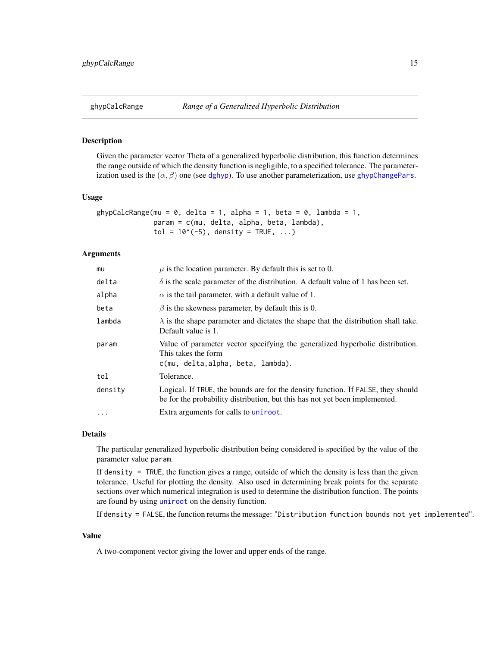<span id="page-14-0"></span>

#### Description

Given the parameter vector Theta of a generalized hyperbolic distribution, this function determines the range outside of which the density function is negligible, to a specified tolerance. The parameterization used is the  $(\alpha, \beta)$  one (see [dghyp](#page-9-1)). To use another parameterization, use [ghypChangePars](#page-15-1).

# Usage

```
ghypCalcRange(mu = 0, delta = 1, alpha = 1, beta = 0, lambda = 1,
              param = c(mu, delta, alpha, beta, lambda),
              tol = 10^*(-5), density = TRUE, ...)
```
#### Arguments

| mu        | $\mu$ is the location parameter. By default this is set to 0.                                                                                                   |
|-----------|-----------------------------------------------------------------------------------------------------------------------------------------------------------------|
| delta     | $\delta$ is the scale parameter of the distribution. A default value of 1 has been set.                                                                         |
| alpha     | $\alpha$ is the tail parameter, with a default value of 1.                                                                                                      |
| beta      | $\beta$ is the skewness parameter, by default this is 0.                                                                                                        |
| lambda    | $\lambda$ is the shape parameter and dictates the shape that the distribution shall take.<br>Default value is 1.                                                |
| param     | Value of parameter vector specifying the generalized hyperbolic distribution.<br>This takes the form<br>c(mu, delta, alpha, beta, lambda).                      |
| tol       | Tolerance.                                                                                                                                                      |
| density   | Logical. If TRUE, the bounds are for the density function. If FALSE, they should<br>be for the probability distribution, but this has not yet been implemented. |
| $\ddotsc$ | Extra arguments for calls to uniroot.                                                                                                                           |

#### Details

The particular generalized hyperbolic distribution being considered is specified by the value of the parameter value param.

If density = TRUE, the function gives a range, outside of which the density is less than the given tolerance. Useful for plotting the density. Also used in determining break points for the separate sections over which numerical integration is used to determine the distribution function. The points are found by using [uniroot](#page-0-0) on the density function.

If density = FALSE, the function returns the message: "Distribution function bounds not yet implemented".

# Value

A two-component vector giving the lower and upper ends of the range.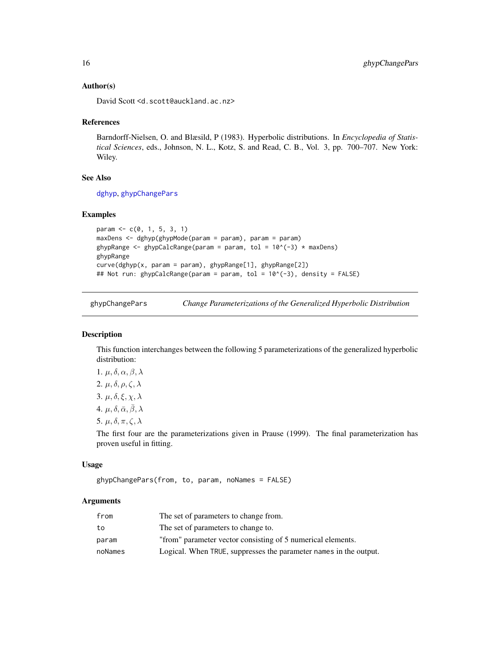#### Author(s)

David Scott <d.scott@auckland.ac.nz>

#### References

Barndorff-Nielsen, O. and Blæsild, P (1983). Hyperbolic distributions. In *Encyclopedia of Statistical Sciences*, eds., Johnson, N. L., Kotz, S. and Read, C. B., Vol. 3, pp. 700–707. New York: Wiley.

# See Also

[dghyp](#page-9-1), [ghypChangePars](#page-15-1)

#### Examples

```
param <- c(0, 1, 5, 3, 1)
maxDens <- dghyp(ghypMode(param = param), param = param)
ghypRange <- ghypCalcRange(param = param, tol = 10^(-3) * maxDens)
ghypRange
curve(dghyp(x, param = param), ghypRange[1], ghypRange[2])
## Not run: ghypCalcRange(param = param, tol = 10^(-3), density = FALSE)
```
<span id="page-15-1"></span>ghypChangePars *Change Parameterizations of the Generalized Hyperbolic Distribution*

#### Description

This function interchanges between the following 5 parameterizations of the generalized hyperbolic distribution:

1.  $\mu$ ,  $\delta$ ,  $\alpha$ ,  $\beta$ ,  $\lambda$ 2.  $\mu$ ,  $\delta$ ,  $\rho$ ,  $\zeta$ ,  $\lambda$ 

3.  $\mu$ ,  $\delta$ ,  $\xi$ ,  $\chi$ ,  $\lambda$ 

4.  $\mu$ ,  $\delta$ ,  $\bar{\alpha}$ ,  $\bar{\beta}$ ,  $\lambda$ 

5.  $\mu$ ,  $\delta$ ,  $\pi$ ,  $\zeta$ ,  $\lambda$ 

The first four are the parameterizations given in Prause (1999). The final parameterization has proven useful in fitting.

#### Usage

ghypChangePars(from, to, param, noNames = FALSE)

| from    | The set of parameters to change from.                             |
|---------|-------------------------------------------------------------------|
| to      | The set of parameters to change to.                               |
| param   | "from" parameter vector consisting of 5 numerical elements.       |
| noNames | Logical. When TRUE, suppresses the parameter names in the output. |

<span id="page-15-0"></span>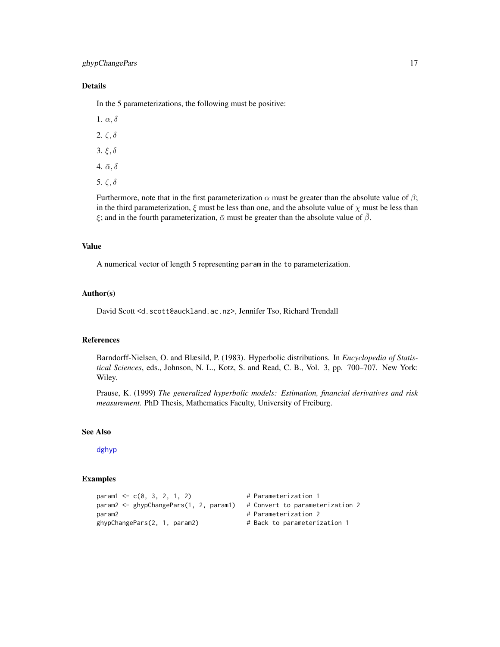# ghypChangePars 17

# Details

In the 5 parameterizations, the following must be positive:

1.  $\alpha$ ,  $\delta$ 

- 2.  $\zeta$ ,  $\delta$
- 3. ξ, δ
- 4.  $\bar{\alpha}, \delta$
- 5. ζ, δ

Furthermore, note that in the first parameterization  $\alpha$  must be greater than the absolute value of  $\beta$ ; in the third parameterization,  $\xi$  must be less than one, and the absolute value of  $\chi$  must be less than ξ; and in the fourth parameterization,  $\bar{\alpha}$  must be greater than the absolute value of  $\bar{\beta}$ .

# Value

A numerical vector of length 5 representing param in the to parameterization.

#### Author(s)

David Scott <d.scott@auckland.ac.nz>, Jennifer Tso, Richard Trendall

#### References

Barndorff-Nielsen, O. and Blæsild, P. (1983). Hyperbolic distributions. In *Encyclopedia of Statistical Sciences*, eds., Johnson, N. L., Kotz, S. and Read, C. B., Vol. 3, pp. 700–707. New York: Wiley.

Prause, K. (1999) *The generalized hyperbolic models: Estimation, financial derivatives and risk measurement.* PhD Thesis, Mathematics Faculty, University of Freiburg.

#### See Also

#### [dghyp](#page-9-1)

```
param1 \leq -c(0, 3, 2, 1, 2) # Parameterization 1
param2 <- ghypChangePars(1, 2, param1) # Convert to parameterization 2
param2 # Parameterization 2
ghypChangePars(2, 1, param2) # Back to parameterization 1
```
- 
- 
-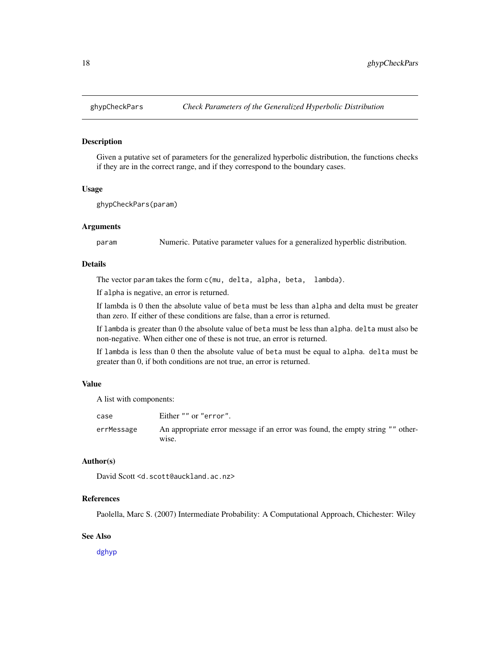<span id="page-17-0"></span>

#### Description

Given a putative set of parameters for the generalized hyperbolic distribution, the functions checks if they are in the correct range, and if they correspond to the boundary cases.

#### Usage

ghypCheckPars(param)

#### Arguments

param Numeric. Putative parameter values for a generalized hyperblic distribution.

# **Details**

The vector param takes the form c(mu, delta, alpha, beta, lambda).

If alpha is negative, an error is returned.

If lambda is 0 then the absolute value of beta must be less than alpha and delta must be greater than zero. If either of these conditions are false, than a error is returned.

If lambda is greater than 0 the absolute value of beta must be less than alpha. delta must also be non-negative. When either one of these is not true, an error is returned.

If lambda is less than 0 then the absolute value of beta must be equal to alpha. delta must be greater than 0, if both conditions are not true, an error is returned.

# Value

A list with components:

| case       | Either "" or "error".                                                                   |
|------------|-----------------------------------------------------------------------------------------|
| errMessage | An appropriate error message if an error was found, the empty string "" other-<br>wise. |

#### Author(s)

David Scott <d.scott@auckland.ac.nz>

# References

Paolella, Marc S. (2007) Intermediate Probability: A Computational Approach, Chichester: Wiley

#### See Also

[dghyp](#page-9-1)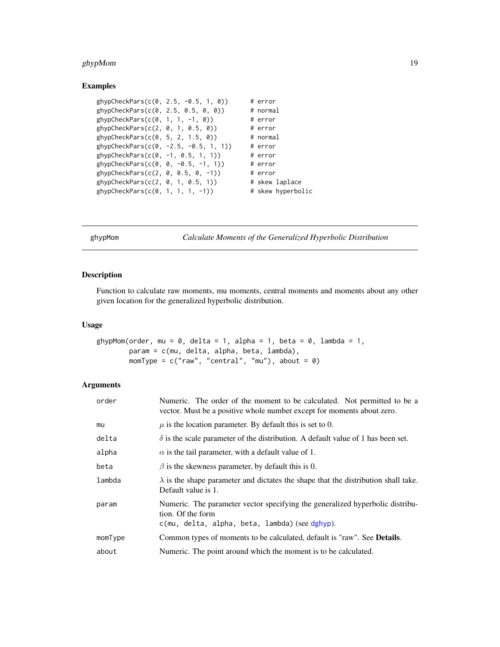# <span id="page-18-0"></span>ghypMom 19

#### Examples

```
ghypCheckPars(c(0, 2.5, -0.5, 1, 0)) # error
ghypCheckPars(c(0, 2.5, 0.5, 0, 0)) # normal
ghypCheckPars(c(0, 1, 1, -1, 0)) # error
ghypCheckPars(c(2, 0, 1, 0.5, 0)) # error
ghypCheckPars(c(0, 5, 2, 1.5, 0)) # normal
ghypCheckPars(c(0, -2.5, -0.5, 1, 1)) # error
ghypCheckPars(c(0, -1, 0.5, 1, 1)) # error
ghypCheckPars(c(0, 0, -0.5, -1, 1)) # error
ghypCheckPars(c(2, 0, 0.5, 0, -1)) # error
ghypCheckPars(c(2, 0, 1, 0.5, 1)) # skew laplace
ghypCheckPars(c(0, 1, 1, 1, -1)) # skew hyperbolic
```
ghypMom *Calculate Moments of the Generalized Hyperbolic Distribution*

# Description

Function to calculate raw moments, mu moments, central moments and moments about any other given location for the generalized hyperbolic distribution.

#### Usage

```
ghypMom(order, mu = 0, delta = 1, alpha = 1, beta = 0, lambda = 1,
       param = c(mu, delta, alpha, beta, lambda),
       momType = c("raw", "central", "mu"), about = 0)
```

| order   | Numeric. The order of the moment to be calculated. Not permitted to be a<br>vector. Must be a positive whole number except for moments about zero.   |
|---------|------------------------------------------------------------------------------------------------------------------------------------------------------|
| mu      | $\mu$ is the location parameter. By default this is set to 0.                                                                                        |
| delta   | $\delta$ is the scale parameter of the distribution. A default value of 1 has been set.                                                              |
| alpha   | $\alpha$ is the tail parameter, with a default value of 1.                                                                                           |
| beta    | $\beta$ is the skewness parameter, by default this is 0.                                                                                             |
| lambda  | $\lambda$ is the shape parameter and dictates the shape that the distribution shall take.<br>Default value is 1.                                     |
| param   | Numeric. The parameter vector specifying the generalized hyperbolic distribu-<br>tion. Of the form<br>c(mu, delta, alpha, beta, lambda) (see dghyp). |
| momType | Common types of moments to be calculated, default is "raw". See <b>Details</b> .                                                                     |
| about   | Numeric. The point around which the moment is to be calculated.                                                                                      |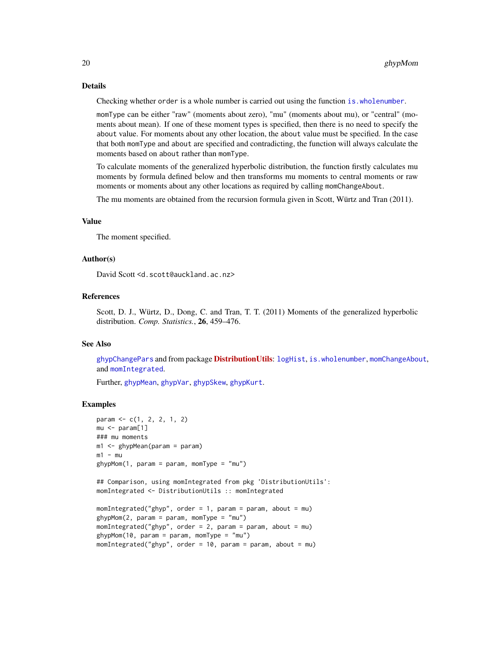# Details

Checking whether order is a whole number is carried out using the function [is.wholenumber](#page-0-0).

momType can be either "raw" (moments about zero), "mu" (moments about mu), or "central" (moments about mean). If one of these moment types is specified, then there is no need to specify the about value. For moments about any other location, the about value must be specified. In the case that both momType and about are specified and contradicting, the function will always calculate the moments based on about rather than momType.

To calculate moments of the generalized hyperbolic distribution, the function firstly calculates mu moments by formula defined below and then transforms mu moments to central moments or raw moments or moments about any other locations as required by calling momChangeAbout.

The mu moments are obtained from the recursion formula given in Scott, Würtz and Tran (2011).

#### Value

The moment specified.

#### Author(s)

David Scott <d.scott@auckland.ac.nz>

# References

Scott, D. J., Würtz, D., Dong, C. and Tran, T. T. (2011) Moments of the generalized hyperbolic distribution. *Comp. Statistics.*, 26, 459–476.

# See Also

[ghypChangePars](#page-15-1) and from package [DistributionUtils](https://CRAN.R-project.org/package=DistributionUtils): [logHist](#page-0-0), [is.wholenumber](#page-0-0), [momChangeAbout](#page-0-0), and [momIntegrated](#page-0-0).

Further, [ghypMean](#page-81-1), [ghypVar](#page-81-1), [ghypSkew](#page-81-1), [ghypKurt](#page-81-1).

```
param <- c(1, 2, 2, 1, 2)
mu <- param[1]### mu moments
m1 <- ghypMean(param = param)
m1 - mughypMom(1, param = param, momType = "mu")## Comparison, using momIntegrated from pkg 'DistributionUtils':
momIntegrated <- DistributionUtils :: momIntegrated
momIntegrated("ghyp", order = 1, param = param, about = mu)
ghypMom(2, param = param, momType = "mu")
momenting of "ghyp", order = 2, param = param, about = mu)ghypMom(10, param = param, momType = "mu")
momIntegrated("ghyp", order = 10, param = param, about = mu)
```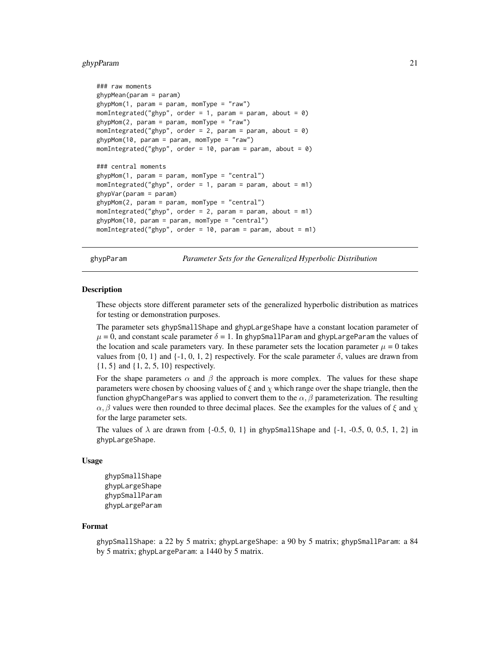# <span id="page-20-0"></span>ghypParam 21

```
### raw moments
ghypMean(param = param)
ghypMom(1, param = param, momType = "raw")
momIntegrated("ghyp", order = 1, param = param, about = \theta)
ghypMom(2, \text{param} = \text{param}, \text{momType} = "raw")momIntegrated("ghyp", order = 2, param = param, about = \emptyset)
ghypMom(10, param = param, momType = "raw")
momIntegrated("ghyp", order = 10, param = param, about = 0)
### central moments
ghypMom(1, param = param, momType = "central")
momIntegrated("ghyp", order = 1, param = param, about = m1)
ghypVar(param = param)
ghypMom(2, param = param, momType = "central")
momIntegrated("ghyp", order = 2, param = param, about = m1)
ghypMom(10, param = param, momType = "central")
momIntegrated("ghyp", order = 10, param = param, about = m1)
```
ghypParam *Parameter Sets for the Generalized Hyperbolic Distribution*

#### **Description**

These objects store different parameter sets of the generalized hyperbolic distribution as matrices for testing or demonstration purposes.

The parameter sets ghypSmallShape and ghypLargeShape have a constant location parameter of  $\mu = 0$ , and constant scale parameter  $\delta = 1$ . In ghypSmallParam and ghypLargeParam the values of the location and scale parameters vary. In these parameter sets the location parameter  $\mu = 0$  takes values from  $\{0, 1\}$  and  $\{-1, 0, 1, 2\}$  respectively. For the scale parameter  $\delta$ , values are drawn from {1, 5} and {1, 2, 5, 10} respectively.

For the shape parameters  $\alpha$  and  $\beta$  the approach is more complex. The values for these shape parameters were chosen by choosing values of  $\xi$  and  $\chi$  which range over the shape triangle, then the function ghypChangePars was applied to convert them to the  $\alpha$ ,  $\beta$  parameterization. The resulting  $\alpha$ ,  $\beta$  values were then rounded to three decimal places. See the examples for the values of  $\xi$  and  $\chi$ for the large parameter sets.

The values of  $\lambda$  are drawn from {-0.5, 0, 1} in ghypSmallShape and {-1, -0.5, 0, 0.5, 1, 2} in ghypLargeShape.

#### Usage

```
ghypSmallShape
ghypLargeShape
ghypSmallParam
ghypLargeParam
```
# Format

ghypSmallShape: a 22 by 5 matrix; ghypLargeShape: a 90 by 5 matrix; ghypSmallParam: a 84 by 5 matrix; ghypLargeParam: a 1440 by 5 matrix.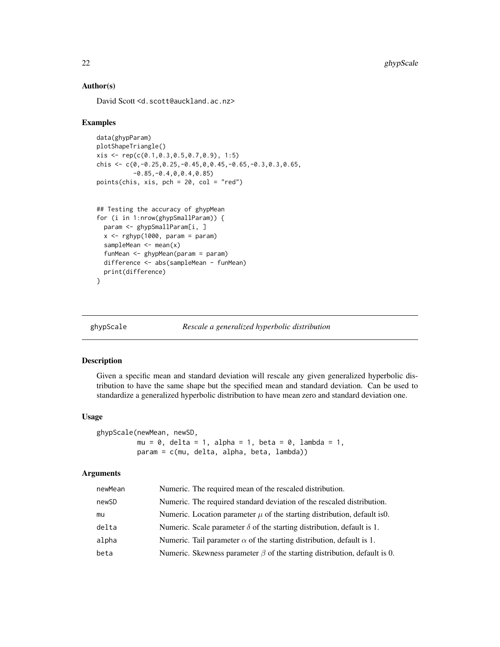# Author(s)

David Scott <d.scott@auckland.ac.nz>

#### Examples

```
data(ghypParam)
plotShapeTriangle()
xis <- rep(c(0.1,0.3,0.5,0.7,0.9), 1:5)
chis \leq c(0, -0.25, 0.25, -0.45, 0.0.45, -0.65, -0.3, 0.3, 0.65,-0.85,-0.4,0,0.4,0.85)
points(chis, xis, pch = 20, col = "red")
```

```
## Testing the accuracy of ghypMean
for (i in 1:nrow(ghypSmallParam)) {
 param <- ghypSmallParam[i, ]
 x \leftarrow rghyp(1000, param = param)
 sampleMean \leq mean(x)funMean <- ghypMean(param = param)
 difference <- abs(sampleMean - funMean)
 print(difference)
}
```
ghypScale *Rescale a generalized hyperbolic distribution*

#### Description

Given a specific mean and standard deviation will rescale any given generalized hyperbolic distribution to have the same shape but the specified mean and standard deviation. Can be used to standardize a generalized hyperbolic distribution to have mean zero and standard deviation one.

# Usage

```
ghypScale(newMean, newSD,
         mu = 0, delta = 1, alpha = 1, beta = 0, lambda = 1,
          param = c(mu, delta, alpha, beta, lambda))
```

| newMean | Numeric. The required mean of the rescaled distribution.                        |
|---------|---------------------------------------------------------------------------------|
| newSD   | Numeric. The required standard deviation of the rescaled distribution.          |
| mu      | Numeric. Location parameter $\mu$ of the starting distribution, default is 0.   |
| delta   | Numeric. Scale parameter $\delta$ of the starting distribution, default is 1.   |
| alpha   | Numeric. Tail parameter $\alpha$ of the starting distribution, default is 1.    |
| beta    | Numeric. Skewness parameter $\beta$ of the starting distribution, default is 0. |
|         |                                                                                 |

<span id="page-21-0"></span>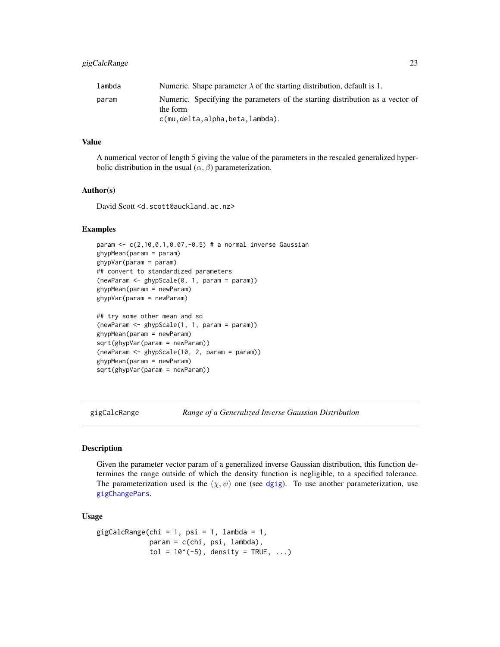# <span id="page-22-0"></span>gigCalcRange 23

| lambda | Numeric. Shape parameter $\lambda$ of the starting distribution, default is 1.             |
|--------|--------------------------------------------------------------------------------------------|
| param  | Numeric. Specifying the parameters of the starting distribution as a vector of<br>the form |
|        | c(mu,delta,alpha,beta,lambda).                                                             |

#### Value

A numerical vector of length 5 giving the value of the parameters in the rescaled generalized hyperbolic distribution in the usual  $(\alpha, \beta)$  parameterization.

#### Author(s)

David Scott <d.scott@auckland.ac.nz>

# Examples

```
param <- c(2,10,0.1,0.07,-0.5) # a normal inverse Gaussian
ghypMean(param = param)
ghypVar(param = param)
## convert to standardized parameters
(newParam <- ghypScale(0, 1, param = param))
ghypMean(param = newParam)
ghypVar(param = newParam)
## try some other mean and sd
(newParam <- ghypScale(1, 1, param = param))
ghypMean(param = newParam)
sqrt(ghypVar(param = newParam))
(newParam <- ghypScale(10, 2, param = param))
ghypMean(param = newParam)
sqrt(ghypVar(param = newParam))
```
gigCalcRange *Range of a Generalized Inverse Gaussian Distribution*

#### Description

Given the parameter vector param of a generalized inverse Gaussian distribution, this function determines the range outside of which the density function is negligible, to a specified tolerance. The parameterization used is the  $(\chi, \psi)$  one (see [dgig](#page-4-1)). To use another parameterization, use [gigChangePars](#page-24-1).

# Usage

```
gigCalcRange(chi = 1, psi = 1, lambda = 1,param = c(chi, psi, lambda),
             tol = 10^*(-5), density = TRUE, ...)
```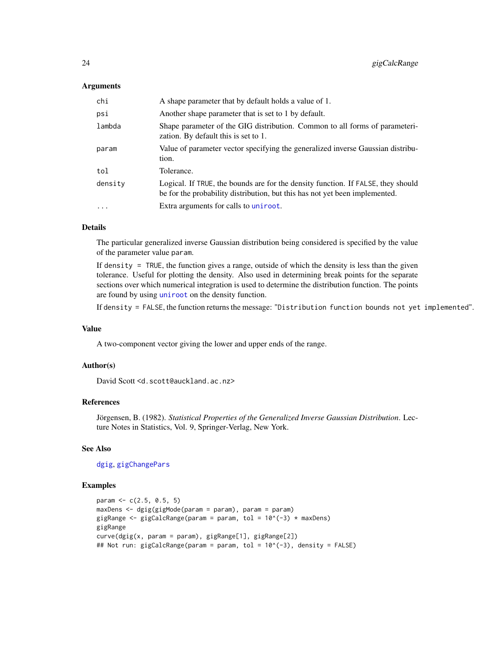#### Arguments

| chi       | A shape parameter that by default holds a value of 1.                                                                                                           |
|-----------|-----------------------------------------------------------------------------------------------------------------------------------------------------------------|
| psi       | Another shape parameter that is set to 1 by default.                                                                                                            |
| lambda    | Shape parameter of the GIG distribution. Common to all forms of parameteri-<br>zation. By default this is set to 1.                                             |
| param     | Value of parameter vector specifying the generalized inverse Gaussian distribu-<br>tion.                                                                        |
| tol       | Tolerance.                                                                                                                                                      |
| density   | Logical. If TRUE, the bounds are for the density function. If FALSE, they should<br>be for the probability distribution, but this has not yet been implemented. |
| $\ddotsc$ | Extra arguments for calls to uniroot.                                                                                                                           |

#### Details

The particular generalized inverse Gaussian distribution being considered is specified by the value of the parameter value param.

If density = TRUE, the function gives a range, outside of which the density is less than the given tolerance. Useful for plotting the density. Also used in determining break points for the separate sections over which numerical integration is used to determine the distribution function. The points are found by using [uniroot](#page-0-0) on the density function.

If density = FALSE, the function returns the message: "Distribution function bounds not yet implemented".

#### Value

A two-component vector giving the lower and upper ends of the range.

# Author(s)

David Scott <d.scott@auckland.ac.nz>

# References

Jörgensen, B. (1982). *Statistical Properties of the Generalized Inverse Gaussian Distribution*. Lecture Notes in Statistics, Vol. 9, Springer-Verlag, New York.

# See Also

[dgig](#page-4-1), [gigChangePars](#page-24-1)

```
param <-c(2.5, 0.5, 5)maxDens <- dgig(gigMode(param = param), param = param)
gigRange \leq gigCalcRange(param = param, tol = 10^(-3) * maxDens)
gigRange
curve(dgig(x, param = param), gigRange[1], gigRange[2])
## Not run: gigCalcRange(param = param, tol = 10^(-3), density = FALSE)
```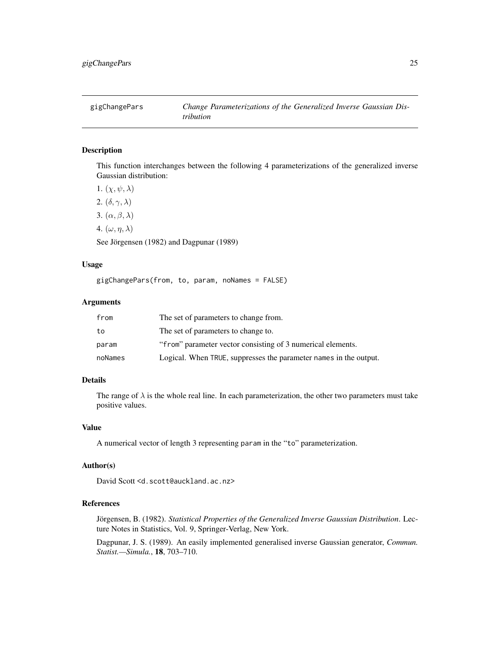<span id="page-24-1"></span><span id="page-24-0"></span>

# Description

This function interchanges between the following 4 parameterizations of the generalized inverse Gaussian distribution:

1.  $(\chi, \psi, \lambda)$ 2.  $(\delta, \gamma, \lambda)$ 3.  $(\alpha, \beta, \lambda)$ 4.  $(\omega, \eta, \lambda)$ See Jörgensen (1982) and Dagpunar (1989)

# Usage

gigChangePars(from, to, param, noNames = FALSE)

# Arguments

| from    | The set of parameters to change from.                             |
|---------|-------------------------------------------------------------------|
| to      | The set of parameters to change to.                               |
| param   | "from" parameter vector consisting of 3 numerical elements.       |
| noNames | Logical. When TRUE, suppresses the parameter names in the output. |

# Details

The range of  $\lambda$  is the whole real line. In each parameterization, the other two parameters must take positive values.

# Value

A numerical vector of length 3 representing param in the "to" parameterization.

#### Author(s)

David Scott <d.scott@auckland.ac.nz>

# References

Jörgensen, B. (1982). *Statistical Properties of the Generalized Inverse Gaussian Distribution*. Lecture Notes in Statistics, Vol. 9, Springer-Verlag, New York.

Dagpunar, J. S. (1989). An easily implemented generalised inverse Gaussian generator, *Commun. Statist.—Simula.*, 18, 703–710.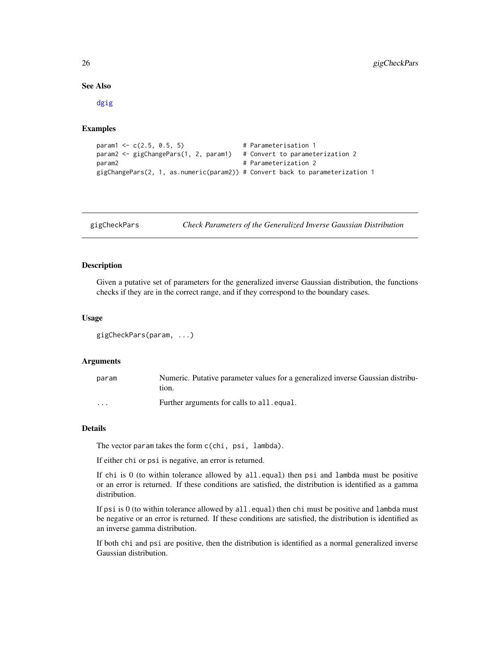#### <span id="page-25-0"></span>See Also

[dgig](#page-4-1)

# Examples

```
param1 \leq c(2.5, 0.5, 5) # Parameterisation 1
param2 <- gigChangePars(1, 2, param1) # Convert to parameterization 2
param2 # Parameterization 2
gigChangePars(2, 1, as.numeric(param2)) # Convert back to parameterization 1
```
<span id="page-25-1"></span>gigCheckPars *Check Parameters of the Generalized Inverse Gaussian Distribution*

# Description

Given a putative set of parameters for the generalized inverse Gaussian distribution, the functions checks if they are in the correct range, and if they correspond to the boundary cases.

# Usage

gigCheckPars(param, ...)

#### Arguments

| param   | Numeric. Putative parameter values for a generalized inverse Gaussian distribu-<br>tion. |
|---------|------------------------------------------------------------------------------------------|
| $\cdot$ | Further arguments for calls to all. equal.                                               |

#### Details

The vector param takes the form c(chi, psi, lambda).

If either chi or psi is negative, an error is returned.

If chi is  $0$  (to within tolerance allowed by  $all.equals$ ) then psi and lambda must be positive or an error is returned. If these conditions are satisfied, the distribution is identified as a gamma distribution.

If psi is 0 (to within tolerance allowed by all.equal) then chi must be positive and lambda must be negative or an error is returned. If these conditions are satisfied, the distribution is identified as an inverse gamma distribution.

If both chi and psi are positive, then the distribution is identified as a normal generalized inverse Gaussian distribution.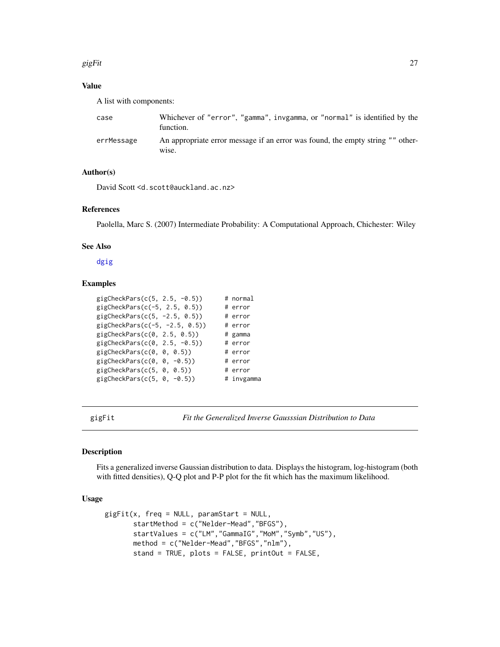#### <span id="page-26-0"></span>gigFit  $27$

# Value

A list with components:

| case       | Whichever of "error", "gamma", invgamma, or "normal" is identified by the<br>function.               |
|------------|------------------------------------------------------------------------------------------------------|
| errMessage | An appropriate error message if an error was found, the empty string "" other-<br>W <sub>1</sub> se. |

# Author(s)

David Scott <d.scott@auckland.ac.nz>

#### References

Paolella, Marc S. (2007) Intermediate Probability: A Computational Approach, Chichester: Wiley

#### See Also

[dgig](#page-4-1)

# Examples

| gigCheckPars $(c(5, 2.5, -0.5))$  | # normal   |
|-----------------------------------|------------|
| gigCheckPars $(c(-5, 2.5, 0.5))$  | # error    |
| gigCheckPars $(c(5, -2.5, 0.5))$  | # error    |
| gigCheckPars $(c(-5, -2.5, 0.5))$ | # error    |
| gigCheckParts(c(0, 2.5, 0.5))     | # gamma    |
| gigCheckPars $(c(0, 2.5, -0.5))$  | # error    |
| gigCheckPars(c(0, 0, 0.5))        | # error    |
| gigCheckPars(c(0, 0, $-0.5$ ))    | # error    |
| gigCheckPars(c(5, 0, 0.5))        | # error    |
| gigCheckPars(c(5, $0, -0.5$ ))    | # invgamma |

<span id="page-26-1"></span>gigFit *Fit the Generalized Inverse Gausssian Distribution to Data*

# Description

Fits a generalized inverse Gaussian distribution to data. Displays the histogram, log-histogram (both with fitted densities), Q-Q plot and P-P plot for the fit which has the maximum likelihood.

# Usage

```
gigFit(x, freq = NULL, paramStart = NULL,startMethod = c("Nelder-Mead","BFGS"),
       startValues = c("LM","GammaIG","MoM","Symb","US"),
      method = c("Nelder-Mead","BFGS","nlm"),
       stand = TRUE, plots = FALSE, printOut = FALSE,
```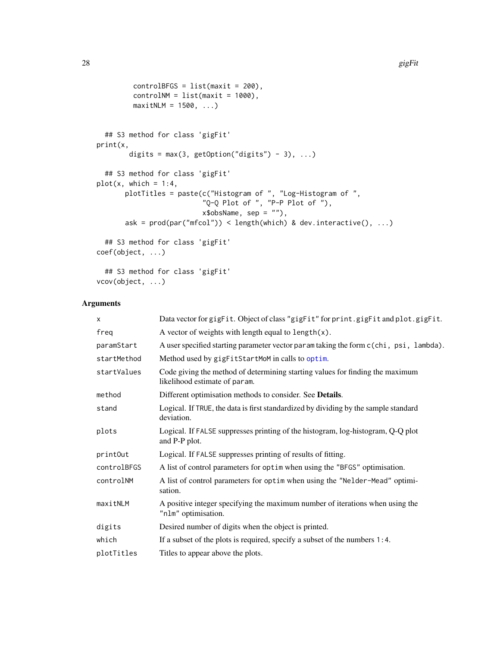```
controlBFGS = list(maxit = 200),
        controlNM = list(maxit = 1000),
        maxitNLM = 1500, ...## S3 method for class 'gigFit'
print(x,
        digits = max(3, getOption("digits") - 3), ...## S3 method for class 'gigFit'
plot(x, which = 1:4,plotTitles = paste(c("Histogram of ", "Log-Histogram of ",
                         "Q-Q Plot of ", "P-P Plot of "),
                         x$obsName, sep = ""),
      ask = prod(par("mfcol")) < length(which) & dev.interactive(), ...)
  ## S3 method for class 'gigFit'
coef(object, ...)
  ## S3 method for class 'gigFit'
vcov(object, ...)
```

| X           | Data vector for gigFit. Object of class "gigFit" for print.gigFit and plot.gigFit.                             |
|-------------|----------------------------------------------------------------------------------------------------------------|
| freg        | A vector of weights with length equal to $length(x)$ .                                                         |
| paramStart  | A user specified starting parameter vector param taking the form c(chi, psi, lambda).                          |
| startMethod | Method used by gigFitStartMoM in calls to optim.                                                               |
| startValues | Code giving the method of determining starting values for finding the maximum<br>likelihood estimate of param. |
| method      | Different optimisation methods to consider. See <b>Details</b> .                                               |
| stand       | Logical. If TRUE, the data is first standardized by dividing by the sample standard<br>deviation.              |
| plots       | Logical. If FALSE suppresses printing of the histogram, log-histogram, Q-Q plot<br>and P-P plot.               |
| printOut    | Logical. If FALSE suppresses printing of results of fitting.                                                   |
| controlBFGS | A list of control parameters for optim when using the "BFGS" optimisation.                                     |
| controlNM   | A list of control parameters for optim when using the "Nelder-Mead" optimi-<br>sation.                         |
| maxitNLM    | A positive integer specifying the maximum number of iterations when using the<br>"nlm" optimisation.           |
| digits      | Desired number of digits when the object is printed.                                                           |
| which       | If a subset of the plots is required, specify a subset of the numbers $1:4$ .                                  |
| plotTitles  | Titles to appear above the plots.                                                                              |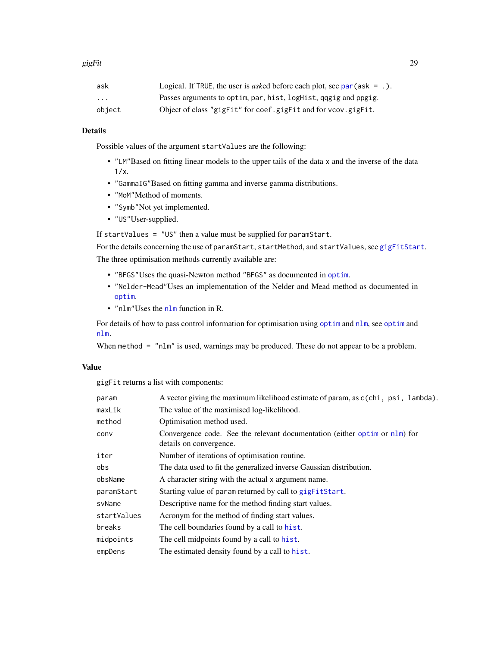#### gigFit 29

| ask                     | Logical. If TRUE, the user is <i>asked</i> before each plot, see $par(ask = .)$ . |
|-------------------------|-----------------------------------------------------------------------------------|
| $\cdot$ $\cdot$ $\cdot$ | Passes arguments to optim, par, hist, logHist, qqgig and ppgig.                   |
| object                  | Object of class "gigFit" for coef.gigFit and for vcov.gigFit.                     |

# Details

Possible values of the argument startValues are the following:

- "LM"Based on fitting linear models to the upper tails of the data x and the inverse of the data 1/x.
- "GammaIG"Based on fitting gamma and inverse gamma distributions.
- "MoM"Method of moments.
- "Symb"Not yet implemented.
- "US"User-supplied.

If startValues = "US" then a value must be supplied for paramStart.

For the details concerning the use of paramStart, startMethod, and startValues, see [gigFitStart](#page-29-1). The three optimisation methods currently available are:

- "BFGS"Uses the quasi-Newton method "BFGS" as documented in [optim](#page-0-0).
- "Nelder-Mead"Uses an implementation of the Nelder and Mead method as documented in [optim](#page-0-0).
- "nlm"Uses the [nlm](#page-0-0) function in R.

For details of how to pass control information for [optim](#page-0-0)isation using optim and [nlm](#page-0-0), see optim and [nlm.](#page-0-0)

When method = "nlm" is used, warnings may be produced. These do not appear to be a problem.

# Value

gigFit returns a list with components:

| param       | A vector giving the maximum likelihood estimate of param, as c(chi, psi, lambda).                     |
|-------------|-------------------------------------------------------------------------------------------------------|
| maxLik      | The value of the maximised log-likelihood.                                                            |
| method      | Optimisation method used.                                                                             |
| conv        | Convergence code. See the relevant documentation (either optim or nlm) for<br>details on convergence. |
| iter        | Number of iterations of optimisation routine.                                                         |
| obs         | The data used to fit the generalized inverse Gaussian distribution.                                   |
| obsName     | A character string with the actual x argument name.                                                   |
| paramStart  | Starting value of param returned by call to gigFitStart.                                              |
| svName      | Descriptive name for the method finding start values.                                                 |
| startValues | Acronym for the method of finding start values.                                                       |
| breaks      | The cell boundaries found by a call to hist.                                                          |
| midpoints   | The cell midpoints found by a call to hist.                                                           |
| empDens     | The estimated density found by a call to hist.                                                        |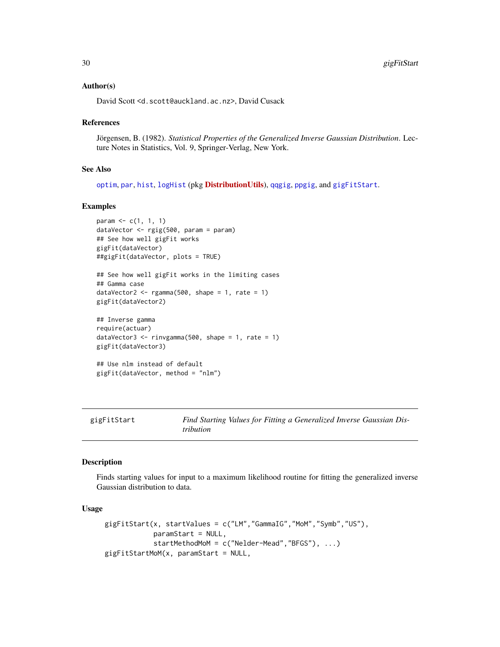#### <span id="page-29-0"></span>Author(s)

David Scott <d.scott@auckland.ac.nz>, David Cusack

#### References

Jörgensen, B. (1982). *Statistical Properties of the Generalized Inverse Gaussian Distribution*. Lecture Notes in Statistics, Vol. 9, Springer-Verlag, New York.

#### See Also

[optim](#page-0-0), [par](#page-0-0), [hist](#page-0-0), [logHist](#page-0-0) (pkg [DistributionUtils](https://CRAN.R-project.org/package=DistributionUtils)), [qqgig](#page-36-1), [ppgig](#page-36-1), and [gigFitStart](#page-29-1).

#### Examples

```
param \leq c(1, 1, 1)dataVector <- rgig(500, param = param)
## See how well gigFit works
gigFit(dataVector)
##gigFit(dataVector, plots = TRUE)
```

```
## See how well gigFit works in the limiting cases
## Gamma case
dataVector2 \leq rgamma(500, shape = 1, rate = 1)
gigFit(dataVector2)
```

```
## Inverse gamma
require(actuar)
dataVector3 \le rinvgamma(500, shape = 1, rate = 1)
gigFit(dataVector3)
## Use nlm instead of default
```

```
gigFit(dataVector, method = "nlm")
```
<span id="page-29-1"></span>gigFitStart *Find Starting Values for Fitting a Generalized Inverse Gaussian Distribution*

#### Description

Finds starting values for input to a maximum likelihood routine for fitting the generalized inverse Gaussian distribution to data.

#### Usage

```
gigFitStart(x, startValues = c("LM","GammaIG","MoM","Symb","US"),
            paramStart = NULL,
            startMethodMoM = c("Nelder-Mead","BFGS"), ...)
gigFitStartMoM(x, paramStart = NULL,
```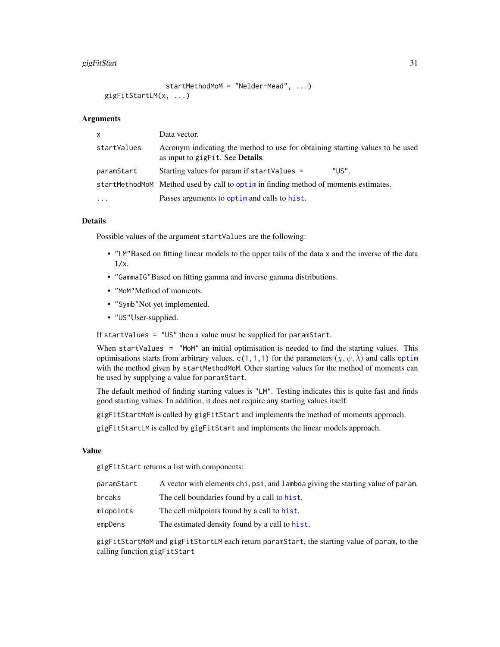#### $g$ igFitStart 31

```
startMethodMoM = "Nelder-Mead", ...)
gigFitStartLM(x, ...)
```
#### Arguments

| X.          | Data vector.                                                                                                              |
|-------------|---------------------------------------------------------------------------------------------------------------------------|
| startValues | Acronym indicating the method to use for obtaining starting values to be used<br>as input to gigFit. See <b>Details</b> . |
| paramStart  | "US".<br>Starting values for param if startValues =                                                                       |
|             | startMethodMoM Method used by call to optim in finding method of moments estimates.                                       |
| $\ddots$    | Passes arguments to optime and calls to hist.                                                                             |

# Details

Possible values of the argument startValues are the following:

- "LM"Based on fitting linear models to the upper tails of the data x and the inverse of the data 1/x.
- "GammaIG"Based on fitting gamma and inverse gamma distributions.
- "MoM"Method of moments.
- "Symb"Not yet implemented.
- "US"User-supplied.

If startValues = "US" then a value must be supplied for paramStart.

When startValues = "MoM" an initial optimisation is needed to find the starting values. This [optim](#page-0-0)isations starts from arbitrary values, c(1,1,1) for the parameters  $(\chi, \psi, \lambda)$  and calls optim with the method given by startMethodMoM. Other starting values for the method of moments can be used by supplying a value for paramStart.

The default method of finding starting values is "LM". Testing indicates this is quite fast and finds good starting values. In addition, it does not require any starting values itself.

gigFitStartMoM is called by gigFitStart and implements the method of moments approach.

gigFitStartLM is called by gigFitStart and implements the linear models approach.

#### Value

gigFitStart returns a list with components:

| paramStart | A vector with elements chi, psi, and lambda giving the starting value of param. |
|------------|---------------------------------------------------------------------------------|
| breaks     | The cell boundaries found by a call to hist.                                    |
| midpoints  | The cell midpoints found by a call to hist.                                     |
| empDens    | The estimated density found by a call to hist.                                  |
|            |                                                                                 |

gigFitStartMoM and gigFitStartLM each return paramStart, the starting value of param, to the calling function gigFitStart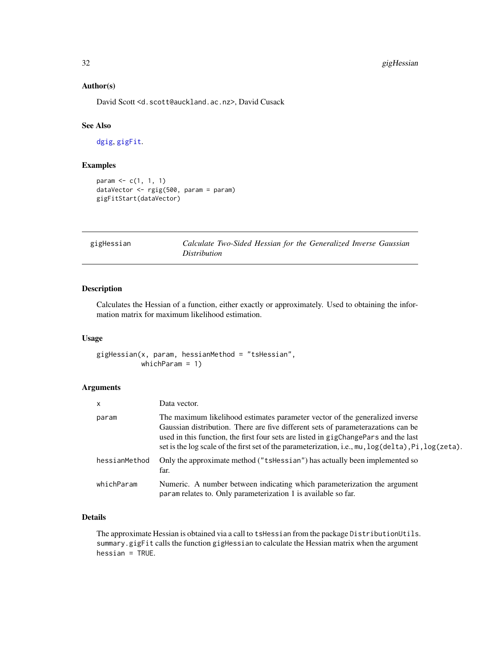# Author(s)

David Scott <d.scott@auckland.ac.nz>, David Cusack

# See Also

[dgig](#page-4-1), [gigFit](#page-26-1).

# Examples

```
param \leq c(1, 1, 1)dataVector <- rgig(500, param = param)
gigFitStart(dataVector)
```

| gigHessian |                     |  | Calculate Two-Sided Hessian for the Generalized Inverse Gaussian |  |
|------------|---------------------|--|------------------------------------------------------------------|--|
|            | <i>Distribution</i> |  |                                                                  |  |

# Description

Calculates the Hessian of a function, either exactly or approximately. Used to obtaining the information matrix for maximum likelihood estimation.

#### Usage

gigHessian(x, param, hessianMethod = "tsHessian", whichParam = 1)

#### Arguments

| $\mathsf{x}$  | Data vector.                                                                                                                                                                                                                                                                                                                                                               |
|---------------|----------------------------------------------------------------------------------------------------------------------------------------------------------------------------------------------------------------------------------------------------------------------------------------------------------------------------------------------------------------------------|
| param         | The maximum likelihood estimates parameter vector of the generalized inverse<br>Gaussian distribution. There are five different sets of parameterazations can be<br>used in this function, the first four sets are listed in gigChangePars and the last<br>set is the log scale of the first set of the parameterization, i.e., $mu$ , $log(delta)$ , $Pi$ , $log(zeta)$ . |
| hessianMethod | Only the approximate method ("tshessian") has actually been implemented so<br>far.                                                                                                                                                                                                                                                                                         |
| whichParam    | Numeric. A number between indicating which parameterization the argument<br>parameterization 1 is available so far.                                                                                                                                                                                                                                                        |

# Details

The approximate Hessian is obtained via a call to tsHessian from the package DistributionUtils. summary.gigFit calls the function gigHessian to calculate the Hessian matrix when the argument hessian = TRUE.

<span id="page-31-0"></span>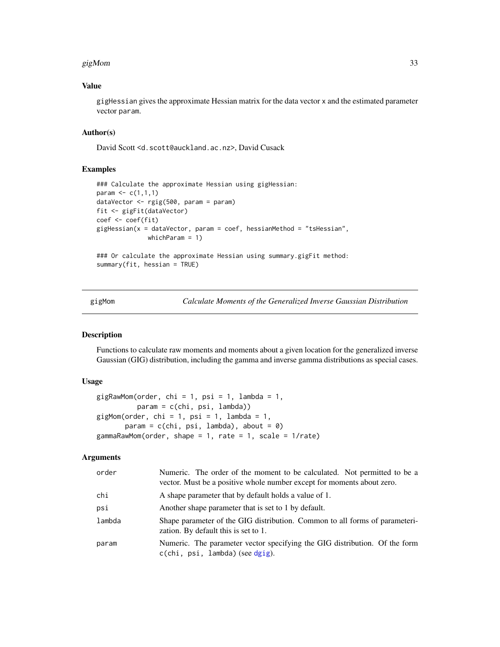#### <span id="page-32-0"></span> $g$ igMom 33

# Value

gigHessian gives the approximate Hessian matrix for the data vector x and the estimated parameter vector param.

# Author(s)

David Scott <d.scott@auckland.ac.nz>, David Cusack

# Examples

```
### Calculate the approximate Hessian using gigHessian:
param \leq c(1,1,1)dataVector <- rgig(500, param = param)
fit <- gigFit(dataVector)
coef <- coef(fit)
gigHessian(x = dataVector, param = coef, hessianMethod = "tsHessian",
             whichParam = 1)
### Or calculate the approximate Hessian using summary.gigFit method:
summary(fit, hessian = TRUE)
```
gigMom *Calculate Moments of the Generalized Inverse Gaussian Distribution*

# Description

Functions to calculate raw moments and moments about a given location for the generalized inverse Gaussian (GIG) distribution, including the gamma and inverse gamma distributions as special cases.

# Usage

```
gigRawMom(order, chi = 1, psi = 1, lambda = 1,
         param = c(chi, psi, lambda))
gigMom(order, chi = 1, psi = 1, lambda = 1,param = c(chi, psi, lambda), about = 0)gammaRawMom(order, shape = 1, rate = 1, scale = 1/rate)
```

| order  | Numeric. The order of the moment to be calculated. Not permitted to be a<br>vector. Must be a positive whole number except for moments about zero. |
|--------|----------------------------------------------------------------------------------------------------------------------------------------------------|
| chi    | A shape parameter that by default holds a value of 1.                                                                                              |
| psi    | Another shape parameter that is set to 1 by default.                                                                                               |
| lambda | Shape parameter of the GIG distribution. Common to all forms of parameteri-<br>zation. By default this is set to 1.                                |
| param  | Numeric. The parameter vector specifying the GIG distribution. Of the form<br>$c$ (chi, psi, lambda) (see dgig).                                   |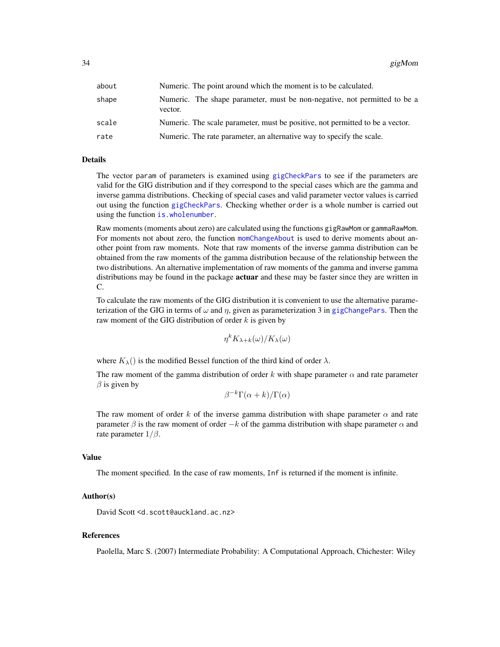34 gigMom

| about | Numeric. The point around which the moment is to be calculated.                      |
|-------|--------------------------------------------------------------------------------------|
| shape | Numeric. The shape parameter, must be non-negative, not permitted to be a<br>vector. |
| scale | Numeric. The scale parameter, must be positive, not permitted to be a vector.        |
| rate  | Numeric. The rate parameter, an alternative way to specify the scale.                |

#### Details

The vector param of parameters is examined using [gigCheckPars](#page-25-1) to see if the parameters are valid for the GIG distribution and if they correspond to the special cases which are the gamma and inverse gamma distributions. Checking of special cases and valid parameter vector values is carried out using the function [gigCheckPars](#page-25-1). Checking whether order is a whole number is carried out using the function [is.wholenumber](#page-0-0).

Raw moments (moments about zero) are calculated using the functions gigRawMom or gammaRawMom. For moments not about zero, the function [momChangeAbout](#page-0-0) is used to derive moments about another point from raw moments. Note that raw moments of the inverse gamma distribution can be obtained from the raw moments of the gamma distribution because of the relationship between the two distributions. An alternative implementation of raw moments of the gamma and inverse gamma distributions may be found in the package **actuar** and these may be faster since they are written in C.

To calculate the raw moments of the GIG distribution it is convenient to use the alternative parameterization of the GIG in terms of  $\omega$  and  $\eta$ , given as parameterization 3 in [gigChangePars](#page-24-1). Then the raw moment of the GIG distribution of order  $k$  is given by

$$
\eta^k K_{\lambda+k}(\omega)/K_{\lambda}(\omega)
$$

where  $K_{\lambda}$ () is the modified Bessel function of the third kind of order  $\lambda$ .

The raw moment of the gamma distribution of order k with shape parameter  $\alpha$  and rate parameter  $\beta$  is given by

$$
\beta^{-k}\Gamma(\alpha+k)/\Gamma(\alpha)
$$

The raw moment of order k of the inverse gamma distribution with shape parameter  $\alpha$  and rate parameter  $\beta$  is the raw moment of order  $-k$  of the gamma distribution with shape parameter  $\alpha$  and rate parameter  $1/\beta$ .

# Value

The moment specified. In the case of raw moments, Inf is returned if the moment is infinite.

# Author(s)

David Scott <d.scott@auckland.ac.nz>

# References

Paolella, Marc S. (2007) Intermediate Probability: A Computational Approach, Chichester: Wiley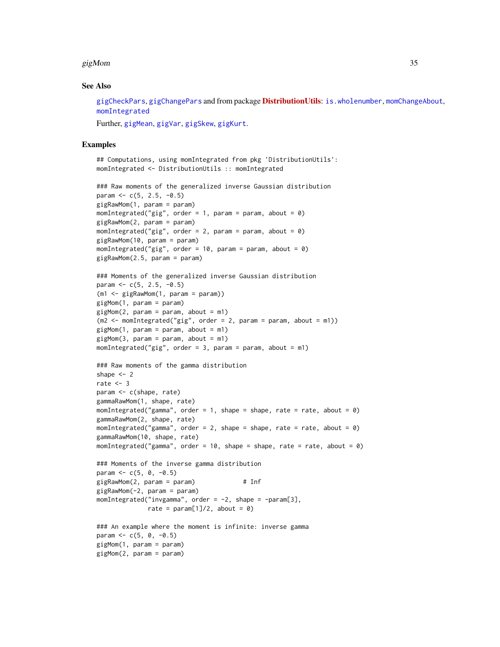#### $g$ igMom 35

#### See Also

[gigCheckPars](#page-25-1), [gigChangePars](#page-24-1) and from package **[DistributionUtils](https://CRAN.R-project.org/package=DistributionUtils)**: [is.wholenumber](#page-0-0), [momChangeAbout](#page-0-0), [momIntegrated](#page-0-0)

Further, [gigMean](#page-82-1), [gigVar](#page-82-1), [gigSkew](#page-82-1), [gigKurt](#page-82-1).

```
## Computations, using momIntegrated from pkg 'DistributionUtils':
momIntegrated <- DistributionUtils :: momIntegrated
```

```
### Raw moments of the generalized inverse Gaussian distribution
param <- c(5, 2.5, -0.5)
gigRawMom(1, param = param)
momIntegrated("gig", order = 1, param = param, about = \theta)
gigRawMom(2, param = param)
momIntegrated("gig", order = 2, param = param, about = \theta)
gigRawMom(10, param = param)
momIntegrated("gig", order = 10, param = param, about = 0)
gigRawMom(2.5, param = param)
### Moments of the generalized inverse Gaussian distribution
param <- c(5, 2.5, -0.5)
(m1 <- gigRawMom(1, param = param))
gigMom(1, param = param)
gigMom(2, param = param, about = m1)(m2 \le - momIntegrated("gig", order = 2, param = param, about = m1))
gigMom(1, param = param, about = m1)gigMom(3, param = param, about = m1)momIntegrated("gig", order = 3, param = param, about = m1)
### Raw moments of the gamma distribution
shape <-2rate <-3param <- c(shape, rate)
gammaRawMom(1, shape, rate)
momIntegrated("gamma", order = 1, shape = shape, rate = rate, about = \emptyset)
gammaRawMom(2, shape, rate)
momIntegrated("gamma", order = 2, shape = shape, rate = rate, about = 0)
gammaRawMom(10, shape, rate)
momIntegrated("gamma", order = 10, shape = shape, rate = rate, about = \emptyset)
```

```
### Moments of the inverse gamma distribution
param <-c(5, 0, -0.5)gigRawMom(2, param = param) # Inf
gigRawMom(-2, param = param)
momIntegrated("invgamma", order = -2, shape = -param[3],
             rate = param[1]/2, about = 0)
```

```
### An example where the moment is infinite: inverse gamma
param <-c(5, 0, -0.5)gigMom(1, param = param)
gigMom(2, param = param)
```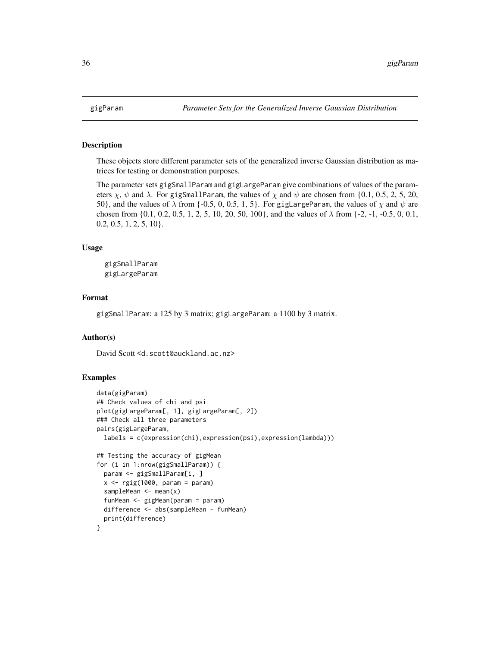<span id="page-35-0"></span>

#### Description

These objects store different parameter sets of the generalized inverse Gaussian distribution as matrices for testing or demonstration purposes.

The parameter sets gigSmallParam and gigLargeParam give combinations of values of the parameters  $\chi$ ,  $\psi$  and  $\lambda$ . For gigSmallParam, the values of  $\chi$  and  $\psi$  are chosen from {0.1, 0.5, 2, 5, 20, 50}, and the values of  $\lambda$  from {-0.5, 0, 0.5, 1, 5}. For gigLargeParam, the values of  $\chi$  and  $\psi$  are chosen from  $\{0.1, 0.2, 0.5, 1, 2, 5, 10, 20, 50, 100\}$ , and the values of  $\lambda$  from  $\{-2, -1, -0.5, 0, 0.1,$  $0.2, 0.5, 1, 2, 5, 10$ .

#### Usage

gigSmallParam gigLargeParam

#### Format

gigSmallParam: a 125 by 3 matrix; gigLargeParam: a 1100 by 3 matrix.

# Author(s)

David Scott <d.scott@auckland.ac.nz>

```
data(gigParam)
## Check values of chi and psi
plot(gigLargeParam[, 1], gigLargeParam[, 2])
### Check all three parameters
pairs(gigLargeParam,
 labels = c(expression(chi),expression(psi),expression(lambda)))
## Testing the accuracy of gigMean
for (i in 1:nrow(gigSmallParam)) {
 param <- gigSmallParam[i, ]
 x \leftarrow rgig(1000, param = param)
 sampleMean \leq mean(x)funMean <- gigMean(param = param)
 difference <- abs(sampleMean - funMean)
 print(difference)
}
```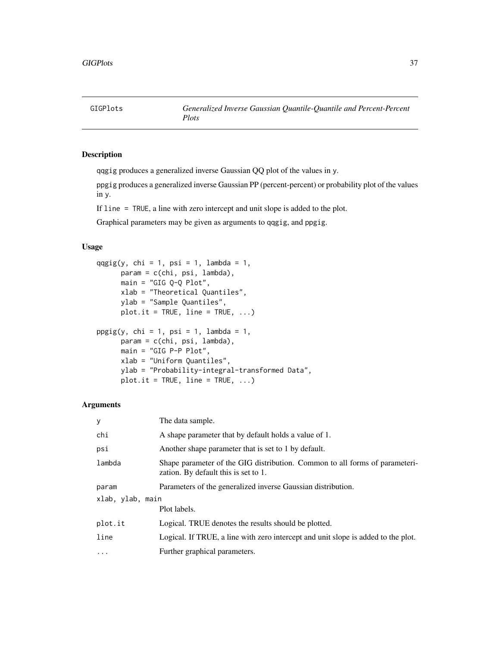# Description

qqgig produces a generalized inverse Gaussian QQ plot of the values in y.

ppgig produces a generalized inverse Gaussian PP (percent-percent) or probability plot of the values in y.

If line = TRUE, a line with zero intercept and unit slope is added to the plot.

Graphical parameters may be given as arguments to qqgig, and ppgig.

# Usage

```
qqgig(y, chi = 1, psi = 1, lambda = 1,param = c(chi, psi, lambda),
     main = "GIG Q-Q Plot",xlab = "Theoretical Quantiles",
     ylab = "Sample Quantiles",
     plot.it = TRUE, line = TRUE, ...)ppgig(y, chi = 1, psi = 1, lambda = 1,param = c(chi, psi, lambda),
     main = "GIG P-P Plot",
     xlab = "Uniform Quantiles",
     ylab = "Probability-integral-transformed Data",
     plot.it = TRUE, line = TRUE, ...)
```

| У                | The data sample.                                                                                                    |  |
|------------------|---------------------------------------------------------------------------------------------------------------------|--|
| chi              | A shape parameter that by default holds a value of 1.                                                               |  |
| psi              | Another shape parameter that is set to 1 by default.                                                                |  |
| lambda           | Shape parameter of the GIG distribution. Common to all forms of parameteri-<br>zation. By default this is set to 1. |  |
| param            | Parameters of the generalized inverse Gaussian distribution.                                                        |  |
| xlab, ylab, main |                                                                                                                     |  |
|                  | Plot labels.                                                                                                        |  |
| plot.it          | Logical. TRUE denotes the results should be plotted.                                                                |  |
| line             | Logical. If TRUE, a line with zero intercept and unit slope is added to the plot.                                   |  |
| $\cdot$          | Further graphical parameters.                                                                                       |  |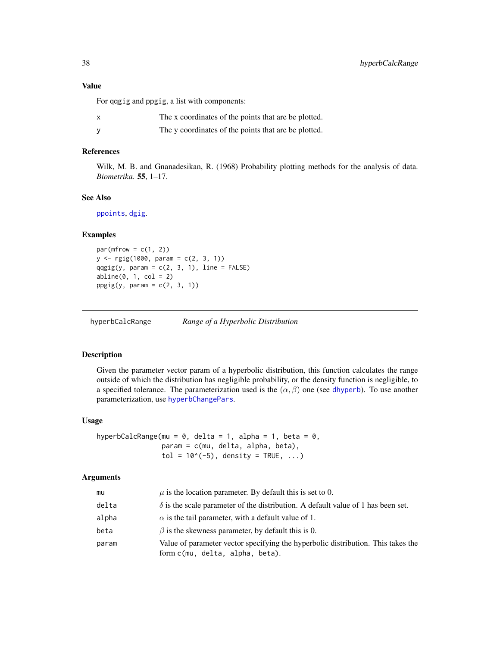## Value

For qqgig and ppgig, a list with components:

| The x coordinates of the points that are be plotted. |
|------------------------------------------------------|
| The y coordinates of the points that are be plotted. |

## References

Wilk, M. B. and Gnanadesikan, R. (1968) Probability plotting methods for the analysis of data. *Biometrika*. 55, 1–17.

# See Also

[ppoints](#page-0-0), [dgig](#page-4-0).

## Examples

```
par(mfrow = c(1, 2))y \leq - rgig(1000, param = c(2, 3, 1))
qqgig(y, param = c(2, 3, 1), line = FALSE)abline(0, 1, col = 2)ppgig(y, param = c(2, 3, 1))
```
hyperbCalcRange *Range of a Hyperbolic Distribution*

# Description

Given the parameter vector param of a hyperbolic distribution, this function calculates the range outside of which the distribution has negligible probability, or the density function is negligible, to a specified tolerance. The parameterization used is the  $(\alpha, \beta)$  one (see [dhyperb](#page-53-0)). To use another parameterization, use [hyperbChangePars](#page-39-0).

## Usage

```
hyperbCalcRange(mu = 0, delta = 1, alpha = 1, beta = 0,
                param = c(mu, delta, alpha, beta),
                tol = 10^*(-5), density = TRUE, ...)
```

| mu    | $\mu$ is the location parameter. By default this is set to 0.                                                       |
|-------|---------------------------------------------------------------------------------------------------------------------|
| delta | $\delta$ is the scale parameter of the distribution. A default value of 1 has been set.                             |
| alpha | $\alpha$ is the tail parameter, with a default value of 1.                                                          |
| beta  | $\beta$ is the skewness parameter, by default this is 0.                                                            |
| param | Value of parameter vector specifying the hyperbolic distribution. This takes the<br>form c(mu, delta, alpha, beta). |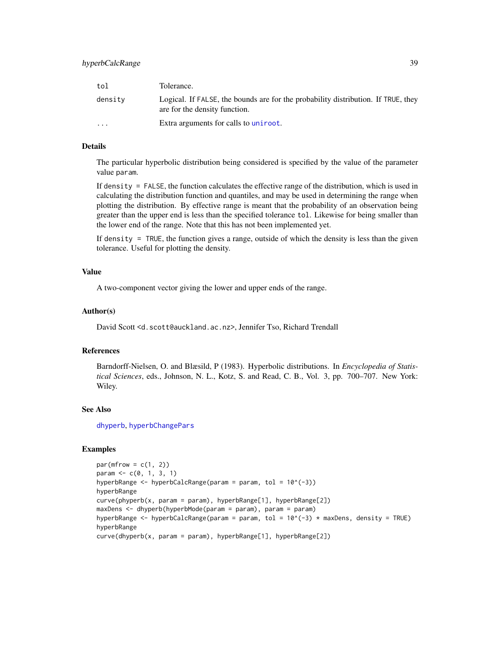| tol      | Tolerance.                                                                                                         |
|----------|--------------------------------------------------------------------------------------------------------------------|
| density  | Logical. If FALSE, the bounds are for the probability distribution. If TRUE, they<br>are for the density function. |
| $\cdots$ | Extra arguments for calls to uniroot.                                                                              |

## Details

The particular hyperbolic distribution being considered is specified by the value of the parameter value param.

If density = FALSE, the function calculates the effective range of the distribution, which is used in calculating the distribution function and quantiles, and may be used in determining the range when plotting the distribution. By effective range is meant that the probability of an observation being greater than the upper end is less than the specified tolerance tol. Likewise for being smaller than the lower end of the range. Note that this has not been implemented yet.

If density = TRUE, the function gives a range, outside of which the density is less than the given tolerance. Useful for plotting the density.

## Value

A two-component vector giving the lower and upper ends of the range.

#### Author(s)

David Scott <d.scott@auckland.ac.nz>, Jennifer Tso, Richard Trendall

## References

Barndorff-Nielsen, O. and Blæsild, P (1983). Hyperbolic distributions. In *Encyclopedia of Statistical Sciences*, eds., Johnson, N. L., Kotz, S. and Read, C. B., Vol. 3, pp. 700–707. New York: Wiley.

#### See Also

[dhyperb](#page-53-0), [hyperbChangePars](#page-39-0)

```
par(mfrow = c(1, 2))param <-c(0, 1, 3, 1)hyperbRange <- hyperbCalcRange(param = param, tol = 10^(-3))
hyperbRange
curve(phyperb(x, param = param), hyperbRange[1], hyperbRange[2])
maxDens <- dhyperb(hyperbMode(param = param), param = param)
hyperbRange <- hyperbCalcRange(param = param, tol = 10^{\circ}(-3) * maxDens, density = TRUE)
hyperbRange
curve(dhyperb(x, param = param), hyperbRange[1], hyperbRange[2])
```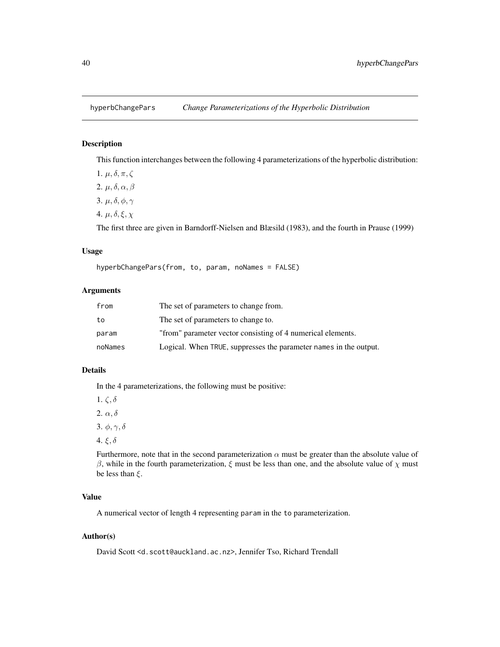# <span id="page-39-0"></span>Description

This function interchanges between the following 4 parameterizations of the hyperbolic distribution:

1.  $\mu$ ,  $\delta$ ,  $\pi$ ,  $\zeta$ 2.  $\mu$ ,  $\delta$ ,  $\alpha$ ,  $\beta$ 3.  $\mu$ ,  $\delta$ ,  $\phi$ ,  $\gamma$ 

4.  $\mu$ ,  $\delta$ ,  $\xi$ ,  $\chi$ 

The first three are given in Barndorff-Nielsen and Blæsild (1983), and the fourth in Prause (1999)

# Usage

hyperbChangePars(from, to, param, noNames = FALSE)

## Arguments

| from    | The set of parameters to change from.                             |
|---------|-------------------------------------------------------------------|
| to      | The set of parameters to change to.                               |
| param   | "from" parameter vector consisting of 4 numerical elements.       |
| noNames | Logical. When TRUE, suppresses the parameter names in the output. |

## Details

In the 4 parameterizations, the following must be positive:

1.  $\zeta$ ,  $\delta$ 2.  $\alpha, \delta$ 3.  $\phi, \gamma, \delta$ 

4. ξ, δ

Furthermore, note that in the second parameterization  $\alpha$  must be greater than the absolute value of β, while in the fourth parameterization,  $ξ$  must be less than one, and the absolute value of  $χ$  must be less than  $\xi$ .

# Value

A numerical vector of length 4 representing param in the to parameterization.

# Author(s)

David Scott <d.scott@auckland.ac.nz>, Jennifer Tso, Richard Trendall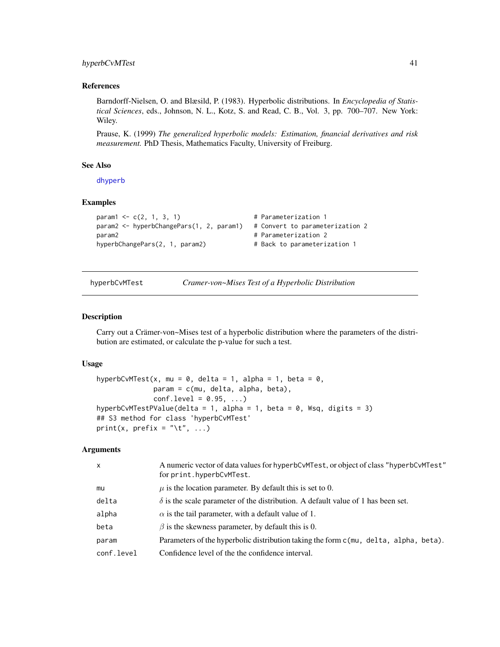# hyperbCvMTest 41

#### References

Barndorff-Nielsen, O. and Blæsild, P. (1983). Hyperbolic distributions. In *Encyclopedia of Statistical Sciences*, eds., Johnson, N. L., Kotz, S. and Read, C. B., Vol. 3, pp. 700–707. New York: Wiley.

Prause, K. (1999) *The generalized hyperbolic models: Estimation, financial derivatives and risk measurement.* PhD Thesis, Mathematics Faculty, University of Freiburg.

## See Also

[dhyperb](#page-53-0)

#### Examples

```
param1 < -c(2, 1, 3, 1) # Parameterization 1
param2 <- hyperbChangePars(1, 2, param1) # Convert to parameterization 2
param2 baram2 1 parameterization 2
hyperbChangePars(2, 1, param2) # Back to parameterization 1
```
hyperbCvMTest *Cramer-von~Mises Test of a Hyperbolic Distribution*

#### <span id="page-40-1"></span>Description

Carry out a Crämer-von~Mises test of a hyperbolic distribution where the parameters of the distribution are estimated, or calculate the p-value for such a test.

## Usage

```
hyperbCvMTest(x, mu = 0, delta = 1, alpha = 1, beta = 0,
              param = c(mu, delta, alpha, beta),
              conf. level = 0.95, ...hyperbCvMTestPValue(delta = 1, alpha = 1, beta = 0, Wsq, digits = 3)
## S3 method for class 'hyperbCvMTest'
print(x, prefix = "\setminus t", ...)
```

| $\mathsf{x}$ | A numeric vector of data values for hyperbCvMTest, or object of class "hyperbCvMTest"<br>for print.hyperbCvMTest. |
|--------------|-------------------------------------------------------------------------------------------------------------------|
| mu           | $\mu$ is the location parameter. By default this is set to 0.                                                     |
| delta        | $\delta$ is the scale parameter of the distribution. A default value of 1 has been set.                           |
| alpha        | $\alpha$ is the tail parameter, with a default value of 1.                                                        |
| beta         | $\beta$ is the skewness parameter, by default this is 0.                                                          |
| param        | Parameters of the hyperbolic distribution taking the form $c$ (mu, delta, alpha, beta).                           |
| conf.level   | Confidence level of the the confidence interval.                                                                  |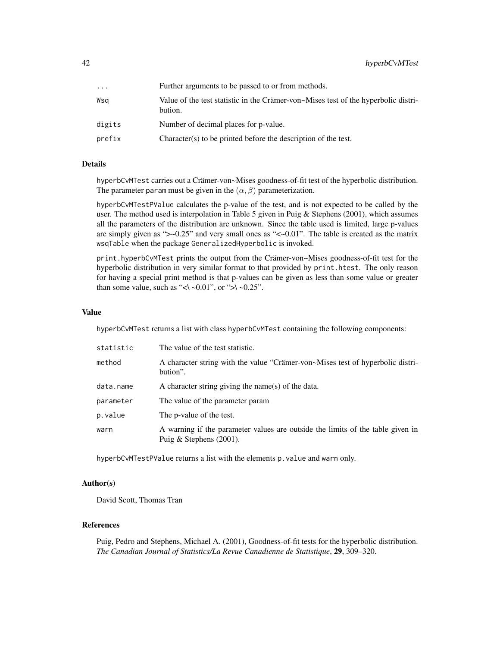| .      | Further arguments to be passed to or from methods.                                            |
|--------|-----------------------------------------------------------------------------------------------|
| Wsa    | Value of the test statistic in the Crämer-von~Mises test of the hyperbolic distri-<br>bution. |
| digits | Number of decimal places for p-value.                                                         |
| prefix | Character(s) to be printed before the description of the test.                                |

## Details

hyperbCvMTest carries out a Crämer-von~Mises goodness-of-fit test of the hyperbolic distribution. The parameter param must be given in the  $(\alpha, \beta)$  parameterization.

hyperbCvMTestPValue calculates the p-value of the test, and is not expected to be called by the user. The method used is interpolation in Table 5 given in Puig & Stephens (2001), which assumes all the parameters of the distribution are unknown. Since the table used is limited, large p-values are simply given as " $\sim$ -0.25" and very small ones as " $\ll$ -0.01". The table is created as the matrix wsqTable when the package GeneralizedHyperbolic is invoked.

print.hyperbCvMTest prints the output from the Crämer-von~Mises goodness-of-fit test for the hyperbolic distribution in very similar format to that provided by print.htest. The only reason for having a special print method is that p-values can be given as less than some value or greater than some value, such as "<\ ~0.01", or ">\ ~0.25".

#### Value

hyperbCvMTest returns a list with class hyperbCvMTest containing the following components:

| statistic | The value of the test statistic.                                                                             |
|-----------|--------------------------------------------------------------------------------------------------------------|
| method    | A character string with the value "Crämer-von~Mises test of hyperbolic distri-<br>bution".                   |
| data.name | A character string giving the name(s) of the data.                                                           |
| parameter | The value of the parameter param                                                                             |
| p.value   | The p-value of the test.                                                                                     |
| warn      | A warning if the parameter values are outside the limits of the table given in<br>Puig & Stephens $(2001)$ . |

hyperbCvMTestPValue returns a list with the elements p.value and warn only.

## Author(s)

David Scott, Thomas Tran

# References

Puig, Pedro and Stephens, Michael A. (2001), Goodness-of-fit tests for the hyperbolic distribution. *The Canadian Journal of Statistics/La Revue Canadienne de Statistique*, 29, 309–320.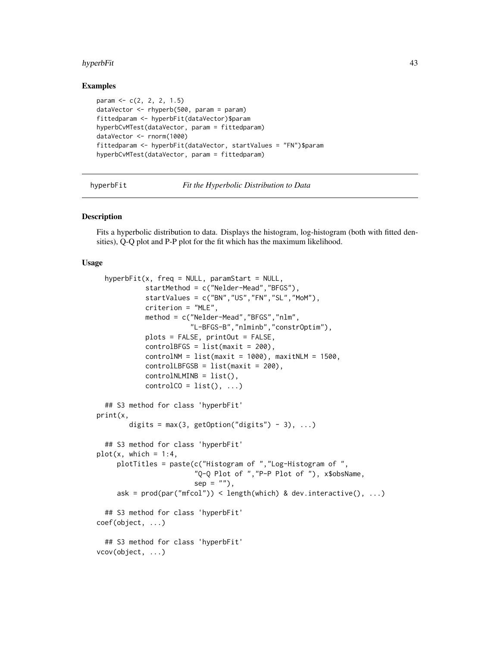#### hyperbFit 43

## Examples

```
param <- c(2, 2, 2, 1.5)
dataVector <- rhyperb(500, param = param)
fittedparam <- hyperbFit(dataVector)$param
hyperbCvMTest(dataVector, param = fittedparam)
dataVector <- rnorm(1000)
fittedparam <- hyperbFit(dataVector, startValues = "FN")$param
hyperbCvMTest(dataVector, param = fittedparam)
```
hyperbFit *Fit the Hyperbolic Distribution to Data*

#### **Description**

Fits a hyperbolic distribution to data. Displays the histogram, log-histogram (both with fitted densities), Q-Q plot and P-P plot for the fit which has the maximum likelihood.

#### Usage

```
hyperbFit(x, freq = NULL, paramStart = NULL,
            startMethod = c("Nelder-Mead","BFGS"),
            startValues = c("BN","US","FN","SL","MoM"),
            criterion = "MLE",
            method = c("Nelder-Mead","BFGS","nlm",
                       "L-BFGS-B","nlminb","constrOptim"),
            plots = FALSE, printOut = FALSE,
            controlBFGS = list(maxit = 200),
            controlNM = list(maxit = 1000), maxitNLM = 1500,
            controlLEFGSB = list(maxit = 200),
            controlNLMINB = list(),
            controlCO = list(), ...)## S3 method for class 'hyperbFit'
print(x,
       digits = max(3, getOption("digits") - 3), ...## S3 method for class 'hyperbFit'
plot(x, which = 1:4,plotTitles = paste(c("Histogram of ","Log-Histogram of ",
                        "Q-Q Plot of ","P-P Plot of "), x$obsName,
                        sep = ""),
     ask = prod(par("mfcol")) < length(which) & dev.interactive(), ...)## S3 method for class 'hyperbFit'
coef(object, ...)
 ## S3 method for class 'hyperbFit'
vcov(object, ...)
```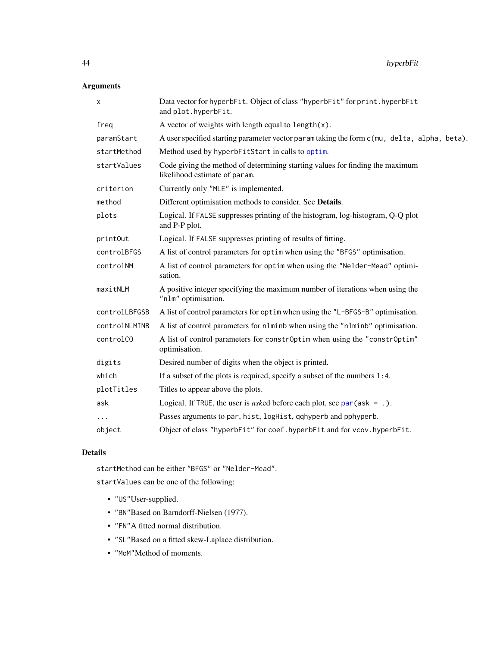# Arguments

| X             | Data vector for hyperbFit. Object of class "hyperbFit" for print. hyperbFit<br>and plot.hyperbFit.             |
|---------------|----------------------------------------------------------------------------------------------------------------|
| freg          | A vector of weights with length equal to $length(x)$ .                                                         |
| paramStart    | A user specified starting parameter vector paramitaking the form c(mu, delta, alpha, beta).                    |
| startMethod   | Method used by hyperbFitStart in calls to optim.                                                               |
| startValues   | Code giving the method of determining starting values for finding the maximum<br>likelihood estimate of param. |
| criterion     | Currently only "MLE" is implemented.                                                                           |
| method        | Different optimisation methods to consider. See Details.                                                       |
| plots         | Logical. If FALSE suppresses printing of the histogram, log-histogram, Q-Q plot<br>and P-P plot.               |
| printOut      | Logical. If FALSE suppresses printing of results of fitting.                                                   |
| controlBFGS   | A list of control parameters for optim when using the "BFGS" optimisation.                                     |
| controlNM     | A list of control parameters for optim when using the "Nelder-Mead" optimi-<br>sation.                         |
| maxitNLM      | A positive integer specifying the maximum number of iterations when using the<br>"nlm" optimisation.           |
| controlLBFGSB | A list of control parameters for optim when using the "L-BFGS-B" optimisation.                                 |
| controlNLMINB | A list of control parameters for n1minb when using the "n1minb" optimisation.                                  |
| controlCO     | A list of control parameters for constrOptim when using the "constrOptim"<br>optimisation.                     |
| digits        | Desired number of digits when the object is printed.                                                           |
| which         | If a subset of the plots is required, specify a subset of the numbers 1:4.                                     |
| plotTitles    | Titles to appear above the plots.                                                                              |
| ask           | Logical. If TRUE, the user is <i>asked</i> before each plot, see $par(ask = .)$ .                              |
| $\cdots$      | Passes arguments to par, hist, logHist, qqhyperb and pphyperb.                                                 |
| object        | Object of class "hyperbFit" for coef. hyperbFit and for vcov. hyperbFit.                                       |

# Details

startMethod can be either "BFGS" or "Nelder-Mead".

startValues can be one of the following:

- "US"User-supplied.
- "BN"Based on Barndorff-Nielsen (1977).
- "FN"A fitted normal distribution.
- "SL"Based on a fitted skew-Laplace distribution.
- "MoM"Method of moments.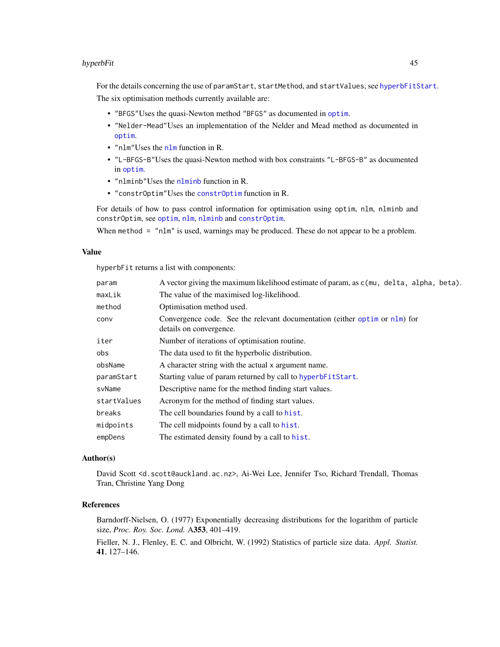## hyperbFit 45

For the details concerning the use of paramStart, startMethod, and startValues, see [hyperbFitStart](#page-45-0). The six optimisation methods currently available are:

- "BFGS"Uses the quasi-Newton method "BFGS" as documented in [optim](#page-0-0).
- "Nelder-Mead"Uses an implementation of the Nelder and Mead method as documented in [optim](#page-0-0).
- "nlm"Uses the [nlm](#page-0-0) function in R.
- "L-BFGS-B"Uses the quasi-Newton method with box constraints "L-BFGS-B" as documented in [optim](#page-0-0).
- "nlminb"Uses the [nlminb](#page-0-0) function in R.
- "constrOptim"Uses the [constrOptim](#page-0-0) function in R.

For details of how to pass control information for optimisation using optim, nlm, nlminb and constrOptim, see [optim](#page-0-0), [nlm](#page-0-0), [nlminb](#page-0-0) and [constrOptim](#page-0-0).

When method = "nlm" is used, warnings may be produced. These do not appear to be a problem.

## Value

hyperbFit returns a list with components:

| param       | A vector giving the maximum likelihood estimate of param, as c(mu, delta, alpha, beta).               |
|-------------|-------------------------------------------------------------------------------------------------------|
| maxLik      | The value of the maximised log-likelihood.                                                            |
| method      | Optimisation method used.                                                                             |
| conv        | Convergence code. See the relevant documentation (either optim or nlm) for<br>details on convergence. |
| iter        | Number of iterations of optimisation routine.                                                         |
| obs         | The data used to fit the hyperbolic distribution.                                                     |
| obsName     | A character string with the actual x argument name.                                                   |
| paramStart  | Starting value of param returned by call to hyperbFitStart.                                           |
| svName      | Descriptive name for the method finding start values.                                                 |
| startValues | Acronym for the method of finding start values.                                                       |
| breaks      | The cell boundaries found by a call to hist.                                                          |
| midpoints   | The cell midpoints found by a call to hist.                                                           |
| empDens     | The estimated density found by a call to hist.                                                        |

## Author(s)

David Scott <d.scott@auckland.ac.nz>, Ai-Wei Lee, Jennifer Tso, Richard Trendall, Thomas Tran, Christine Yang Dong

## References

Barndorff-Nielsen, O. (1977) Exponentially decreasing distributions for the logarithm of particle size, *Proc. Roy. Soc. Lond.* A353, 401–419.

Fieller, N. J., Flenley, E. C. and Olbricht, W. (1992) Statistics of particle size data. *Appl. Statist.* 41, 127–146.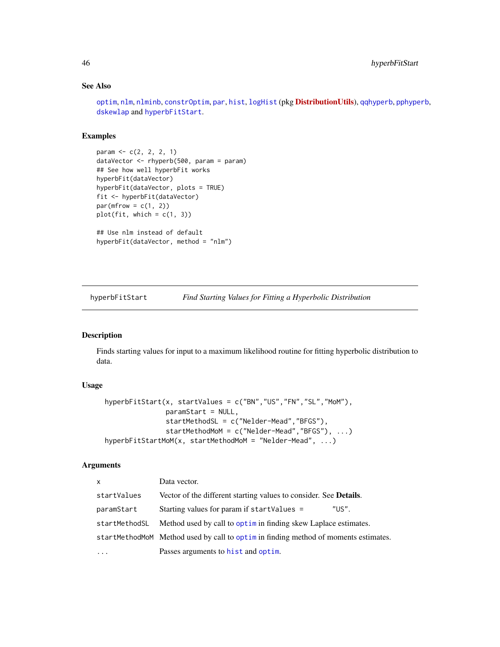# See Also

[optim](#page-0-0), [nlm](#page-0-0), [nlminb](#page-0-0), [constrOptim](#page-0-0), [par](#page-0-0), [hist](#page-0-0), [logHist](#page-0-0) (pkg [DistributionUtils](https://CRAN.R-project.org/package=DistributionUtils)), [qqhyperb](#page-57-0), [pphyperb](#page-57-0), [dskewlap](#page-78-0) and [hyperbFitStart](#page-45-0).

## Examples

```
param <- c(2, 2, 2, 1)
dataVector <- rhyperb(500, param = param)
## See how well hyperbFit works
hyperbFit(dataVector)
hyperbFit(dataVector, plots = TRUE)
fit <- hyperbFit(dataVector)
par(mfrow = c(1, 2))plot(fit, which = c(1, 3))## Use nlm instead of default
hyperbFit(dataVector, method = "nlm")
```
<span id="page-45-0"></span>hyperbFitStart *Find Starting Values for Fitting a Hyperbolic Distribution*

# Description

Finds starting values for input to a maximum likelihood routine for fitting hyperbolic distribution to data.

## Usage

```
hyperbFitStart(x, startValues = c("BN","US","FN","SL","MoM"),
               paramStart = NULL,
               startMethodSL = c("Nelder-Mead","BFGS"),
               startMethodMoM = c("Nelder-Mead","BFGS"), ...)
hyperbFitStartMoM(x, startMethodMoM = "Nelder-Mead", ...)
```

| $\mathsf{x}$  | Data vector.                                                                       |
|---------------|------------------------------------------------------------------------------------|
| startValues   | Vector of the different starting values to consider. See Details.                  |
| paramStart    | "US".<br>Starting values for param if startValues =                                |
| startMethodSL | Method used by call to optim in finding skew Laplace estimates.                    |
|               | startMethodMoM Method used by call to optimin finding method of moments estimates. |
|               | Passes arguments to hist and optim.                                                |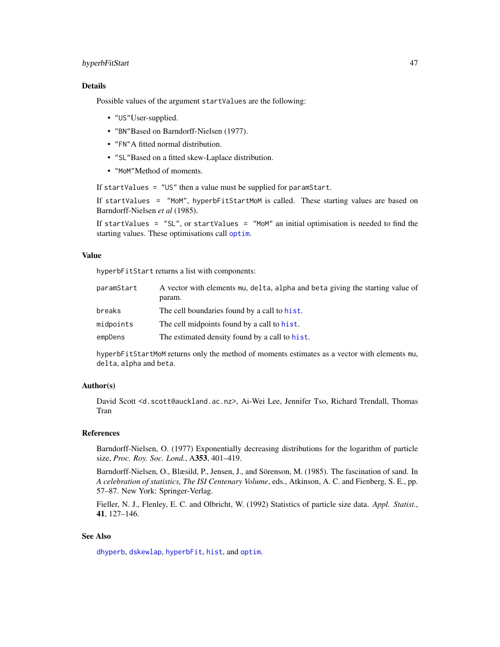# hyperbFitStart 47

# Details

Possible values of the argument startValues are the following:

- "US"User-supplied.
- "BN"Based on Barndorff-Nielsen (1977).
- "FN"A fitted normal distribution.
- "SL"Based on a fitted skew-Laplace distribution.
- "MoM"Method of moments.

If startValues = "US" then a value must be supplied for paramStart.

If startValues = "MoM", hyperbFitStartMoM is called. These starting values are based on Barndorff-Nielsen *et al* (1985).

If startValues =  $"SL"$ , or startValues =  $"MOM"$  an initial optimisation is needed to find the starting values. These optimisations call [optim](#page-0-0).

# Value

hyperbFitStart returns a list with components:

| paramStart | A vector with elements mu, delta, alpha and beta giving the starting value of<br>param. |
|------------|-----------------------------------------------------------------------------------------|
| breaks     | The cell boundaries found by a call to hist.                                            |
| midpoints  | The cell midpoints found by a call to hist.                                             |
| empDens    | The estimated density found by a call to hist.                                          |

hyperbFitStartMoM returns only the method of moments estimates as a vector with elements mu, delta, alpha and beta.

## Author(s)

David Scott <d.scott@auckland.ac.nz>, Ai-Wei Lee, Jennifer Tso, Richard Trendall, Thomas Tran

#### References

Barndorff-Nielsen, O. (1977) Exponentially decreasing distributions for the logarithm of particle size, *Proc. Roy. Soc. Lond.*, A353, 401–419.

Barndorff-Nielsen, O., Blæsild, P., Jensen, J., and Sörenson, M. (1985). The fascination of sand. In *A celebration of statistics, The ISI Centenary Volume*, eds., Atkinson, A. C. and Fienberg, S. E., pp. 57–87. New York: Springer-Verlag.

Fieller, N. J., Flenley, E. C. and Olbricht, W. (1992) Statistics of particle size data. *Appl. Statist.*, 41, 127–146.

## See Also

[dhyperb](#page-53-0), [dskewlap](#page-78-0), [hyperbFit](#page-42-0), [hist](#page-0-0), and [optim](#page-0-0).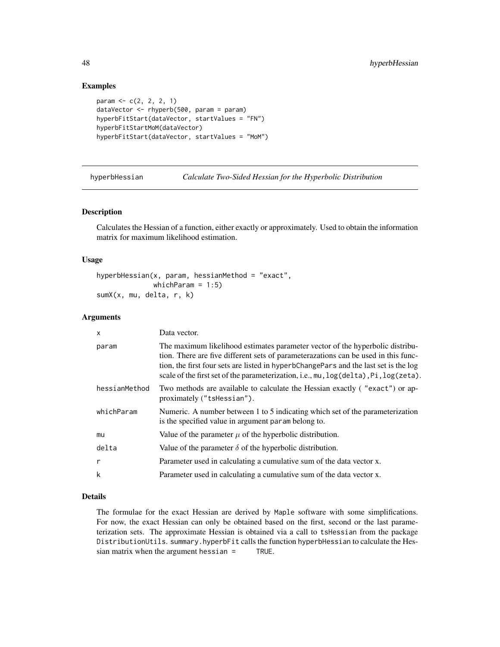## Examples

```
param <- c(2, 2, 2, 1)
dataVector <- rhyperb(500, param = param)
hyperbFitStart(dataVector, startValues = "FN")
hyperbFitStartMoM(dataVector)
hyperbFitStart(dataVector, startValues = "MoM")
```
hyperbHessian *Calculate Two-Sided Hessian for the Hyperbolic Distribution*

## Description

Calculates the Hessian of a function, either exactly or approximately. Used to obtain the information matrix for maximum likelihood estimation.

#### Usage

```
hyperbHessian(x, param, hessianMethod = "exact",
               which\text{Param} = 1:5)
sumX(x, mu, delta, r, k)
```
## Arguments

| $\mathsf{x}$  | Data vector.                                                                                                                                                                                                                                                                                                                                        |  |  |
|---------------|-----------------------------------------------------------------------------------------------------------------------------------------------------------------------------------------------------------------------------------------------------------------------------------------------------------------------------------------------------|--|--|
| param         | The maximum likelihood estimates parameter vector of the hyperbolic distribu-<br>tion. There are five different sets of parameterazations can be used in this func-<br>tion, the first four sets are listed in hyperbChangePars and the last set is the log<br>scale of the first set of the parameterization, i.e., mu, log(delta), Pi, log(zeta). |  |  |
| hessianMethod | Two methods are available to calculate the Hessian exactly ("exact") or ap-<br>proximately ("tshessian").                                                                                                                                                                                                                                           |  |  |
| whichParam    | Numeric. A number between 1 to 5 indicating which set of the parameterization<br>is the specified value in argument param belong to.                                                                                                                                                                                                                |  |  |
| mu            | Value of the parameter $\mu$ of the hyperbolic distribution.                                                                                                                                                                                                                                                                                        |  |  |
| delta         | Value of the parameter $\delta$ of the hyperbolic distribution.                                                                                                                                                                                                                                                                                     |  |  |
| r             | Parameter used in calculating a cumulative sum of the data vector x.                                                                                                                                                                                                                                                                                |  |  |
| k             | Parameter used in calculating a cumulative sum of the data vector x.                                                                                                                                                                                                                                                                                |  |  |

# Details

The formulae for the exact Hessian are derived by Maple software with some simplifications. For now, the exact Hessian can only be obtained based on the first, second or the last parameterization sets. The approximate Hessian is obtained via a call to tsHessian from the package DistributionUtils. summary.hyperbFit calls the function hyperbHessian to calculate the Hessian matrix when the argument hessian = TRUE.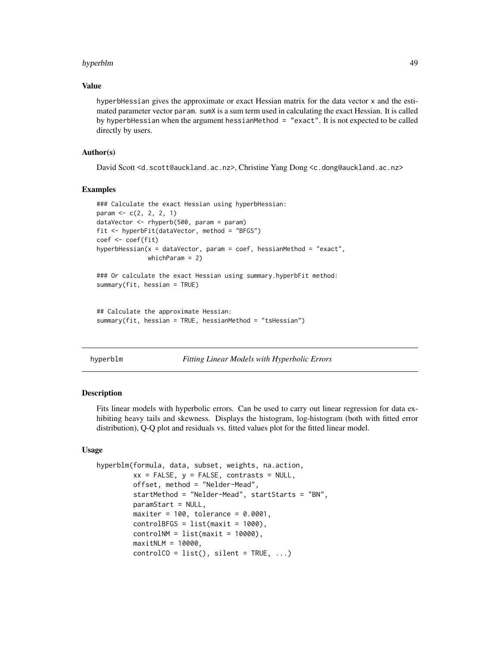#### hyperblm 49

#### Value

hyperbHessian gives the approximate or exact Hessian matrix for the data vector x and the estimated parameter vector param. sumX is a sum term used in calculating the exact Hessian. It is called by hyperbHessian when the argument hessianMethod = "exact". It is not expected to be called directly by users.

## Author(s)

David Scott <d.scott@auckland.ac.nz>, Christine Yang Dong <c.dong@auckland.ac.nz>

#### Examples

```
### Calculate the exact Hessian using hyperbHessian:
param <- c(2, 2, 2, 1)
dataVector <- rhyperb(500, param = param)
fit <- hyperbFit(dataVector, method = "BFGS")
coef <- coef(fit)
hyperbHessian(x = dataVector, param = coef, hessianMethod = "exact",
             whichParam = 2)
### Or calculate the exact Hessian using summary.hyperbFit method:
summary(fit, hessian = TRUE)
```

```
## Calculate the approximate Hessian:
summary(fit, hessian = TRUE, hessianMethod = "tsHessian")
```

```
hyperblm Fitting Linear Models with Hyperbolic Errors
```
#### <span id="page-48-0"></span>Description

Fits linear models with hyperbolic errors. Can be used to carry out linear regression for data exhibiting heavy tails and skewness. Displays the histogram, log-histogram (both with fitted error distribution), Q-Q plot and residuals vs. fitted values plot for the fitted linear model.

## Usage

```
hyperblm(formula, data, subset, weights, na.action,
        xx = FALSE, y = FALSE, contrasts = NULL,offset, method = "Nelder-Mead",
         startMethod = "Nelder-Mead", startStarts = "BN",
         paramStart = NULL,
        maxiter = 100, tolerance = 0.0001,
         controlBFGS = list(maxit = 1000),
         controlNM = list(maxit = 10000),
        maxitNLM = 10000,
         controlCO = list(), silent = TRUE, ...)
```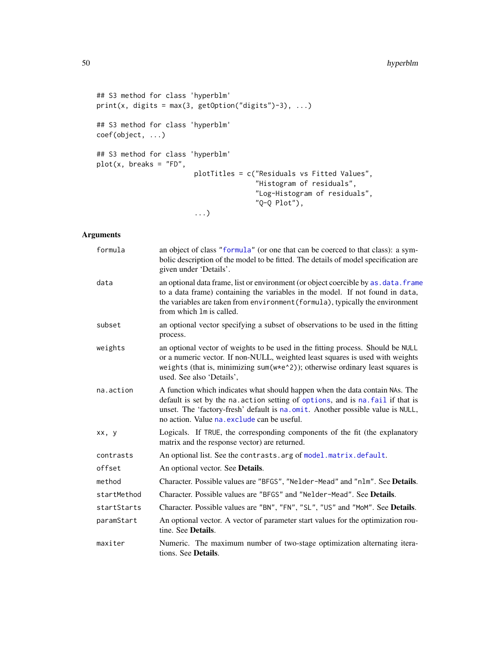```
## S3 method for class 'hyperblm'
print(x, \text{ digits} = max(3, \text{ getOption("digits")-3), ...})## S3 method for class 'hyperblm'
coef(object, ...)
## S3 method for class 'hyperblm'
plot(x, breaks = "FD",
                         plotTitles = c("Residuals vs Fitted Values",
                                         "Histogram of residuals",
                                         "Log-Histogram of residuals",
                                         "Q-Q Plot"),
                         ...)
```

| formula     | an object of class "formula" (or one that can be coerced to that class): a sym-<br>bolic description of the model to be fitted. The details of model specification are<br>given under 'Details'.                                                                                                |  |  |
|-------------|-------------------------------------------------------------------------------------------------------------------------------------------------------------------------------------------------------------------------------------------------------------------------------------------------|--|--|
| data        | an optional data frame, list or environment (or object coercible by as . data. frame<br>to a data frame) containing the variables in the model. If not found in data,<br>the variables are taken from environment (formula), typically the environment<br>from which 1m is called.              |  |  |
| subset      | an optional vector specifying a subset of observations to be used in the fitting<br>process.                                                                                                                                                                                                    |  |  |
| weights     | an optional vector of weights to be used in the fitting process. Should be NULL<br>or a numeric vector. If non-NULL, weighted least squares is used with weights<br>weights (that is, minimizing sum( $w*e^2$ )); otherwise ordinary least squares is<br>used. See also 'Details',              |  |  |
| na.action   | A function which indicates what should happen when the data contain NAs. The<br>default is set by the na. action setting of options, and is na. fail if that is<br>unset. The 'factory-fresh' default is na.omit. Another possible value is NULL,<br>no action. Value na exclude can be useful. |  |  |
| xx, y       | Logicals. If TRUE, the corresponding components of the fit (the explanatory<br>matrix and the response vector) are returned.                                                                                                                                                                    |  |  |
| contrasts   | An optional list. See the contrasts. arg of model. matrix. default.                                                                                                                                                                                                                             |  |  |
| offset      | An optional vector. See <b>Details</b> .                                                                                                                                                                                                                                                        |  |  |
| method      | Character. Possible values are "BFGS", "Nelder-Mead" and "nlm". See Details.                                                                                                                                                                                                                    |  |  |
| startMethod | Character. Possible values are "BFGS" and "Nelder-Mead". See Details.                                                                                                                                                                                                                           |  |  |
| startStarts | Character. Possible values are "BN", "FN", "SL", "US" and "MoM". See Details.                                                                                                                                                                                                                   |  |  |
| paramStart  | An optional vector. A vector of parameter start values for the optimization rou-<br>tine. See Details.                                                                                                                                                                                          |  |  |
| maxiter     | Numeric. The maximum number of two-stage optimization alternating itera-<br>tions. See <b>Details</b> .                                                                                                                                                                                         |  |  |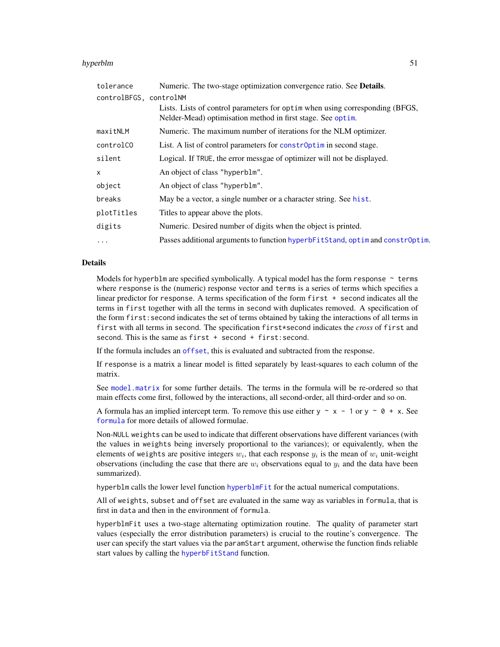#### hyperblm 51

| Numeric. The two-stage optimization convergence ratio. See Details.                                                                         |  |  |
|---------------------------------------------------------------------------------------------------------------------------------------------|--|--|
| controlBFGS, controlNM                                                                                                                      |  |  |
| Lists. Lists of control parameters for optim when using corresponding (BFGS,<br>Nelder-Mead) optimisation method in first stage. See optim. |  |  |
| Numeric. The maximum number of iterations for the NLM optimizer.                                                                            |  |  |
| List. A list of control parameters for constr0ptim in second stage.                                                                         |  |  |
| Logical. If TRUE, the error messgae of optimizer will not be displayed.                                                                     |  |  |
| An object of class "hyperblm".                                                                                                              |  |  |
| An object of class "hyperblm".                                                                                                              |  |  |
| May be a vector, a single number or a character string. See hist.                                                                           |  |  |
| Titles to appear above the plots.                                                                                                           |  |  |
| Numeric. Desired number of digits when the object is printed.                                                                               |  |  |
| Passes additional arguments to function hyperbFitStand, optim and constr0ptim.                                                              |  |  |
|                                                                                                                                             |  |  |

#### Details

Models for hyperblm are specified symbolically. A typical model has the form response  $\sim$  terms where response is the (numeric) response vector and terms is a series of terms which specifies a linear predictor for response. A terms specification of the form first + second indicates all the terms in first together with all the terms in second with duplicates removed. A specification of the form first:second indicates the set of terms obtained by taking the interactions of all terms in first with all terms in second. The specification first\*second indicates the *cross* of first and second. This is the same as first + second + first: second.

If the formula includes an [offset](#page-0-0), this is evaluated and subtracted from the response.

If response is a matrix a linear model is fitted separately by least-squares to each column of the matrix.

See [model.matrix](#page-0-0) for some further details. The terms in the formula will be re-ordered so that main effects come first, followed by the interactions, all second-order, all third-order and so on.

A formula has an implied intercept term. To remove this use either  $y \sim x - 1$  or  $y \sim 0 + x$ . See [formula](#page-0-0) for more details of allowed formulae.

Non-NULL weights can be used to indicate that different observations have different variances (with the values in weights being inversely proportional to the variances); or equivalently, when the elements of weights are positive integers  $w_i$ , that each response  $y_i$  is the mean of  $w_i$  unit-weight observations (including the case that there are  $w_i$  observations equal to  $y_i$  and the data have been summarized).

hyperblm calls the lower level function [hyperblmFit](#page-0-0) for the actual numerical computations.

All of weights, subset and offset are evaluated in the same way as variables in formula, that is first in data and then in the environment of formula.

hyperblmFit uses a two-stage alternating optimization routine. The quality of parameter start values (especially the error distribution parameters) is crucial to the routine's convergence. The user can specify the start values via the paramStart argument, otherwise the function finds reliable start values by calling the [hyperbFitStand](#page-0-0) function.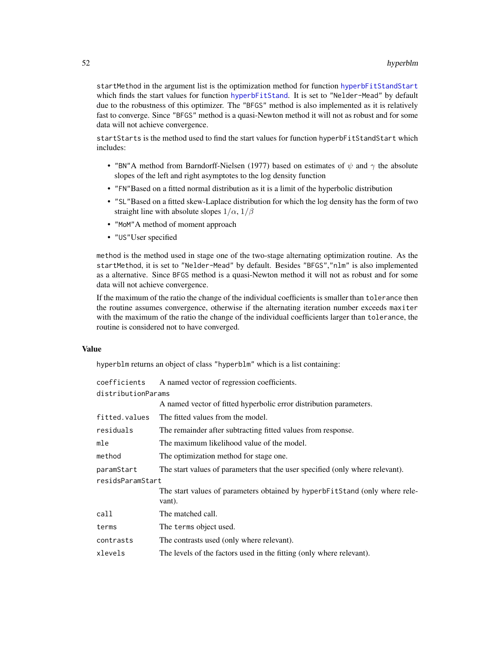startMethod in the argument list is the optimization method for function [hyperbFitStandStart](#page-0-0) which finds the start values for function [hyperbFitStand](#page-0-0). It is set to "Nelder-Mead" by default due to the robustness of this optimizer. The "BFGS" method is also implemented as it is relatively fast to converge. Since "BFGS" method is a quasi-Newton method it will not as robust and for some data will not achieve convergence.

startStarts is the method used to find the start values for function hyperbFitStandStart which includes:

- "BN"A method from Barndorff-Nielsen (1977) based on estimates of  $\psi$  and  $\gamma$  the absolute slopes of the left and right asymptotes to the log density function
- "FN"Based on a fitted normal distribution as it is a limit of the hyperbolic distribution
- "SL"Based on a fitted skew-Laplace distribution for which the log density has the form of two straight line with absolute slopes  $1/\alpha$ ,  $1/\beta$
- "MoM"A method of moment approach
- "US"User specified

method is the method used in stage one of the two-stage alternating optimization routine. As the startMethod, it is set to "Nelder-Mead" by default. Besides "BFGS","nlm" is also implemented as a alternative. Since BFGS method is a quasi-Newton method it will not as robust and for some data will not achieve convergence.

If the maximum of the ratio the change of the individual coefficients is smaller than tolerance then the routine assumes convergence, otherwise if the alternating iteration number exceeds maxiter with the maximum of the ratio the change of the individual coefficients larger than tolerance, the routine is considered not to have converged.

#### Value

hyperblm returns an object of class "hyperblm" which is a list containing:

| coefficients       | A named vector of regression coefficients.                                            |  |  |
|--------------------|---------------------------------------------------------------------------------------|--|--|
| distributionParams |                                                                                       |  |  |
|                    | A named vector of fitted hyperbolic error distribution parameters.                    |  |  |
| fitted.values      | The fitted values from the model.                                                     |  |  |
| residuals          | The remainder after subtracting fitted values from response.                          |  |  |
| mle                | The maximum likelihood value of the model.                                            |  |  |
| method             | The optimization method for stage one.                                                |  |  |
| paramStart         | The start values of parameters that the user specified (only where relevant).         |  |  |
| residsParamStart   |                                                                                       |  |  |
|                    | The start values of parameters obtained by hyperbFitStand (only where rele-<br>vant). |  |  |
| call               | The matched call.                                                                     |  |  |
| terms              | The terms object used.                                                                |  |  |
| contrasts          | The contrasts used (only where relevant).                                             |  |  |
| xlevels            | The levels of the factors used in the fitting (only where relevant).                  |  |  |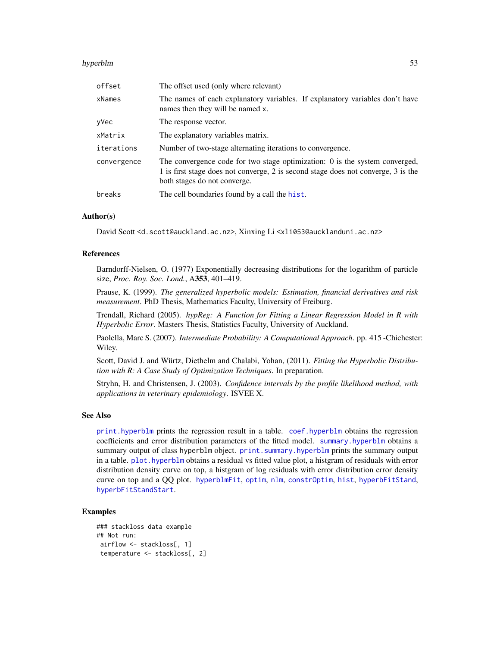#### hyperblm 53

| offset      | The offset used (only where relevant)                                                                                                                                                              |  |  |
|-------------|----------------------------------------------------------------------------------------------------------------------------------------------------------------------------------------------------|--|--|
| xNames      | The names of each explanatory variables. If explanatory variables don't have<br>names then they will be named x.                                                                                   |  |  |
| yVec        | The response vector.                                                                                                                                                                               |  |  |
| xMatrix     | The explanatory variables matrix.                                                                                                                                                                  |  |  |
| iterations  | Number of two-stage alternating iterations to convergence.                                                                                                                                         |  |  |
| convergence | The convergence code for two stage optimization: $0$ is the system converged,<br>1 is first stage does not converge, 2 is second stage does not converge, 3 is the<br>both stages do not converge. |  |  |
| breaks      | The cell boundaries found by a call the hist.                                                                                                                                                      |  |  |

# Author(s)

David Scott <d.scott@auckland.ac.nz>, Xinxing Li <xli053@aucklanduni.ac.nz>

#### References

Barndorff-Nielsen, O. (1977) Exponentially decreasing distributions for the logarithm of particle size, *Proc. Roy. Soc. Lond.*, A353, 401–419.

Prause, K. (1999). *The generalized hyperbolic models: Estimation, financial derivatives and risk measurement*. PhD Thesis, Mathematics Faculty, University of Freiburg.

Trendall, Richard (2005). *hypReg: A Function for Fitting a Linear Regression Model in R with Hyperbolic Error*. Masters Thesis, Statistics Faculty, University of Auckland.

Paolella, Marc S. (2007). *Intermediate Probability: A Computational Approach*. pp. 415 -Chichester: Wiley.

Scott, David J. and Würtz, Diethelm and Chalabi, Yohan, (2011). *Fitting the Hyperbolic Distribution with R: A Case Study of Optimization Techniques*. In preparation.

Stryhn, H. and Christensen, J. (2003). *Confidence intervals by the profile likelihood method, with applications in veterinary epidemiology*. ISVEE X.

#### See Also

[print.hyperblm](#page-48-0) prints the regression result in a table. [coef.hyperblm](#page-48-0) obtains the regression coefficients and error distribution parameters of the fitted model. [summary.hyperblm](#page-90-0) obtains a summary output of class hyperblm object. print. summary.hyperblm prints the summary output in a table. [plot.hyperblm](#page-48-0) obtains a residual vs fitted value plot, a histgram of residuals with error distribution density curve on top, a histgram of log residuals with error distribution error density curve on top and a QQ plot. [hyperblmFit](#page-0-0), [optim](#page-0-0), [nlm](#page-0-0), [constrOptim](#page-0-0), [hist](#page-0-0), [hyperbFitStand](#page-0-0), [hyperbFitStandStart](#page-0-0).

```
### stackloss data example
## Not run:
airflow <- stackloss[, 1]
temperature <- stackloss[, 2]
```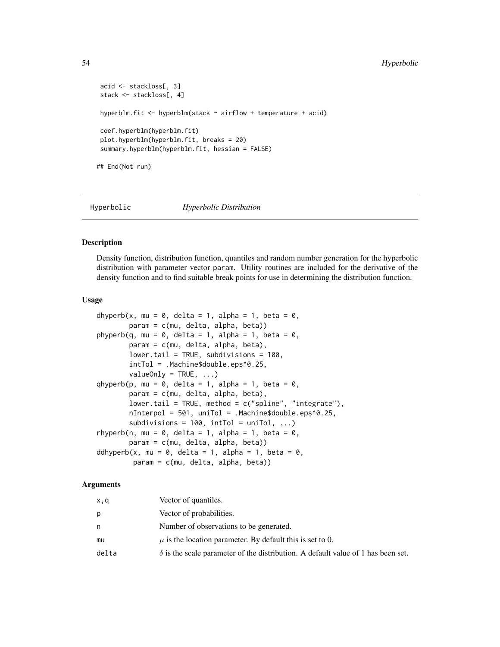# 54 Hyperbolic

```
acid <- stackloss[, 3]
stack <- stackloss[, 4]
hyperblm.fit <- hyperblm(stack \sim airflow + temperature + acid)
coef.hyperblm(hyperblm.fit)
plot.hyperblm(hyperblm.fit, breaks = 20)
summary.hyperblm(hyperblm.fit, hessian = FALSE)
## End(Not run)
```
Hyperbolic *Hyperbolic Distribution*

#### <span id="page-53-0"></span>Description

Density function, distribution function, quantiles and random number generation for the hyperbolic distribution with parameter vector param. Utility routines are included for the derivative of the density function and to find suitable break points for use in determining the distribution function.

#### Usage

```
dhyperb(x, mu = 0, delta = 1, alpha = 1, beta = 0,
        param = c(mu, delta, alpha, beta))
phyperb(q, mu = \theta, delta = 1, alpha = 1, beta = \theta,
        param = c(mu, delta, alpha, beta),
        lower.tail = TRUE, subdivisions = 100,
        intTol = .Machine$double.eps^0.25,
        valueOnly = TRUE, ...)qhyperb(p, mu = \theta, delta = 1, alpha = 1, beta = \theta,
        param = c(mu, delta, alpha, beta),
        lower.tail = TRUE, method = c("spline", "integrate"),
        nInterpol = 501, uniTol = .Machine$double.eps^0.25,
        subdivisions = 100, intTol = uniTol, ...)
rhyperb(n, mu = 0, delta = 1, alpha = 1, beta = 0,
        param = c(mu, delta, alpha, beta))
ddhyperb(x, mu = 0, delta = 1, alpha = 1, beta = 0,
         param = c(mu, delta, alpha, beta))
```

| x,q   | Vector of quantiles.                                                                    |
|-------|-----------------------------------------------------------------------------------------|
| p     | Vector of probabilities.                                                                |
| n     | Number of observations to be generated.                                                 |
| mu    | $\mu$ is the location parameter. By default this is set to 0.                           |
| delta | $\delta$ is the scale parameter of the distribution. A default value of 1 has been set. |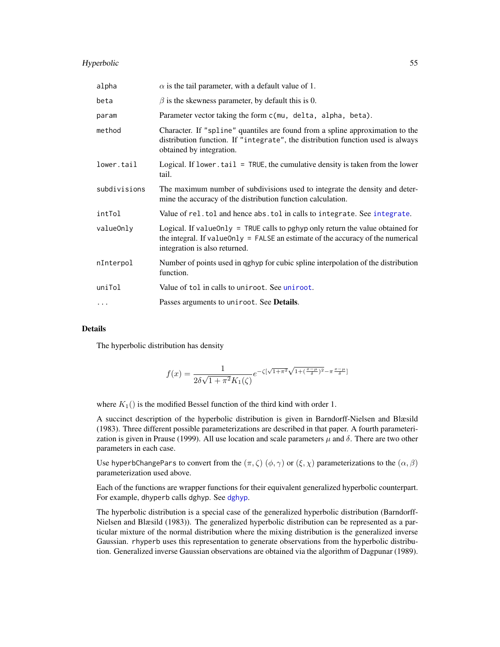# Hyperbolic 55

| alpha        | $\alpha$ is the tail parameter, with a default value of 1.                                                                                                                                             |  |  |
|--------------|--------------------------------------------------------------------------------------------------------------------------------------------------------------------------------------------------------|--|--|
| beta         | $\beta$ is the skewness parameter, by default this is 0.                                                                                                                                               |  |  |
| param        | Parameter vector taking the form c(mu, delta, alpha, beta).                                                                                                                                            |  |  |
| method       | Character. If "spline" quantiles are found from a spline approximation to the<br>distribution function. If "integrate", the distribution function used is always<br>obtained by integration.           |  |  |
| lower.tail   | Logical. If lower $t$ tail = TRUE, the cumulative density is taken from the lower<br>tail.                                                                                                             |  |  |
| subdivisions | The maximum number of subdivisions used to integrate the density and deter-<br>mine the accuracy of the distribution function calculation.                                                             |  |  |
| intTol       | Value of rel. tol and hence abs. tol in calls to integrate. See integrate.                                                                                                                             |  |  |
| valueOnly    | Logical. If value Only = TRUE calls to pghyp only return the value obtained for<br>the integral. If value Only $=$ FALSE an estimate of the accuracy of the numerical<br>integration is also returned. |  |  |
| nInterpol    | Number of points used in qghyp for cubic spline interpolation of the distribution<br>function.                                                                                                         |  |  |
| uniTol       | Value of tol in calls to uniroot. See uniroot.                                                                                                                                                         |  |  |
| $\cdots$     | Passes arguments to uniroot. See <b>Details</b> .                                                                                                                                                      |  |  |

# Details

The hyperbolic distribution has density

$$
f(x)=\frac{1}{2\delta\sqrt{1+\pi^2}K_1(\zeta)}e^{-\zeta[\sqrt{1+\pi^2}\sqrt{1+(\frac{x-\mu}{\delta})^2}-\pi\frac{x-\mu}{\delta}]}
$$

where  $K_1()$  is the modified Bessel function of the third kind with order 1.

A succinct description of the hyperbolic distribution is given in Barndorff-Nielsen and Blæsild (1983). Three different possible parameterizations are described in that paper. A fourth parameterization is given in Prause (1999). All use location and scale parameters  $\mu$  and  $\delta$ . There are two other parameters in each case.

Use hyperbChangePars to convert from the  $(\pi, \zeta)$  ( $(\phi, \gamma)$ ) or  $(\xi, \chi)$  parameterizations to the  $(\alpha, \beta)$ parameterization used above.

Each of the functions are wrapper functions for their equivalent generalized hyperbolic counterpart. For example, dhyperb calls dghyp. See [dghyp](#page-9-0).

The hyperbolic distribution is a special case of the generalized hyperbolic distribution (Barndorff-Nielsen and Blæsild (1983)). The generalized hyperbolic distribution can be represented as a particular mixture of the normal distribution where the mixing distribution is the generalized inverse Gaussian. rhyperb uses this representation to generate observations from the hyperbolic distribution. Generalized inverse Gaussian observations are obtained via the algorithm of Dagpunar (1989).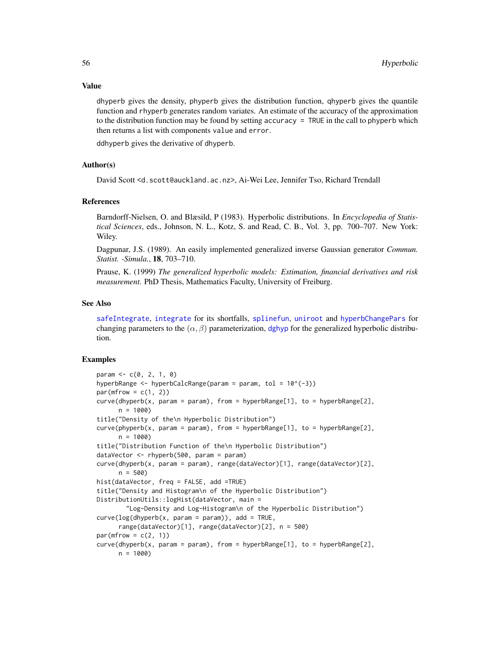#### Value

dhyperb gives the density, phyperb gives the distribution function, qhyperb gives the quantile function and rhyperb generates random variates. An estimate of the accuracy of the approximation to the distribution function may be found by setting accuracy = TRUE in the call to phyperb which then returns a list with components value and error.

ddhyperb gives the derivative of dhyperb.

## Author(s)

David Scott <d.scott@auckland.ac.nz>, Ai-Wei Lee, Jennifer Tso, Richard Trendall

# References

Barndorff-Nielsen, O. and Blæsild, P (1983). Hyperbolic distributions. In *Encyclopedia of Statistical Sciences*, eds., Johnson, N. L., Kotz, S. and Read, C. B., Vol. 3, pp. 700–707. New York: Wiley.

Dagpunar, J.S. (1989). An easily implemented generalized inverse Gaussian generator *Commun. Statist. -Simula.*, 18, 703–710.

Prause, K. (1999) *The generalized hyperbolic models: Estimation, financial derivatives and risk measurement.* PhD Thesis, Mathematics Faculty, University of Freiburg.

#### See Also

[safeIntegrate](#page-0-0), [integrate](#page-0-0) for its shortfalls, [splinefun](#page-0-0), [uniroot](#page-0-0) and [hyperbChangePars](#page-39-0) for changing parameters to the  $(\alpha, \beta)$  parameterization, [dghyp](#page-9-0) for the generalized hyperbolic distribution.

```
param < -c(0, 2, 1, 0)hyperbRange <- hyperbCalcRange(param = param, tol = 10^(-3))
par(mfrow = c(1, 2))curve(dhyperb(x, param = param), from = hyperbRange[1], to = hyperbRange[2],
      n = 1000title("Density of the\n Hyperbolic Distribution")
curve(phyperb(x, param = param), from = hyperbRange[1], to = hyperbRange[2],
     n = 1000title("Distribution Function of the\n Hyperbolic Distribution")
dataVector <- rhyperb(500, param = param)
curve(dhyperb(x, param = param), range(dataVector)[1], range(dataVector)[2],
     n = 500hist(dataVector, freq = FALSE, add =TRUE)
title("Density and Histogram\n of the Hyperbolic Distribution")
DistributionUtils::logHist(dataVector, main =
        "Log-Density and Log-Histogram\n of the Hyperbolic Distribution")
curve(log(dhyperb(x, param = param)), add = TRUE,range(dataVector)[1], range(dataVector)[2], n = 500)
par(mfrow = c(2, 1))curve(dhyperb(x, param = param), from = hyperbRange[1], to = hyperbRange[2],
     n = 1000
```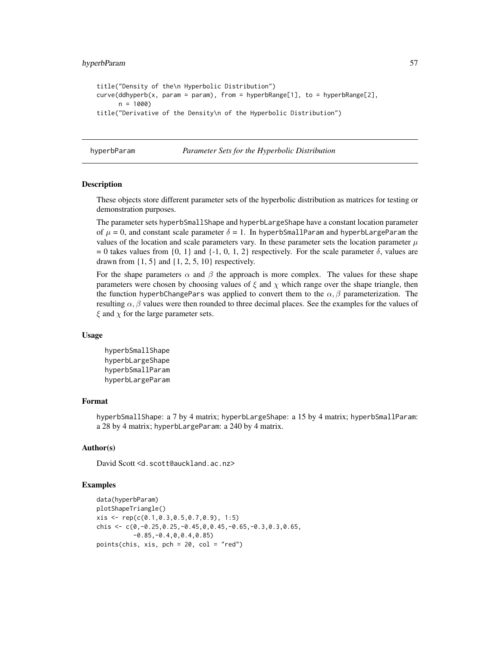# hyperbParam 57

```
title("Density of the\n Hyperbolic Distribution")
curve(ddhyperb(x, param = param), from = hyperbRange[1], to = hyperbRange[2],n = 1000title("Derivative of the Density\n of the Hyperbolic Distribution")
```
hyperbParam *Parameter Sets for the Hyperbolic Distribution*

#### Description

These objects store different parameter sets of the hyperbolic distribution as matrices for testing or demonstration purposes.

The parameter sets hyperbSmallShape and hyperbLargeShape have a constant location parameter of  $\mu = 0$ , and constant scale parameter  $\delta = 1$ . In hyperbSmallParam and hyperbLargeParam the values of the location and scale parameters vary. In these parameter sets the location parameter  $\mu$ = 0 takes values from {0, 1} and {-1, 0, 1, 2} respectively. For the scale parameter  $\delta$ , values are drawn from  $\{1, 5\}$  and  $\{1, 2, 5, 10\}$  respectively.

For the shape parameters  $\alpha$  and  $\beta$  the approach is more complex. The values for these shape parameters were chosen by choosing values of  $\xi$  and  $\chi$  which range over the shape triangle, then the function hyperbChangePars was applied to convert them to the  $\alpha, \beta$  parameterization. The resulting  $\alpha$ ,  $\beta$  values were then rounded to three decimal places. See the examples for the values of  $\xi$  and  $\chi$  for the large parameter sets.

#### Usage

hyperbSmallShape hyperbLargeShape hyperbSmallParam hyperbLargeParam

#### Format

hyperbSmallShape: a 7 by 4 matrix; hyperbLargeShape: a 15 by 4 matrix; hyperbSmallParam: a 28 by 4 matrix; hyperbLargeParam: a 240 by 4 matrix.

## Author(s)

David Scott <d.scott@auckland.ac.nz>

```
data(hyperbParam)
plotShapeTriangle()
xis <- rep(c(0.1,0.3,0.5,0.7,0.9), 1:5)
chis \leq c(0, -0.25, 0.25, -0.45, 0.0.45, -0.65, -0.3, 0.3, 0.65,-0.85,-0.4,0,0.4,0.85)
points(chis, xis, pch = 20, col = "red")
```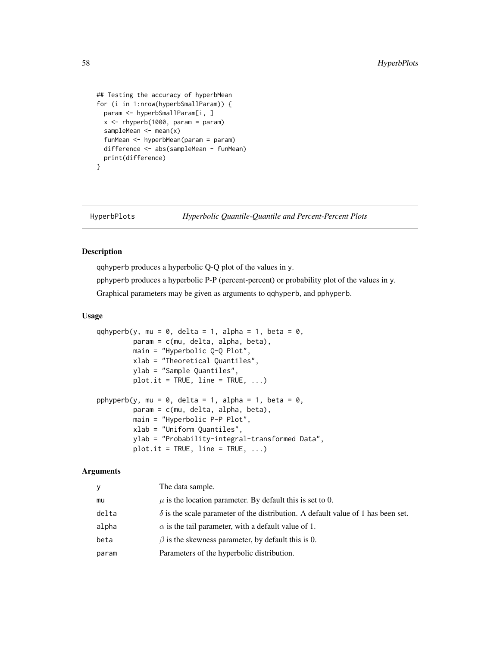```
## Testing the accuracy of hyperbMean
for (i in 1:nrow(hyperbSmallParam)) {
 param <- hyperbSmallParam[i, ]
 x \leq -rhyperb(1000, param = param)
 sampleMean <- mean(x)
 funMean <- hyperbMean(param = param)
 difference <- abs(sampleMean - funMean)
 print(difference)
}
```
## HyperbPlots *Hyperbolic Quantile-Quantile and Percent-Percent Plots*

# <span id="page-57-0"></span>Description

qqhyperb produces a hyperbolic Q-Q plot of the values in y.

pphyperb produces a hyperbolic P-P (percent-percent) or probability plot of the values in y.

Graphical parameters may be given as arguments to qqhyperb, and pphyperb.

# Usage

```
qqhyperb(y, mu = \theta, delta = 1, alpha = 1, beta = \theta,
         param = c(mu, delta, alpha, beta),
         main = "Hyperbolic Q-Q Plot",
         xlab = "Theoretical Quantiles",
         ylab = "Sample Quantiles",
         plot.it = TRUE, line = TRUE, ...)pphyperb(y, mu = 0, delta = 1, alpha = 1, beta = 0,
         param = c(mu, delta, alpha, beta),
         main = "Hyperbolic P-P Plot",
         xlab = "Uniform Quantiles",
         ylab = "Probability-integral-transformed Data",
         plot.it = TRUE, line = TRUE, ...)
```

| y     | The data sample.                                                                        |
|-------|-----------------------------------------------------------------------------------------|
| mu    | $\mu$ is the location parameter. By default this is set to 0.                           |
| delta | $\delta$ is the scale parameter of the distribution. A default value of 1 has been set. |
| alpha | $\alpha$ is the tail parameter, with a default value of 1.                              |
| beta  | $\beta$ is the skewness parameter, by default this is 0.                                |
| param | Parameters of the hyperbolic distribution.                                              |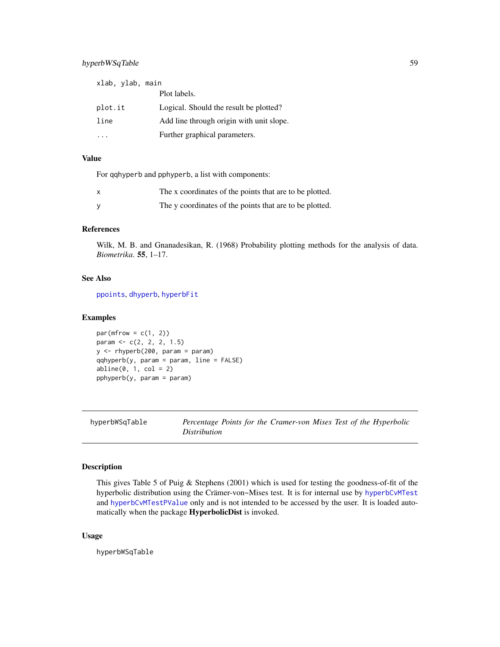# hyperbWSqTable 59

| xlab, ylab, main |                                          |
|------------------|------------------------------------------|
|                  | Plot labels.                             |
| plot.it          | Logical. Should the result be plotted?   |
| line             | Add line through origin with unit slope. |
|                  | Further graphical parameters.            |

# Value

For qqhyperb and pphyperb, a list with components:

| x | The x coordinates of the points that are to be plotted. |
|---|---------------------------------------------------------|
|   | The y coordinates of the points that are to be plotted. |

# References

Wilk, M. B. and Gnanadesikan, R. (1968) Probability plotting methods for the analysis of data. *Biometrika*. 55, 1–17.

# See Also

[ppoints](#page-0-0), [dhyperb](#page-53-0), [hyperbFit](#page-42-0)

#### Examples

```
par(mfrow = c(1, 2))param <- c(2, 2, 2, 1.5)
y \le -rhyperb(200, param = param)qqhyperb(y, param = param, line = FALSE)abline(0, 1, col = 2)pphyperb(y, param = param)
```
hyperbWSqTable *Percentage Points for the Cramer-von Mises Test of the Hyperbolic Distribution*

# Description

This gives Table 5 of Puig & Stephens (2001) which is used for testing the goodness-of-fit of the hyperbolic distribution using the Crämer-von~Mises test. It is for internal use by [hyperbCvMTest](#page-40-0) and [hyperbCvMTestPValue](#page-40-1) only and is not intended to be accessed by the user. It is loaded automatically when the package HyperbolicDist is invoked.

# Usage

hyperbWSqTable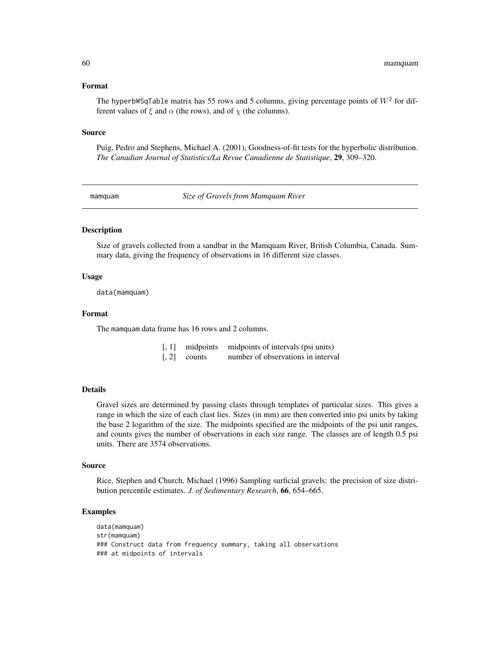#### Format

The hyperbWSqTable matrix has 55 rows and 5 columns, giving percentage points of  $W^2$  for different values of  $\xi$  and  $\alpha$  (the rows), and of  $\chi$  (the columns).

#### Source

Puig, Pedro and Stephens, Michael A. (2001), Goodness-of-fit tests for the hyperbolic distribution. *The Canadian Journal of Statistics/La Revue Canadienne de Statistique*, 29, 309–320.

mamquam *Size of Gravels from Mamquam River*

## **Description**

Size of gravels collected from a sandbar in the Mamquam River, British Columbia, Canada. Summary data, giving the frequency of observations in 16 different size classes.

# Usage

data(mamquam)

# Format

The mamquam data frame has 16 rows and 2 columns.

| $[, 1]$ midpoints        | midpoints of intervals (psi units) |
|--------------------------|------------------------------------|
| $\lceil 2 \rceil$ counts | number of observations in interval |

#### Details

Gravel sizes are determined by passing clasts through templates of particular sizes. This gives a range in which the size of each clast lies. Sizes (in mm) are then converted into psi units by taking the base 2 logarithm of the size. The midpoints specified are the midpoints of the psi unit ranges, and counts gives the number of observations in each size range. The classes are of length 0.5 psi units. There are 3574 observations.

#### Source

Rice, Stephen and Church, Michael (1996) Sampling surficial gravels: the precision of size distribution percentile estimates. *J. of Sedimentary Research*, 66, 654–665.

```
data(mamquam)
str(mamquam)
### Construct data from frequency summary, taking all observations
### at midpoints of intervals
```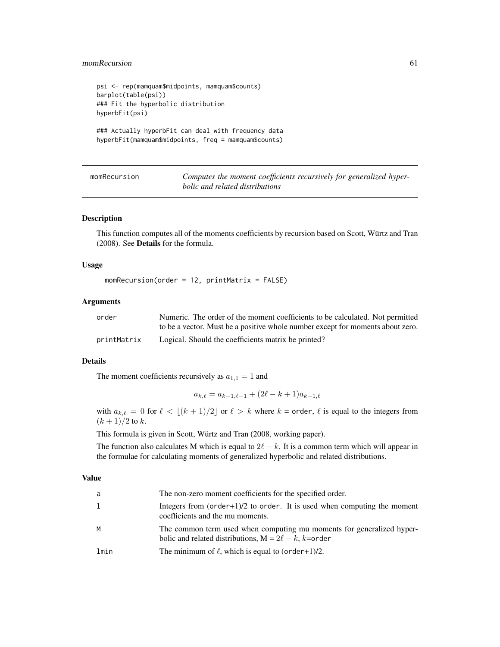# momRecursion 61

```
psi <- rep(mamquam$midpoints, mamquam$counts)
barplot(table(psi))
### Fit the hyperbolic distribution
hyperbFit(psi)
### Actually hyperbFit can deal with frequency data
hyperbFit(mamquam$midpoints, freq = mamquam$counts)
```

| momRecursion |  |
|--------------|--|
|              |  |
|              |  |
|              |  |

Computes the moment coefficients recursively for generalized hyper*bolic and related distributions*

## Description

This function computes all of the moments coefficients by recursion based on Scott, Würtz and Tran (2008). See Details for the formula.

#### Usage

 $momenten(order = 12, printMatrix = FALSE)$ 

## Arguments

| order       | Numeric. The order of the moment coefficients to be calculated. Not permitted  |
|-------------|--------------------------------------------------------------------------------|
|             | to be a vector. Must be a positive whole number except for moments about zero. |
| printMatrix | Logical. Should the coefficients matrix be printed?                            |

# Details

The moment coefficients recursively as  $a_{1,1} = 1$  and

$$
a_{k,\ell} = a_{k-1,\ell-1} + (2\ell - k + 1)a_{k-1,\ell}
$$

with  $a_{k,\ell} = 0$  for  $\ell < \lfloor (k + 1)/2 \rfloor$  or  $\ell > k$  where  $k =$  order,  $\ell$  is equal to the integers from  $(k + 1)/2$  to k.

This formula is given in Scott, Würtz and Tran (2008, working paper).

The function also calculates M which is equal to  $2\ell - k$ . It is a common term which will appear in the formulae for calculating moments of generalized hyperbolic and related distributions.

#### Value

| a    | The non-zero moment coefficients for the specified order.                                                                           |
|------|-------------------------------------------------------------------------------------------------------------------------------------|
| 1    | Integers from $(order+1)/2$ to order. It is used when computing the moment<br>coefficients and the mu moments.                      |
| M    | The common term used when computing mu moments for generalized hyper-<br>bolic and related distributions, $M = 2\ell - k$ , k=order |
| lmin | The minimum of $\ell$ , which is equal to (order+1)/2.                                                                              |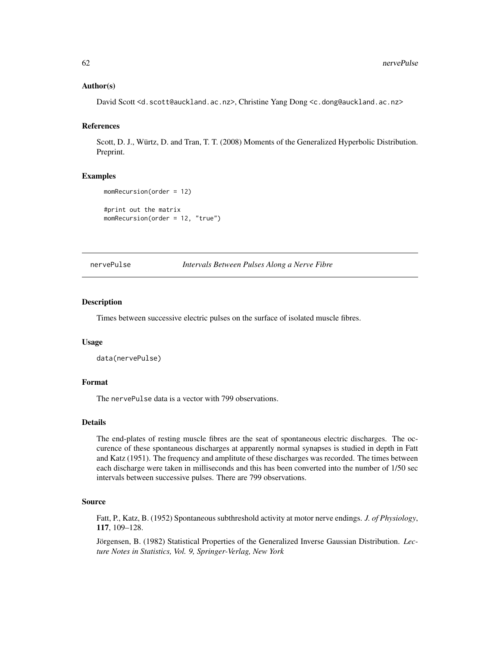## Author(s)

David Scott <d.scott@auckland.ac.nz>, Christine Yang Dong <c.dong@auckland.ac.nz>

# References

Scott, D. J., Würtz, D. and Tran, T. T. (2008) Moments of the Generalized Hyperbolic Distribution. Preprint.

#### Examples

```
momRecursion(order = 12)
#print out the matrix
momRecursion(order = 12, "true")
```
nervePulse *Intervals Between Pulses Along a Nerve Fibre*

#### Description

Times between successive electric pulses on the surface of isolated muscle fibres.

#### Usage

```
data(nervePulse)
```
# Format

The nervePulse data is a vector with 799 observations.

# Details

The end-plates of resting muscle fibres are the seat of spontaneous electric discharges. The occurence of these spontaneous discharges at apparently normal synapses is studied in depth in Fatt and Katz (1951). The frequency and amplitute of these discharges was recorded. The times between each discharge were taken in milliseconds and this has been converted into the number of 1/50 sec intervals between successive pulses. There are 799 observations.

#### Source

Fatt, P., Katz, B. (1952) Spontaneous subthreshold activity at motor nerve endings. *J. of Physiology*, 117, 109–128.

Jörgensen, B. (1982) Statistical Properties of the Generalized Inverse Gaussian Distribution. *Lecture Notes in Statistics, Vol. 9, Springer-Verlag, New York*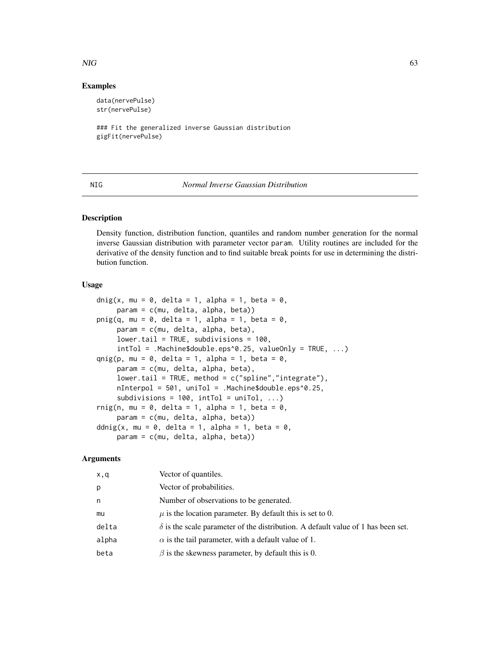#### $NIG$  63

# Examples

data(nervePulse) str(nervePulse)

```
### Fit the generalized inverse Gaussian distribution
gigFit(nervePulse)
```
#### NIG *Normal Inverse Gaussian Distribution*

## <span id="page-62-0"></span>Description

Density function, distribution function, quantiles and random number generation for the normal inverse Gaussian distribution with parameter vector param. Utility routines are included for the derivative of the density function and to find suitable break points for use in determining the distribution function.

## Usage

```
dnig(x, mu = 0, delta = 1, alpha = 1, beta = 0,
     param = c(mu, delta, alpha, beta))
pnig(q, mu = 0, delta = 1, alpha = 1, beta = 0,
     param = c(mu, delta, alpha, beta),
     lower.tail = TRUE, subdivisions = 100,
     intTol = .Machine$double.eps^0.25, valueOnly = TRUE, ...)
qnig(p, mu = 0, delta = 1, alpha = 1, beta = 0,
     param = c(mu, delta, alpha, beta),
     lower.tail = TRUE, method = c("spline", "integrate"),nInterpol = 501, uniTol = .Machine$double.eps^0.25,
     subdivisions = 100, intTol = uniTol, ...)
rnig(n, mu = 0, delta = 1, alpha = 1, beta = 0,
     param = c(mu, delta, alpha, beta))
ddnig(x, mu = 0, delta = 1, alpha = 1, beta = 0,
     param = c(mu, delta, alpha, beta))
```

| x,q   | Vector of quantiles.                                                                    |
|-------|-----------------------------------------------------------------------------------------|
| p     | Vector of probabilities.                                                                |
| n     | Number of observations to be generated.                                                 |
| mu    | $\mu$ is the location parameter. By default this is set to 0.                           |
| delta | $\delta$ is the scale parameter of the distribution. A default value of 1 has been set. |
| alpha | $\alpha$ is the tail parameter, with a default value of 1.                              |
| beta  | $\beta$ is the skewness parameter, by default this is 0.                                |
|       |                                                                                         |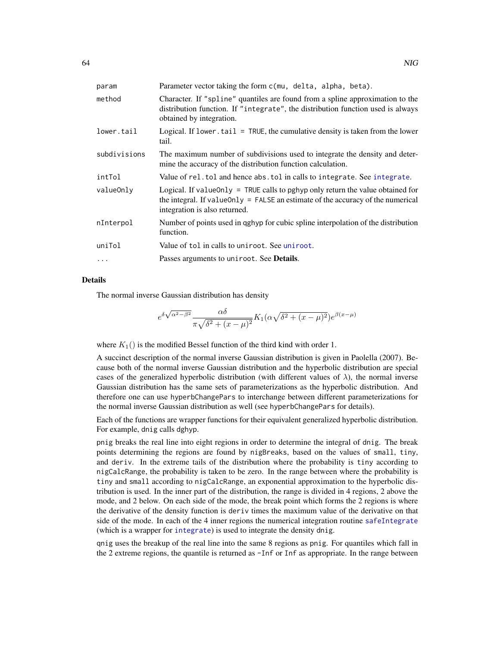| param        | Parameter vector taking the form c(mu, delta, alpha, beta).                                                                                                                                          |
|--------------|------------------------------------------------------------------------------------------------------------------------------------------------------------------------------------------------------|
| method       | Character. If "spline" quantiles are found from a spline approximation to the<br>distribution function. If "integrate", the distribution function used is always<br>obtained by integration.         |
| lower.tail   | Logical. If lower $t$ tail = TRUE, the cumulative density is taken from the lower<br>tail.                                                                                                           |
| subdivisions | The maximum number of subdivisions used to integrate the density and deter-<br>mine the accuracy of the distribution function calculation.                                                           |
| intTol       | Value of rel. tol and hence abs. tol in calls to integrate. See integrate.                                                                                                                           |
| valueOnly    | Logical. If value Only = TRUE calls to pghyp only return the value obtained for<br>the integral. If value Only = FALSE an estimate of the accuracy of the numerical<br>integration is also returned. |
| nInterpol    | Number of points used in qghyp for cubic spline interpolation of the distribution<br>function.                                                                                                       |
| uniTol       | Value of tol in calls to uniroot. See uniroot.                                                                                                                                                       |
|              | Passes arguments to uniroot. See <b>Details</b> .                                                                                                                                                    |

#### Details

The normal inverse Gaussian distribution has density

$$
e^{\delta\sqrt{\alpha^2-\beta^2}}\frac{\alpha\delta}{\pi\sqrt{\delta^2+(x-\mu)^2}}K_1(\alpha\sqrt{\delta^2+(x-\mu)^2})e^{\beta(x-\mu)}
$$

where  $K_1()$  is the modified Bessel function of the third kind with order 1.

A succinct description of the normal inverse Gaussian distribution is given in Paolella (2007). Because both of the normal inverse Gaussian distribution and the hyperbolic distribution are special cases of the generalized hyperbolic distribution (with different values of  $\lambda$ ), the normal inverse Gaussian distribution has the same sets of parameterizations as the hyperbolic distribution. And therefore one can use hyperbChangePars to interchange between different parameterizations for the normal inverse Gaussian distribution as well (see hyperbChangePars for details).

Each of the functions are wrapper functions for their equivalent generalized hyperbolic distribution. For example, dnig calls dghyp.

pnig breaks the real line into eight regions in order to determine the integral of dnig. The break points determining the regions are found by nigBreaks, based on the values of small, tiny, and deriv. In the extreme tails of the distribution where the probability is tiny according to nigCalcRange, the probability is taken to be zero. In the range between where the probability is tiny and small according to nigCalcRange, an exponential approximation to the hyperbolic distribution is used. In the inner part of the distribution, the range is divided in 4 regions, 2 above the mode, and 2 below. On each side of the mode, the break point which forms the 2 regions is where the derivative of the density function is deriv times the maximum value of the derivative on that side of the mode. In each of the 4 inner regions the numerical integration routine [safeIntegrate](#page-0-0) (which is a wrapper for [integrate](#page-0-0)) is used to integrate the density dnig.

qnig uses the breakup of the real line into the same 8 regions as pnig. For quantiles which fall in the 2 extreme regions, the quantile is returned as -Inf or Inf as appropriate. In the range between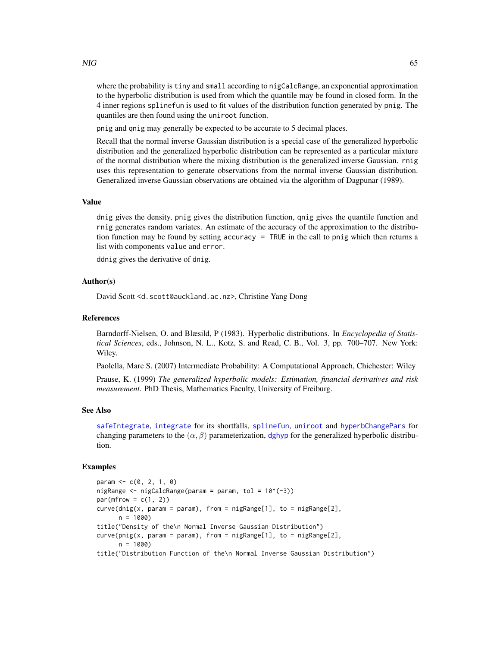where the probability is tiny and small according to nigCalcRange, an exponential approximation to the hyperbolic distribution is used from which the quantile may be found in closed form. In the 4 inner regions splinefun is used to fit values of the distribution function generated by pnig. The quantiles are then found using the uniroot function.

pnig and qnig may generally be expected to be accurate to 5 decimal places.

Recall that the normal inverse Gaussian distribution is a special case of the generalized hyperbolic distribution and the generalized hyperbolic distribution can be represented as a particular mixture of the normal distribution where the mixing distribution is the generalized inverse Gaussian. rnig uses this representation to generate observations from the normal inverse Gaussian distribution. Generalized inverse Gaussian observations are obtained via the algorithm of Dagpunar (1989).

#### Value

dnig gives the density, pnig gives the distribution function, qnig gives the quantile function and rnig generates random variates. An estimate of the accuracy of the approximation to the distribution function may be found by setting accuracy = TRUE in the call to pnig which then returns a list with components value and error.

ddnig gives the derivative of dnig.

## Author(s)

David Scott <d.scott@auckland.ac.nz>, Christine Yang Dong

## References

Barndorff-Nielsen, O. and Blæsild, P (1983). Hyperbolic distributions. In *Encyclopedia of Statistical Sciences*, eds., Johnson, N. L., Kotz, S. and Read, C. B., Vol. 3, pp. 700–707. New York: Wiley.

Paolella, Marc S. (2007) Intermediate Probability: A Computational Approach, Chichester: Wiley

Prause, K. (1999) *The generalized hyperbolic models: Estimation, financial derivatives and risk measurement.* PhD Thesis, Mathematics Faculty, University of Freiburg.

#### See Also

[safeIntegrate](#page-0-0), [integrate](#page-0-0) for its shortfalls, [splinefun](#page-0-0), [uniroot](#page-0-0) and [hyperbChangePars](#page-39-0) for changing parameters to the  $(\alpha, \beta)$  parameterization, [dghyp](#page-9-0) for the generalized hyperbolic distribution.

```
param <- c(0, 2, 1, 0)
nigRange \leq nigCalcRange(param = param, tol = 10^(-3))
par(mfrow = c(1, 2))curve(dnig(x, param = param), from = nigRange[1], to = nigRange[2],n = 1000title("Density of the\n Normal Inverse Gaussian Distribution")
curve(pnig(x, param = param), from = nigRange[1], to = nigRange[2],n = 1000title("Distribution Function of the\n Normal Inverse Gaussian Distribution")
```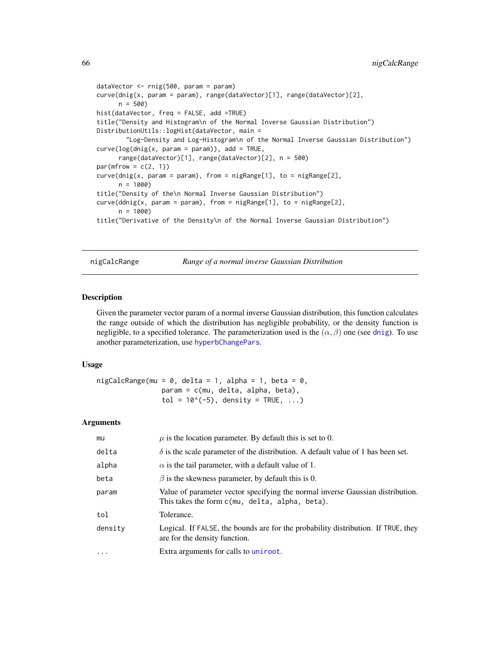```
dataVector <- rnig(500, param = param)
curve(dnig(x, param = param), range(dataVector)[1], range(dataVector)[2],
      n = 500hist(dataVector, freq = FALSE, add =TRUE)
title("Density and Histogram\n of the Normal Inverse Gaussian Distribution")
DistributionUtils::logHist(dataVector, main =
        "Log-Density and Log-Histogram\n of the Normal Inverse Gaussian Distribution")
curve(log(dnig(x, param = param)), add = TRUE,range(dataVector)[1], range(dataVector)[2], n = 500)
par(mfrow = c(2, 1))curve(dnig(x, param = param), from = nigRange[1], to = nigRange[2],n = 1000title("Density of the\n Normal Inverse Gaussian Distribution")
curve(ddnig(x, param = param), from = nigRange[1], to = nigRange[2],
      n = 1000)
title("Derivative of the Density\n of the Normal Inverse Gaussian Distribution")
```
nigCalcRange *Range of a normal inverse Gaussian Distribution*

## Description

Given the parameter vector param of a normal inverse Gaussian distribution, this function calculates the range outside of which the distribution has negligible probability, or the density function is negligible, to a specified tolerance. The parameterization used is the  $(\alpha, \beta)$  one (see [dnig](#page-62-0)). To use another parameterization, use [hyperbChangePars](#page-39-0).

## Usage

 $nigCalcRange(mu = 0, delta = 1, alpha = 1, beta = 0,$ param = c(mu, delta, alpha, beta),  $tol = 10^(-5)$ , density = TRUE, ...)

| mu      | $\mu$ is the location parameter. By default this is set to 0.                                                                    |
|---------|----------------------------------------------------------------------------------------------------------------------------------|
| delta   | $\delta$ is the scale parameter of the distribution. A default value of 1 has been set.                                          |
| alpha   | $\alpha$ is the tail parameter, with a default value of 1.                                                                       |
| beta    | $\beta$ is the skewness parameter, by default this is 0.                                                                         |
| param   | Value of parameter vector specifying the normal inverse Gaussian distribution.<br>This takes the form c(mu, delta, alpha, beta). |
| tol     | Tolerance.                                                                                                                       |
| density | Logical. If FALSE, the bounds are for the probability distribution. If TRUE, they<br>are for the density function.               |
| .       | Extra arguments for calls to uniroot.                                                                                            |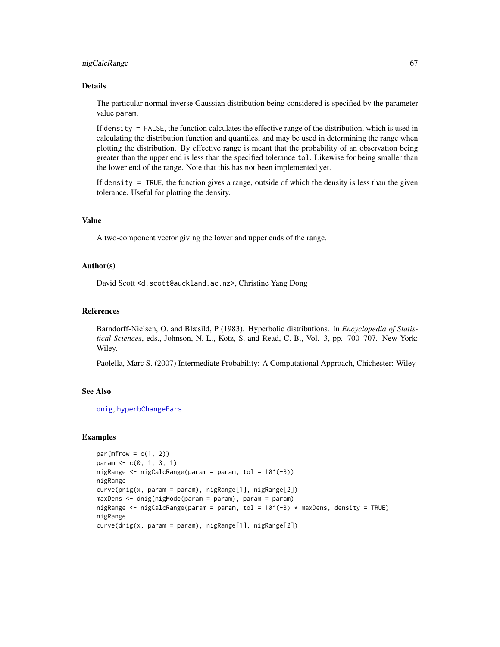#### nigCalcRange 67

## Details

The particular normal inverse Gaussian distribution being considered is specified by the parameter value param.

If density = FALSE, the function calculates the effective range of the distribution, which is used in calculating the distribution function and quantiles, and may be used in determining the range when plotting the distribution. By effective range is meant that the probability of an observation being greater than the upper end is less than the specified tolerance tol. Likewise for being smaller than the lower end of the range. Note that this has not been implemented yet.

If density = TRUE, the function gives a range, outside of which the density is less than the given tolerance. Useful for plotting the density.

# Value

A two-component vector giving the lower and upper ends of the range.

# Author(s)

David Scott <d.scott@auckland.ac.nz>, Christine Yang Dong

## References

Barndorff-Nielsen, O. and Blæsild, P (1983). Hyperbolic distributions. In *Encyclopedia of Statistical Sciences*, eds., Johnson, N. L., Kotz, S. and Read, C. B., Vol. 3, pp. 700–707. New York: Wiley.

Paolella, Marc S. (2007) Intermediate Probability: A Computational Approach, Chichester: Wiley

## See Also

[dnig](#page-62-0), [hyperbChangePars](#page-39-0)

```
par(mfrow = c(1, 2))param <- c(0, 1, 3, 1)
nigRange \leftarrow nigCalcRange(param = param, tol = 10^(-3))nigRange
curve(pnig(x, param = param), nigRange[1], nigRange[2])
maxDens <- dnig(nigMode(param = param), param = param)
nigRange <- nigCalcRange(param = param, tol = 10^{\circ}(-3) * maxDens, density = TRUE)
nigRange
curve(dnig(x, param = param), nigRange[1], nigRange[2])
```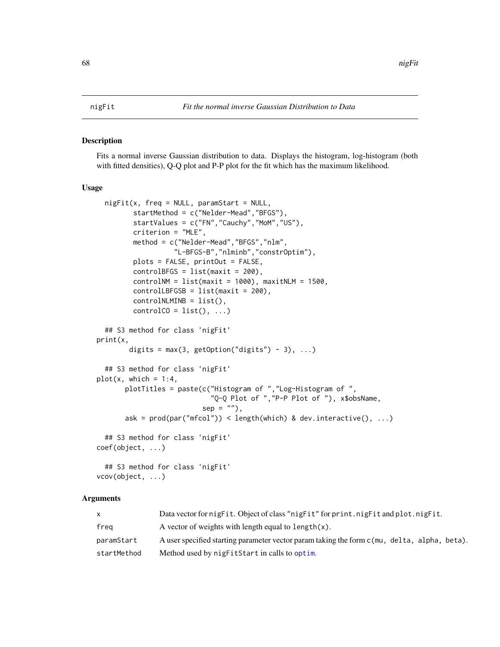#### <span id="page-67-0"></span>Description

Fits a normal inverse Gaussian distribution to data. Displays the histogram, log-histogram (both with fitted densities), Q-Q plot and P-P plot for the fit which has the maximum likelihood.

#### Usage

```
night(x, freq = NULL, paramStart = NULL,startMethod = c("Nelder-Mead","BFGS"),
         startValues = c("FN","Cauchy","MoM","US"),
         criterion = "MLE",
         method = c("Nelder-Mead","BFGS","nlm",
                   "L-BFGS-B","nlminb","constrOptim"),
         plots = FALSE, printOut = FALSE,
         controlBFGS = list(maxit = 200),
         controlNM = list(maxit = 1000), maxitNLM = 1500,
         controlLBFGSB = list(maxit = 200),
         controlNLMINB = list(),
         controlCO = list(), ...)## S3 method for class 'nigFit'
print(x,
       digits = max(3, getOption("digits") - 3), ...## S3 method for class 'nigFit'
plot(x, which = 1:4,plotTitles = paste(c("Histogram of ","Log-Histogram of ",
                            "Q-Q Plot of ","P-P Plot of "), x$obsName,
                          sep = ""),
       ask = prod(par("mfcol")) < length(which) & dev.interactive(), ...)
  ## S3 method for class 'nigFit'
coef(object, ...)
 ## S3 method for class 'nigFit'
vcov(object, ...)
```

| X           | Data vector for nigfit. Object of class "nigfit" for print.nigfit and plot.nigfit.          |
|-------------|---------------------------------------------------------------------------------------------|
| freg        | A vector of weights with length equal to length $(x)$ .                                     |
| paramStart  | A user specified starting parameter vector param taking the form c(mu, delta, alpha, beta). |
| startMethod | Method used by nigFitStart in calls to optim.                                               |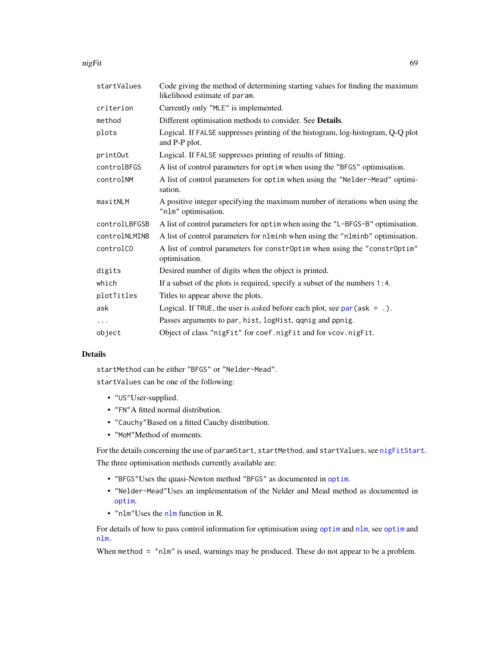nigFit 69 and 2011 12:30 and 2012 12:30 and 2012 12:30 and 2012 12:30 and 2012 12:30 and 2012 12:30 and 2012 1

| startValues   | Code giving the method of determining starting values for finding the maximum<br>likelihood estimate of param. |  |
|---------------|----------------------------------------------------------------------------------------------------------------|--|
| criterion     | Currently only "MLE" is implemented.                                                                           |  |
| method        | Different optimisation methods to consider. See Details.                                                       |  |
| plots         | Logical. If FALSE suppresses printing of the histogram, log-histogram, Q-Q plot<br>and P-P plot.               |  |
| print0ut      | Logical. If FALSE suppresses printing of results of fitting.                                                   |  |
| controlBFGS   | A list of control parameters for optim when using the "BFGS" optimisation.                                     |  |
| controlNM     | A list of control parameters for optim when using the "Nelder-Mead" optimi-<br>sation.                         |  |
| maxitNLM      | A positive integer specifying the maximum number of iterations when using the<br>"nlm" optimisation.           |  |
| controlLBFGSB | A list of control parameters for optim when using the "L-BFGS-B" optimisation.                                 |  |
| controlNLMINB | A list of control parameters for n1minb when using the "n1minb" optimisation.                                  |  |
| controlCO     | A list of control parameters for constrOptim when using the "constrOptim"<br>optimisation.                     |  |
| digits        | Desired number of digits when the object is printed.                                                           |  |
| which         | If a subset of the plots is required, specify a subset of the numbers $1:4$ .                                  |  |
| plotTitles    | Titles to appear above the plots.                                                                              |  |
| ask           | Logical. If TRUE, the user is <i>asked</i> before each plot, see $par(ask = .)$ .                              |  |
| $\cdots$      | Passes arguments to par, hist, logHist, qqnig and ppnig.                                                       |  |
| object        | Object of class "nigFit" for coef.nigFit and for vcov.nigFit.                                                  |  |
|               |                                                                                                                |  |

## Details

startMethod can be either "BFGS" or "Nelder-Mead".

startValues can be one of the following:

- "US"User-supplied.
- "FN"A fitted normal distribution.
- "Cauchy"Based on a fitted Cauchy distribution.
- "MoM"Method of moments.

For the details concerning the use of paramStart, startMethod, and startValues, see [nigFitStart](#page-70-0). The three optimisation methods currently available are:

- "BFGS"Uses the quasi-Newton method "BFGS" as documented in [optim](#page-0-0).
- "Nelder-Mead"Uses an implementation of the Nelder and Mead method as documented in [optim](#page-0-0).
- "nlm"Uses the [nlm](#page-0-0) function in R.

For details of how to pass control information for optimisation using [optim](#page-0-0) and [nlm](#page-0-0), see [optim](#page-0-0) and [nlm.](#page-0-0)

When method = "nlm" is used, warnings may be produced. These do not appear to be a problem.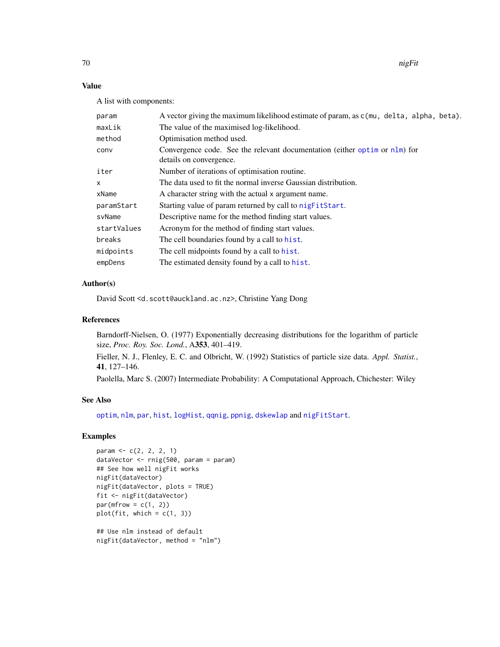70 nigFit

# Value

A list with components:

| param       | A vector giving the maximum likelihood estimate of param, as c(mu, delta, alpha, beta).               |  |
|-------------|-------------------------------------------------------------------------------------------------------|--|
| maxLik      | The value of the maximised log-likelihood.                                                            |  |
| method      | Optimisation method used.                                                                             |  |
| conv        | Convergence code. See the relevant documentation (either optim or nlm) for<br>details on convergence. |  |
| iter        | Number of iterations of optimisation routine.                                                         |  |
| x           | The data used to fit the normal inverse Gaussian distribution.                                        |  |
| xName       | A character string with the actual x argument name.                                                   |  |
| paramStart  | Starting value of param returned by call to nigFitStart.                                              |  |
| svName      | Descriptive name for the method finding start values.                                                 |  |
| startValues | Acronym for the method of finding start values.                                                       |  |
| breaks      | The cell boundaries found by a call to hist.                                                          |  |
| midpoints   | The cell midpoints found by a call to hist.                                                           |  |
| empDens     | The estimated density found by a call to hist.                                                        |  |

# Author(s)

David Scott <d.scott@auckland.ac.nz>, Christine Yang Dong

## References

Barndorff-Nielsen, O. (1977) Exponentially decreasing distributions for the logarithm of particle size, *Proc. Roy. Soc. Lond.*, A353, 401–419.

Fieller, N. J., Flenley, E. C. and Olbricht, W. (1992) Statistics of particle size data. *Appl. Statist.*, 41, 127–146.

Paolella, Marc S. (2007) Intermediate Probability: A Computational Approach, Chichester: Wiley

## See Also

[optim](#page-0-0), [nlm](#page-0-0), [par](#page-0-0), [hist](#page-0-0), [logHist](#page-0-0), [qqnig](#page-74-0), [ppnig](#page-74-0), [dskewlap](#page-78-0) and [nigFitStart](#page-70-0).

```
param <- c(2, 2, 2, 1)
dataVector <- rnig(500, param = param)
## See how well nigFit works
nigFit(dataVector)
nigFit(dataVector, plots = TRUE)
fit <- nigFit(dataVector)
par(mfrow = c(1, 2))plot(fit, which = c(1, 3))## Use nlm instead of default
nigFit(dataVector, method = "nlm")
```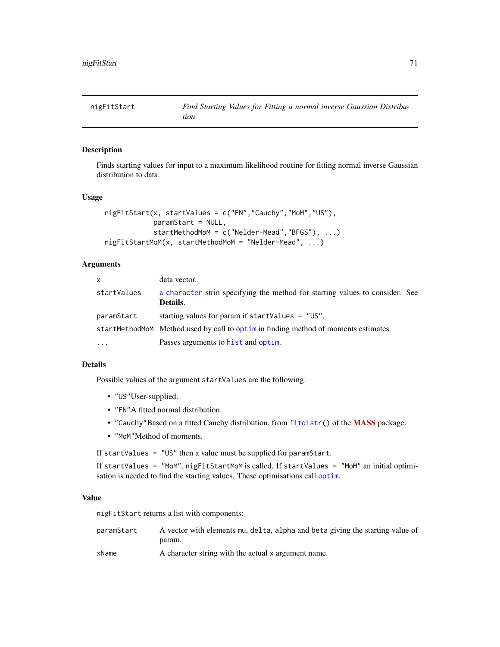<span id="page-70-0"></span>

## Description

Finds starting values for input to a maximum likelihood routine for fitting normal inverse Gaussian distribution to data.

## Usage

```
nigFitStart(x, startValues = c("FN","Cauchy","MoM","US"),
            paramStart = NULL,
            startMethodMoM = c("Nelder-Mead","BFGS"), ...)
nigFitStartMoM(x, startMethodMoM = "Nelder-Mead", ...)
```
## Arguments

| $\mathsf{x}$ | data vector.                                                                             |  |
|--------------|------------------------------------------------------------------------------------------|--|
| startValues  | a character strin specifying the method for starting values to consider. See<br>Details. |  |
| paramStart   | starting values for param if startValues $=$ "US".                                       |  |
|              | startMethodMoM Method used by call to optime in finding method of moments estimates.     |  |
| $\cdots$     | Passes arguments to hist and optim.                                                      |  |

#### Details

Possible values of the argument startValues are the following:

- "US"User-supplied.
- "FN"A fitted normal distribution.
- "Cauchy"Based on a fitted Cauchy distribution, from [fitdistr\(](#page-0-0)) of the [MASS](https://CRAN.R-project.org/package=MASS) package.
- "MoM"Method of moments.

If startValues = "US" then a value must be supplied for paramStart.

If startValues = "MoM", nigFitStartMoM is called. If startValues = "MoM" an initial optimisation is needed to find the starting values. These optimisations call [optim](#page-0-0).

#### Value

nigFitStart returns a list with components:

paramStart A vector with elements mu, delta, alpha and beta giving the starting value of param.

xName A character string with the actual x argument name.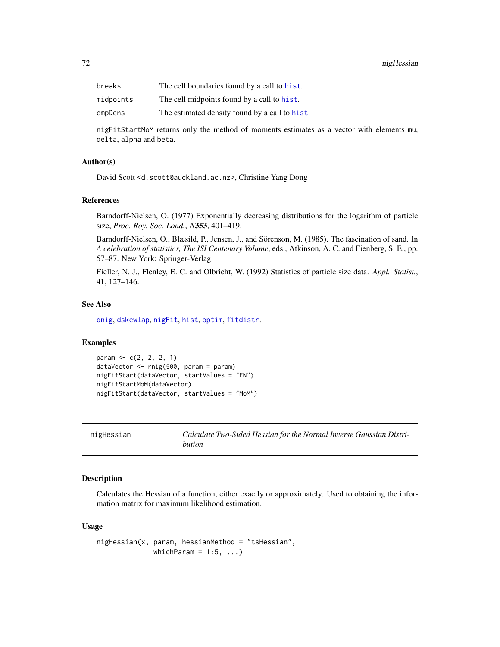| breaks    | The cell boundaries found by a call to hist.   |
|-----------|------------------------------------------------|
| midpoints | The cell midpoints found by a call to hist.    |
| empDens   | The estimated density found by a call to hist. |

nigFitStartMoM returns only the method of moments estimates as a vector with elements mu, delta, alpha and beta.

# Author(s)

David Scott <d.scott@auckland.ac.nz>, Christine Yang Dong

#### References

Barndorff-Nielsen, O. (1977) Exponentially decreasing distributions for the logarithm of particle size, *Proc. Roy. Soc. Lond.*, A353, 401–419.

Barndorff-Nielsen, O., Blæsild, P., Jensen, J., and Sörenson, M. (1985). The fascination of sand. In *A celebration of statistics, The ISI Centenary Volume*, eds., Atkinson, A. C. and Fienberg, S. E., pp. 57–87. New York: Springer-Verlag.

Fieller, N. J., Flenley, E. C. and Olbricht, W. (1992) Statistics of particle size data. *Appl. Statist.*, 41, 127–146.

#### See Also

[dnig](#page-62-0), [dskewlap](#page-78-0), [nigFit](#page-67-0), [hist](#page-0-0), [optim](#page-0-0), [fitdistr](#page-0-0).

## Examples

```
param <- c(2, 2, 2, 1)
dataVector <- rnig(500, param = param)
nigFitStart(dataVector, startValues = "FN")
nigFitStartMoM(dataVector)
nigFitStart(dataVector, startValues = "MoM")
```
nigHessian *Calculate Two-Sided Hessian for the Normal Inverse Gaussian Distribution*

#### Description

Calculates the Hessian of a function, either exactly or approximately. Used to obtaining the information matrix for maximum likelihood estimation.

#### Usage

nigHessian(x, param, hessianMethod = "tsHessian", whichParam =  $1:5, ...$ )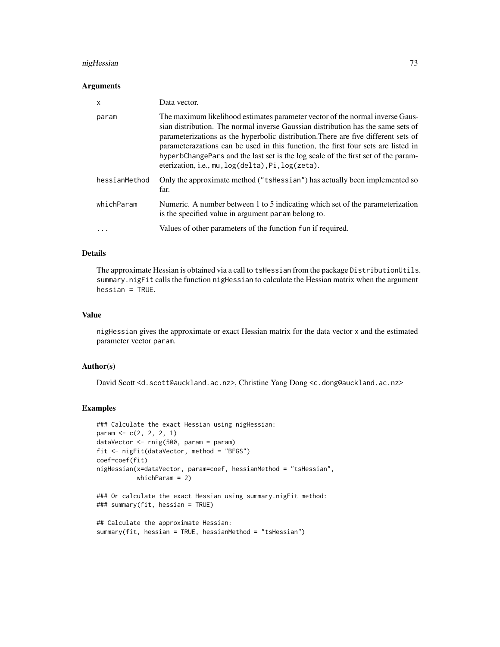# nigHessian 73

#### Arguments

| X             | Data vector.                                                                                                                                                                                                                                                                                                                                                                                                                                                                           |
|---------------|----------------------------------------------------------------------------------------------------------------------------------------------------------------------------------------------------------------------------------------------------------------------------------------------------------------------------------------------------------------------------------------------------------------------------------------------------------------------------------------|
| param         | The maximum likelihood estimates parameter vector of the normal inverse Gaus-<br>sian distribution. The normal inverse Gaussian distribution has the same sets of<br>parameterizations as the hyperbolic distribution. There are five different sets of<br>parameterazations can be used in this function, the first four sets are listed in<br>hyperbChangePars and the last set is the log scale of the first set of the param-<br>eterization, i.e., mu, log(delta), Pi, log(zeta). |
| hessianMethod | Only the approximate method ("tshessian") has actually been implemented so<br>far.                                                                                                                                                                                                                                                                                                                                                                                                     |
| whichParam    | Numeric. A number between 1 to 5 indicating which set of the parameterization<br>is the specified value in argument param belong to.                                                                                                                                                                                                                                                                                                                                                   |
| .             | Values of other parameters of the function fun if required.                                                                                                                                                                                                                                                                                                                                                                                                                            |

# Details

The approximate Hessian is obtained via a call to tsHessian from the package DistributionUtils. summary.nigFit calls the function nigHessian to calculate the Hessian matrix when the argument hessian = TRUE.

#### Value

nigHessian gives the approximate or exact Hessian matrix for the data vector x and the estimated parameter vector param.

#### Author(s)

David Scott <d.scott@auckland.ac.nz>, Christine Yang Dong <c.dong@auckland.ac.nz>

# Examples

```
### Calculate the exact Hessian using nigHessian:
param <-c(2, 2, 2, 1)dataVector <- rnig(500, param = param)
fit <- nigFit(dataVector, method = "BFGS")
coef=coef(fit)
nigHessian(x=dataVector, param=coef, hessianMethod = "tsHessian",
           whichParam = 2)
### Or calculate the exact Hessian using summary.nigFit method:
### summary(fit, hessian = TRUE)
## Calculate the approximate Hessian:
```

```
summary(fit, hessian = TRUE, hessianMethod = "tsHessian")
```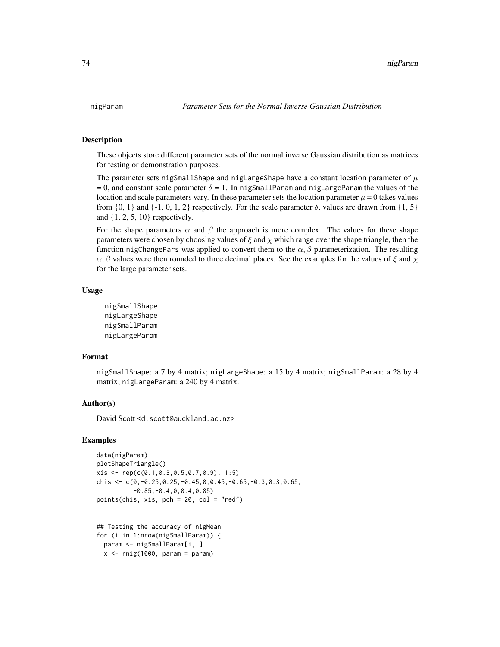#### <span id="page-73-0"></span>Description

These objects store different parameter sets of the normal inverse Gaussian distribution as matrices for testing or demonstration purposes.

The parameter sets nigSmallShape and nigLargeShape have a constant location parameter of  $\mu$ = 0, and constant scale parameter  $\delta$  = 1. In nigSmallParam and nigLargeParam the values of the location and scale parameters vary. In these parameter sets the location parameter  $\mu = 0$  takes values from  $\{0, 1\}$  and  $\{-1, 0, 1, 2\}$  respectively. For the scale parameter  $\delta$ , values are drawn from  $\{1, 5\}$ and {1, 2, 5, 10} respectively.

For the shape parameters  $\alpha$  and  $\beta$  the approach is more complex. The values for these shape parameters were chosen by choosing values of  $\xi$  and  $\chi$  which range over the shape triangle, then the function nigChangePars was applied to convert them to the  $\alpha$ , β parameterization. The resulting  $\alpha$ ,  $\beta$  values were then rounded to three decimal places. See the examples for the values of  $\xi$  and  $\chi$ for the large parameter sets.

#### Usage

```
nigSmallShape
nigLargeShape
nigSmallParam
nigLargeParam
```
#### Format

nigSmallShape: a 7 by 4 matrix; nigLargeShape: a 15 by 4 matrix; nigSmallParam: a 28 by 4 matrix; nigLargeParam: a 240 by 4 matrix.

# Author(s)

David Scott <d.scott@auckland.ac.nz>

#### Examples

```
data(nigParam)
plotShapeTriangle()
xis <- rep(c(0.1,0.3,0.5,0.7,0.9), 1:5)
chis \leq c(0,-0.25,0.25,-0.45,0,0.45,-0.65,-0.3,0.3,0.65,
          -0.85,-0.4,0,0.4,0.85)
points(chis, xis, pch = 20, col = "red")
```

```
## Testing the accuracy of nigMean
for (i in 1:nrow(nigSmallParam)) {
  param <- nigSmallParam[i, ]
  x \le -\text{rnig}(1000, \text{param} = \text{param})
```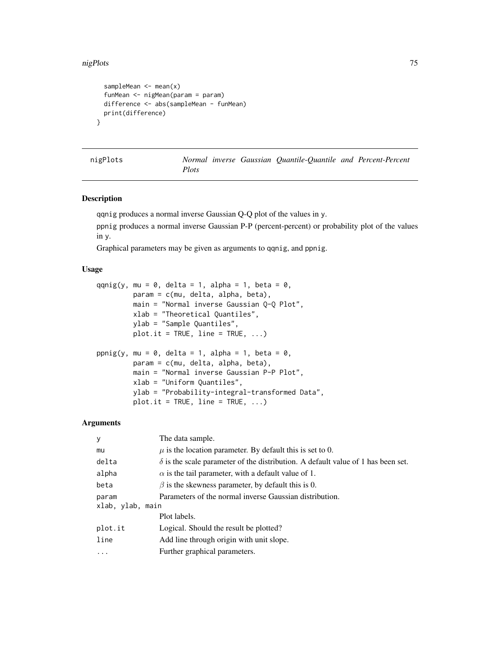#### <span id="page-74-0"></span>nigPlots 75

```
sampleMean \leq mean(x)funMean <- nigMean(param = param)
 difference <- abs(sampleMean - funMean)
 print(difference)
}
```
nigPlots *Normal inverse Gaussian Quantile-Quantile and Percent-Percent Plots*

# Description

qqnig produces a normal inverse Gaussian Q-Q plot of the values in y.

ppnig produces a normal inverse Gaussian P-P (percent-percent) or probability plot of the values in y.

Graphical parameters may be given as arguments to qqnig, and ppnig.

#### Usage

```
qqnig(y, mu = 0, delta = 1, alpha = 1, beta = 0,
        param = c(mu, delta, alpha, beta),
        main = "Normal inverse Gaussian Q-Q Plot",
        xlab = "Theoretical Quantiles",
        ylab = "Sample Quantiles",
        plot.it = TRUE, line = TRUE, ...)ppnig(y, mu = 0, delta = 1, alpha = 1, beta = 0,param = c(mu, delta, alpha, beta),
        main = "Normal inverse Gaussian P-P Plot",
        xlab = "Uniform Quantiles",
        ylab = "Probability-integral-transformed Data",
        plot.it = TRUE, line = TRUE, ...)
```
## Arguments

| У                | The data sample.                                                                        |
|------------------|-----------------------------------------------------------------------------------------|
| mu               | $\mu$ is the location parameter. By default this is set to 0.                           |
| delta            | $\delta$ is the scale parameter of the distribution. A default value of 1 has been set. |
| alpha            | $\alpha$ is the tail parameter, with a default value of 1.                              |
| beta             | $\beta$ is the skewness parameter, by default this is 0.                                |
| param            | Parameters of the normal inverse Gaussian distribution.                                 |
| xlab, ylab, main |                                                                                         |
|                  | Plot labels.                                                                            |
| plot.it          | Logical. Should the result be plotted?                                                  |
| line             | Add line through origin with unit slope.                                                |
| $\ddots$ .       | Further graphical parameters.                                                           |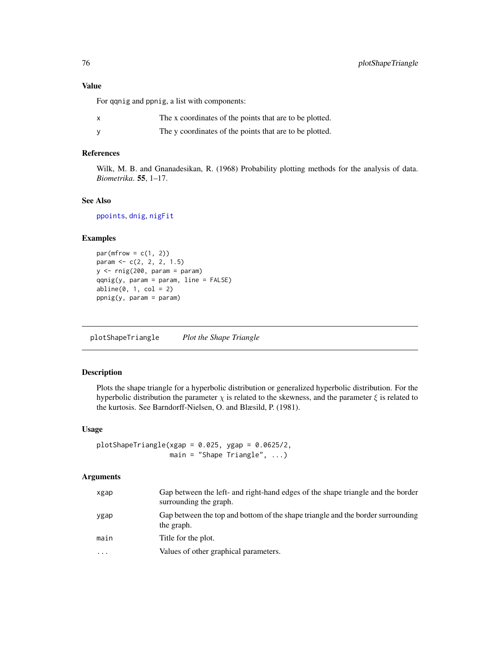# Value

For qqnig and ppnig, a list with components:

| The x coordinates of the points that are to be plotted. |
|---------------------------------------------------------|
| The y coordinates of the points that are to be plotted. |

# References

Wilk, M. B. and Gnanadesikan, R. (1968) Probability plotting methods for the analysis of data. *Biometrika*. 55, 1–17.

#### See Also

[ppoints](#page-0-0), [dnig](#page-62-0), [nigFit](#page-67-0)

# Examples

```
par(mfrow = c(1, 2))param <- c(2, 2, 2, 1.5)
y \leftarrow \text{rnig}(200, \text{param} = \text{param})qqnig(y, param = param, line = FALSE)abline(0, 1, col = 2)ppnig(y, param = param)
```
plotShapeTriangle *Plot the Shape Triangle*

# Description

Plots the shape triangle for a hyperbolic distribution or generalized hyperbolic distribution. For the hyperbolic distribution the parameter  $\chi$  is related to the skewness, and the parameter  $\xi$  is related to the kurtosis. See Barndorff-Nielsen, O. and Blæsild, P. (1981).

#### Usage

 $plots$ hapeTriangle(xgap = 0.025, ygap = 0.0625/2,  $main = "Shape Triangle", ...)$ 

# Arguments

| xgap     | Gap between the left- and right-hand edges of the shape triangle and the border<br>surrounding the graph. |
|----------|-----------------------------------------------------------------------------------------------------------|
| ygap     | Gap between the top and bottom of the shape triangle and the border surrounding<br>the graph.             |
| main     | Title for the plot.                                                                                       |
| $\cdots$ | Values of other graphical parameters.                                                                     |

<span id="page-75-0"></span>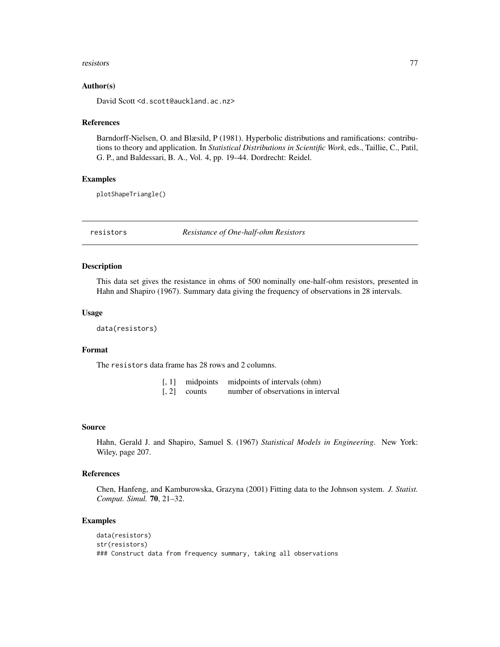#### <span id="page-76-0"></span>resistors and the contract of the contract of the contract of the contract of the contract of the contract of the contract of the contract of the contract of the contract of the contract of the contract of the contract of

#### Author(s)

David Scott <d.scott@auckland.ac.nz>

#### References

Barndorff-Nielsen, O. and Blæsild, P (1981). Hyperbolic distributions and ramifications: contributions to theory and application. In *Statistical Distributions in Scientific Work*, eds., Taillie, C., Patil, G. P., and Baldessari, B. A., Vol. 4, pp. 19–44. Dordrecht: Reidel.

# Examples

plotShapeTriangle()

resistors *Resistance of One-half-ohm Resistors*

#### Description

This data set gives the resistance in ohms of 500 nominally one-half-ohm resistors, presented in Hahn and Shapiro (1967). Summary data giving the frequency of observations in 28 intervals.

#### Usage

data(resistors)

# Format

The resistors data frame has 28 rows and 2 columns.

|                          | [, 1] midpoints midpoints of intervals (ohm) |
|--------------------------|----------------------------------------------|
| $\lceil 2 \rceil$ counts | number of observations in interval           |

#### Source

Hahn, Gerald J. and Shapiro, Samuel S. (1967) *Statistical Models in Engineering*. New York: Wiley, page 207.

#### References

Chen, Hanfeng, and Kamburowska, Grazyna (2001) Fitting data to the Johnson system. *J. Statist. Comput. Simul.* 70, 21–32.

# Examples

```
data(resistors)
str(resistors)
### Construct data from frequency summary, taking all observations
```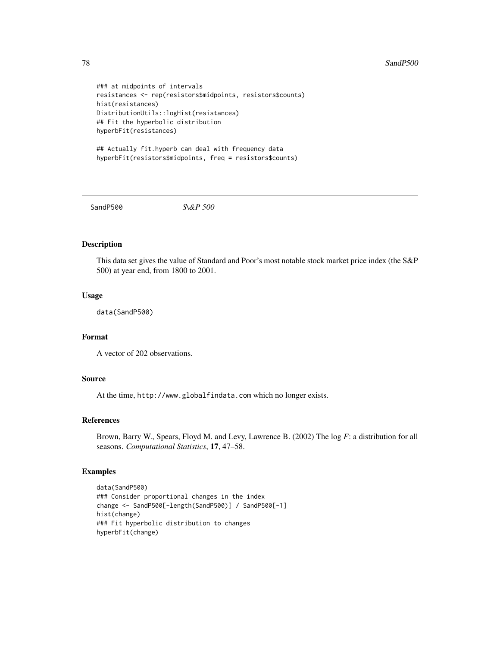```
### at midpoints of intervals
resistances <- rep(resistors$midpoints, resistors$counts)
hist(resistances)
DistributionUtils::logHist(resistances)
## Fit the hyperbolic distribution
hyperbFit(resistances)
```

```
## Actually fit.hyperb can deal with frequency data
hyperbFit(resistors$midpoints, freq = resistors$counts)
```
SandP500 *S\&P 500*

# Description

This data set gives the value of Standard and Poor's most notable stock market price index (the S&P 500) at year end, from 1800 to 2001.

# Usage

data(SandP500)

# Format

A vector of 202 observations.

# Source

At the time, http://www.globalfindata.com which no longer exists.

#### References

Brown, Barry W., Spears, Floyd M. and Levy, Lawrence B. (2002) The log *F*: a distribution for all seasons. *Computational Statistics*, 17, 47–58.

# Examples

```
data(SandP500)
### Consider proportional changes in the index
change <- SandP500[-length(SandP500)] / SandP500[-1]
hist(change)
### Fit hyperbolic distribution to changes
hyperbFit(change)
```
<span id="page-77-0"></span>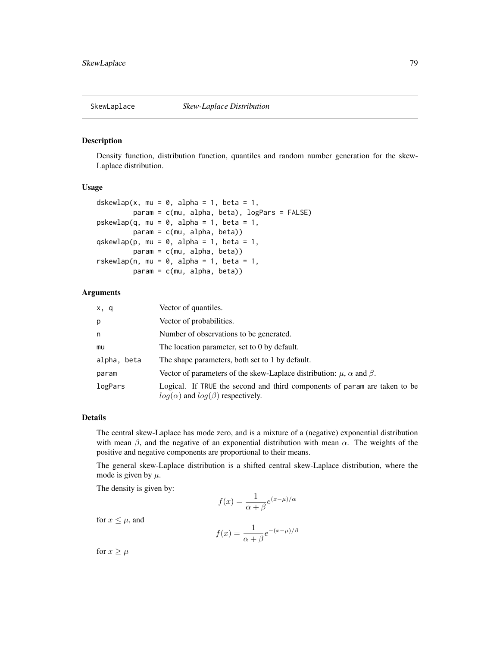<span id="page-78-1"></span>

#### <span id="page-78-0"></span>Description

Density function, distribution function, quantiles and random number generation for the skew-Laplace distribution.

#### Usage

```
dskewlap(x, mu = 0, alpha = 1, beta = 1,
         param = c(mu, alpha, beta), logPars = FALSE)
pskewlap(q, mu = 0, alpha = 1, beta = 1,
         param = c(mu, alpha, beta))
qskewlap(p, mu = 0, alpha = 1, beta = 1,
        param = c(mu, alpha, beta))
rskewlap(n, mu = 0, alpha = 1, beta = 1,
         param = c(mu, alpha, beta))
```
#### Arguments

| x, q        | Vector of quantiles.                                                                                                      |
|-------------|---------------------------------------------------------------------------------------------------------------------------|
| p           | Vector of probabilities.                                                                                                  |
| n           | Number of observations to be generated.                                                                                   |
| mu          | The location parameter, set to 0 by default.                                                                              |
| alpha, beta | The shape parameters, both set to 1 by default.                                                                           |
| param       | Vector of parameters of the skew-Laplace distribution: $\mu$ , $\alpha$ and $\beta$ .                                     |
| logPars     | Logical. If TRUE the second and third components of param are taken to be<br>$log(\alpha)$ and $log(\beta)$ respectively. |

# Details

The central skew-Laplace has mode zero, and is a mixture of a (negative) exponential distribution with mean  $\beta$ , and the negative of an exponential distribution with mean  $\alpha$ . The weights of the positive and negative components are proportional to their means.

The general skew-Laplace distribution is a shifted central skew-Laplace distribution, where the mode is given by  $\mu$ .

The density is given by:

$$
f(x) = \frac{1}{\alpha + \beta} e^{(x - \mu)/\alpha}
$$

for  $x \leq \mu$ , and

$$
f(x) = \frac{1}{\alpha + \beta} e^{-(x - \mu)/\beta}
$$

for  $x \geq \mu$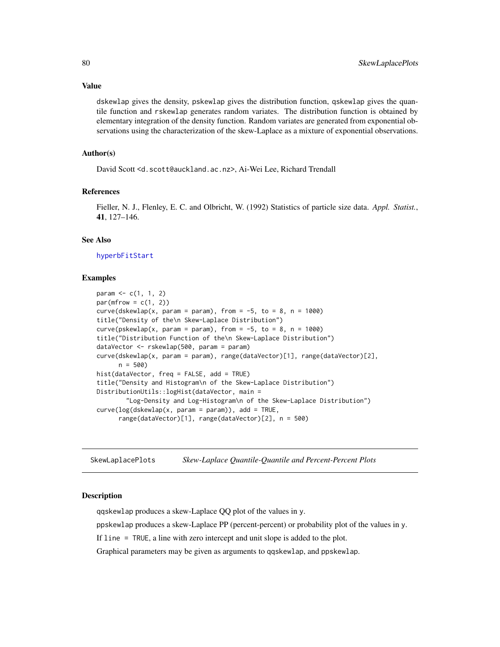<span id="page-79-0"></span>Value

dskewlap gives the density, pskewlap gives the distribution function, qskewlap gives the quantile function and rskewlap generates random variates. The distribution function is obtained by elementary integration of the density function. Random variates are generated from exponential observations using the characterization of the skew-Laplace as a mixture of exponential observations.

#### Author(s)

David Scott <d.scott@auckland.ac.nz>, Ai-Wei Lee, Richard Trendall

#### References

Fieller, N. J., Flenley, E. C. and Olbricht, W. (1992) Statistics of particle size data. *Appl. Statist.*, 41, 127–146.

# See Also

#### [hyperbFitStart](#page-45-0)

#### Examples

```
param \leq -c(1, 1, 2)par(mfrow = c(1, 2))curve(dskewlap(x, param = param), from = -5, to = 8, n = 1000)
title("Density of the\n Skew-Laplace Distribution")
curve(pskewlap(x, param = param), from = -5, to = 8, n = 1000)
title("Distribution Function of the\n Skew-Laplace Distribution")
dataVector <- rskewlap(500, param = param)
curve(dskewlap(x, param = param), range(dataVector)[1], range(dataVector)[2],
     n = 500hist(dataVector, freq = FALSE, add = TRUE)
title("Density and Histogram\n of the Skew-Laplace Distribution")
DistributionUtils::logHist(dataVector, main =
        "Log-Density and Log-Histogram\n of the Skew-Laplace Distribution")
curve(log(dskewlap(x, param = param)), add = TRUE,range(dataVector)[1], range(dataVector)[2], n = 500)
```
SkewLaplacePlots *Skew-Laplace Quantile-Quantile and Percent-Percent Plots*

#### **Description**

qqskewlap produces a skew-Laplace QQ plot of the values in y.

ppskewlap produces a skew-Laplace PP (percent-percent) or probability plot of the values in y.

If line = TRUE, a line with zero intercept and unit slope is added to the plot.

Graphical parameters may be given as arguments to qqskewlap, and ppskewlap.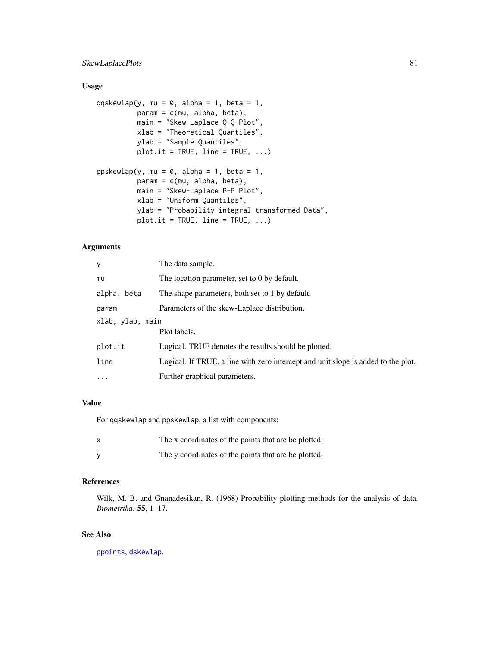# <span id="page-80-0"></span>SkewLaplacePlots 81

# Usage

```
qqskewlap(y, mu = 0, alpha = 1, beta = 1,
         param = c(mu, alpha, beta),main = "Skew-Laplace Q-Q Plot",
         xlab = "Theoretical Quantiles",
         ylab = "Sample Quantiles",
         plot.it = TRUE, line = TRUE, ...)ppskewlap(y, mu = 0, alpha = 1, beta = 1,
         param = c(mu, alpha, beta),
         main = "Skew-Laplace P-P Plot",
         xlab = "Uniform Quantiles",
         ylab = "Probability-integral-transformed Data",
         plot.it = TRUE, line = TRUE, ...)
```
# Arguments

| У                | The data sample.                                                                  |
|------------------|-----------------------------------------------------------------------------------|
| mu               | The location parameter, set to 0 by default.                                      |
| alpha, beta      | The shape parameters, both set to 1 by default.                                   |
| param            | Parameters of the skew-Laplace distribution.                                      |
| xlab, ylab, main |                                                                                   |
|                  | Plot labels.                                                                      |
| plot.it          | Logical. TRUE denotes the results should be plotted.                              |
| line             | Logical. If TRUE, a line with zero intercept and unit slope is added to the plot. |
| $\cdot$          | Further graphical parameters.                                                     |
|                  |                                                                                   |

# Value

For qqskewlap and ppskewlap, a list with components:

| $\boldsymbol{\mathsf{x}}$ | The x coordinates of the points that are be plotted. |
|---------------------------|------------------------------------------------------|
|                           | The y coordinates of the points that are be plotted. |

# References

Wilk, M. B. and Gnanadesikan, R. (1968) Probability plotting methods for the analysis of data. *Biometrika*. 55, 1–17.

# See Also

[ppoints](#page-0-0), [dskewlap](#page-78-0).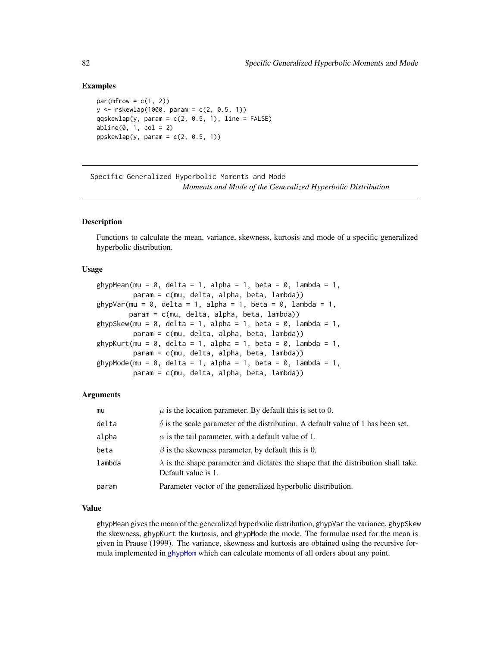#### Examples

```
par(mfrow = c(1, 2))y \le - rskewlap(1000, param = c(2, 0.5, 1))
qqskewlap(y, param = c(2, 0.5, 1), line = FALSE)
abline(0, 1, col = 2)ppskewlap(y, param = c(2, 0.5, 1))
```
Specific Generalized Hyperbolic Moments and Mode *Moments and Mode of the Generalized Hyperbolic Distribution*

# <span id="page-81-0"></span>Description

Functions to calculate the mean, variance, skewness, kurtosis and mode of a specific generalized hyperbolic distribution.

#### Usage

```
ghypMean(mu = 0, delta = 1, alpha = 1, beta = 0, lambda = 1,
         param = c(mu, delta, alpha, beta, lambda))
ghypVar(mu = 0, delta = 1, alpha = 1, beta = 0, lambda = 1,
        param = c(mu, delta, alpha, beta, lambda))
ghypSkew(mu = 0, delta = 1, alpha = 1, beta = 0, lambda = 1,
        param = c(mu, delta, alpha, beta, lambda))
ghypKurt(mu = 0, delta = 1, alpha = 1, beta = 0, lambda = 1,
         param = c(mu, delta, alpha, beta, lambda))
ghypMode(mu = 0, delta = 1, alpha = 1, beta = 0, lambda = 1,
         param = c(mu, delta, alpha, beta, lambda))
```
# Arguments

| mu     | $\mu$ is the location parameter. By default this is set to 0.                                                    |
|--------|------------------------------------------------------------------------------------------------------------------|
| delta  | $\delta$ is the scale parameter of the distribution. A default value of 1 has been set.                          |
| alpha  | $\alpha$ is the tail parameter, with a default value of 1.                                                       |
| beta   | $\beta$ is the skewness parameter, by default this is 0.                                                         |
| lambda | $\lambda$ is the shape parameter and dictates the shape that the distribution shall take.<br>Default value is 1. |
| param  | Parameter vector of the generalized hyperbolic distribution.                                                     |

#### Value

ghypMean gives the mean of the generalized hyperbolic distribution, ghypVar the variance, ghypSkew the skewness, ghypKurt the kurtosis, and ghypMode the mode. The formulae used for the mean is given in Prause (1999). The variance, skewness and kurtosis are obtained using the recursive formula implemented in [ghypMom](#page-18-0) which can calculate moments of all orders about any point.

<span id="page-81-1"></span>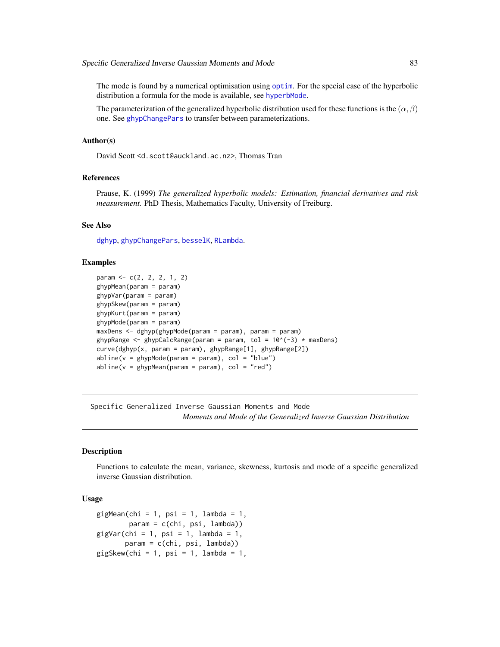<span id="page-82-0"></span>The mode is found by a numerical optimisation using [optim](#page-0-0). For the special case of the hyperbolic distribution a formula for the mode is available, see [hyperbMode](#page-84-0).

The parameterization of the generalized hyperbolic distribution used for these functions is the  $(\alpha, \beta)$ one. See [ghypChangePars](#page-15-0) to transfer between parameterizations.

#### Author(s)

David Scott <d.scott@auckland.ac.nz>, Thomas Tran

# References

Prause, K. (1999) *The generalized hyperbolic models: Estimation, financial derivatives and risk measurement.* PhD Thesis, Mathematics Faculty, University of Freiburg.

#### See Also

[dghyp](#page-9-0), [ghypChangePars](#page-15-0), [besselK](#page-0-0), [RLambda](#page-3-0).

#### Examples

```
param <- c(2, 2, 2, 1, 2)
ghypMean(param = param)
ghypVar(param = param)
ghypSkew(param = param)
ghypKurt(param = param)
ghypMode(param = param)
maxDens <- dghyp(ghypMode(param = param), param = param)
ghypRange <- ghypCalcRange(param = param, tol = 10^{\circ}(-3) * maxDens)
curve(dghyp(x, param = param), ghypRange[1], ghypRange[2])
abline(v = ghypMode(param = param), col = "blue")abline(v = ghypMean(param = param), col = "red")
```
Specific Generalized Inverse Gaussian Moments and Mode *Moments and Mode of the Generalized Inverse Gaussian Distribution*

#### Description

Functions to calculate the mean, variance, skewness, kurtosis and mode of a specific generalized inverse Gaussian distribution.

# Usage

```
gigMean(chi = 1, psi = 1, lambda = 1,param = c(chi, psi, lambda))gigVar(chi = 1, psi = 1, lambda = 1,param = c(chi, psi, lambda))
gigSkew(chi = 1, psi = 1, lambda = 1,
```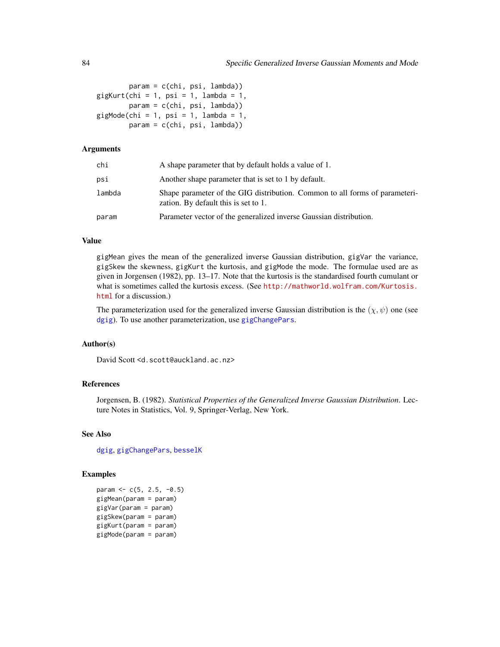```
param = c(chi, psi, lambda))
qigKurt(chi = 1, psi = 1, lambda = 1,
       param = c(chi, psi, lambda))
gigMode(chi = 1, psi = 1, lambda = 1,param = c(chi, psi, lambda))
```
# Arguments

| chi    | A shape parameter that by default holds a value of 1.                                                               |
|--------|---------------------------------------------------------------------------------------------------------------------|
| psi    | Another shape parameter that is set to 1 by default.                                                                |
| lambda | Shape parameter of the GIG distribution. Common to all forms of parameteri-<br>zation. By default this is set to 1. |
| param  | Parameter vector of the generalized inverse Gaussian distribution.                                                  |

#### Value

gigMean gives the mean of the generalized inverse Gaussian distribution, gigVar the variance, gigSkew the skewness, gigKurt the kurtosis, and gigMode the mode. The formulae used are as given in Jorgensen (1982), pp. 13–17. Note that the kurtosis is the standardised fourth cumulant or what is sometimes called the kurtosis excess. (See [http://mathworld.wolfram.com/Kurtosis.](http://mathworld.wolfram.com/Kurtosis.html) [html](http://mathworld.wolfram.com/Kurtosis.html) for a discussion.)

The parameterization used for the generalized inverse Gaussian distribution is the  $(\chi, \psi)$  one (see [dgig](#page-4-0)). To use another parameterization, use [gigChangePars](#page-24-0).

# Author(s)

David Scott <d.scott@auckland.ac.nz>

# References

Jorgensen, B. (1982). *Statistical Properties of the Generalized Inverse Gaussian Distribution*. Lecture Notes in Statistics, Vol. 9, Springer-Verlag, New York.

#### See Also

[dgig](#page-4-0), [gigChangePars](#page-24-0), [besselK](#page-0-0)

# Examples

param  $<-c(5, 2.5, -0.5)$ gigMean(param = param) gigVar(param = param) gigSkew(param = param) gigKurt(param = param) gigMode(param = param)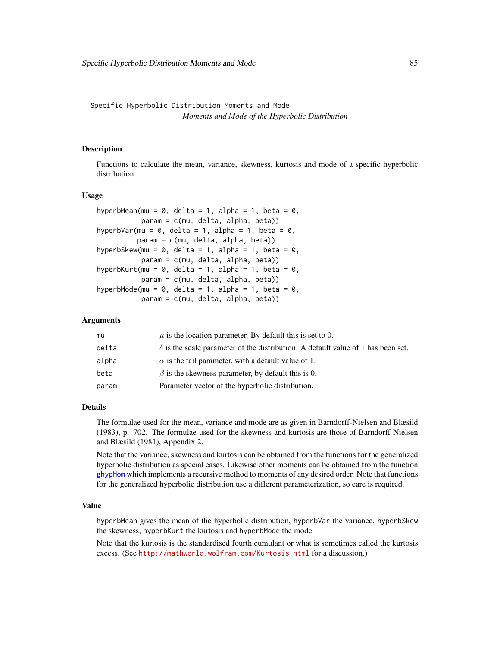<span id="page-84-1"></span>Specific Hyperbolic Distribution Moments and Mode *Moments and Mode of the Hyperbolic Distribution*

# <span id="page-84-0"></span>Description

Functions to calculate the mean, variance, skewness, kurtosis and mode of a specific hyperbolic distribution.

#### Usage

```
hyperbMean(mu = 0, delta = 1, alpha = 1, beta = 0,
          param = c(mu, delta, alpha, beta))
hyperbVar(mu = 0, delta = 1, alpha = 1, beta = 0,
         param = c(mu, delta, alpha, beta))
hyperbSkew(mu = 0, delta = 1, alpha = 1, beta = 0,
          param = c(mu, delta, alpha, beta))
hyperbKurt(mu = 0, delta = 1, alpha = 1, beta = 0,
           param = c(mu, delta, alpha, beta))
hyperbMode(mu = 0, delta = 1, alpha = 1, beta = 0,
          param = c(mu, delta, alpha, beta))
```
#### **Arguments**

| mu    | $\mu$ is the location parameter. By default this is set to 0.                           |
|-------|-----------------------------------------------------------------------------------------|
| delta | $\delta$ is the scale parameter of the distribution. A default value of 1 has been set. |
| alpha | $\alpha$ is the tail parameter, with a default value of 1.                              |
| beta  | $\beta$ is the skewness parameter, by default this is 0.                                |
| param | Parameter vector of the hyperbolic distribution.                                        |
|       |                                                                                         |

#### Details

The formulae used for the mean, variance and mode are as given in Barndorff-Nielsen and Blæsild (1983), p. 702. The formulae used for the skewness and kurtosis are those of Barndorff-Nielsen and Blæsild (1981), Appendix 2.

Note that the variance, skewness and kurtosis can be obtained from the functions for the generalized hyperbolic distribution as special cases. Likewise other moments can be obtained from the function [ghypMom](#page-18-0) which implements a recursive method to moments of any desired order. Note that functions for the generalized hyperbolic distribution use a different parameterization, so care is required.

# Value

hyperbMean gives the mean of the hyperbolic distribution, hyperbVar the variance, hyperbSkew the skewness, hyperbKurt the kurtosis and hyperbMode the mode.

Note that the kurtosis is the standardised fourth cumulant or what is sometimes called the kurtosis excess. (See <http://mathworld.wolfram.com/Kurtosis.html> for a discussion.)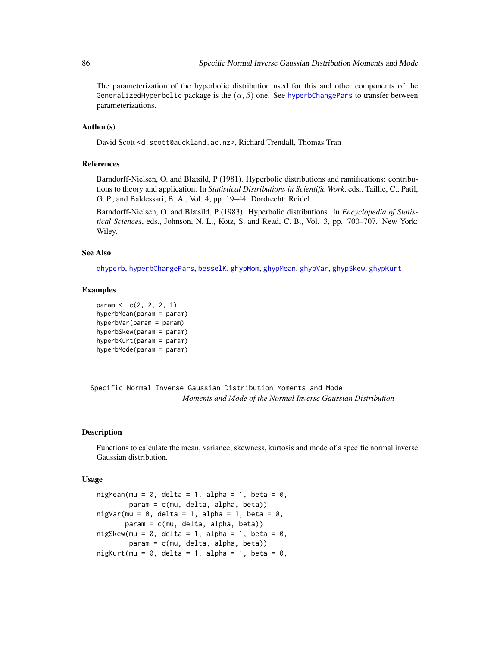<span id="page-85-0"></span>The parameterization of the hyperbolic distribution used for this and other components of the GeneralizedHyperbolic package is the  $(\alpha, \beta)$  one. See [hyperbChangePars](#page-39-0) to transfer between parameterizations.

# Author(s)

David Scott <d.scott@auckland.ac.nz>, Richard Trendall, Thomas Tran

#### References

Barndorff-Nielsen, O. and Blæsild, P (1981). Hyperbolic distributions and ramifications: contributions to theory and application. In *Statistical Distributions in Scientific Work*, eds., Taillie, C., Patil, G. P., and Baldessari, B. A., Vol. 4, pp. 19–44. Dordrecht: Reidel.

Barndorff-Nielsen, O. and Blæsild, P (1983). Hyperbolic distributions. In *Encyclopedia of Statistical Sciences*, eds., Johnson, N. L., Kotz, S. and Read, C. B., Vol. 3, pp. 700–707. New York: Wiley.

#### See Also

[dhyperb](#page-53-0), [hyperbChangePars](#page-39-0), [besselK](#page-0-0), [ghypMom](#page-18-0), [ghypMean](#page-81-0), [ghypVar](#page-81-0), [ghypSkew](#page-81-0), [ghypKurt](#page-81-0)

#### Examples

```
param <- c(2, 2, 2, 1)
hyperbMean(param = param)
hyperbVar(param = param)
hyperbSkew(param = param)
hyperbKurt(param = param)
hyperbMode(param = param)
```
Specific Normal Inverse Gaussian Distribution Moments and Mode *Moments and Mode of the Normal Inverse Gaussian Distribution*

#### Description

Functions to calculate the mean, variance, skewness, kurtosis and mode of a specific normal inverse Gaussian distribution.

#### Usage

```
nigMean(mu = 0, delta = 1, alpha = 1, beta = 0,
       param = c(mu, delta, alpha, beta))
nigVar(mu = 0, delta = 1, alpha = 1, beta = 0,
      param = c(mu, delta, alpha, beta))
nigSkew(mu = 0, delta = 1, alpha = 1, beta = 0,param = c(mu, delta, alpha, beta))
night(mu = 0, delta = 1, alpha = 1, beta = 0,
```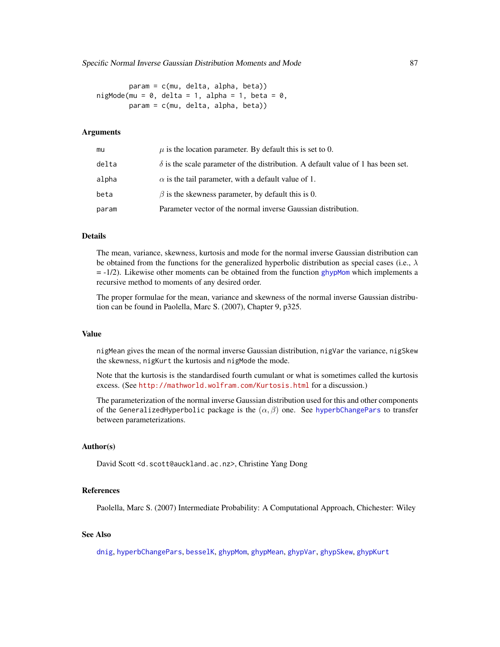<span id="page-86-0"></span>param = c(mu, delta, alpha, beta)) nigMode(mu =  $0$ , delta = 1, alpha = 1, beta =  $0$ . param = c(mu, delta, alpha, beta))

#### Arguments

| mu    | $\mu$ is the location parameter. By default this is set to 0.                           |
|-------|-----------------------------------------------------------------------------------------|
| delta | $\delta$ is the scale parameter of the distribution. A default value of 1 has been set. |
| alpha | $\alpha$ is the tail parameter, with a default value of 1.                              |
| beta  | $\beta$ is the skewness parameter, by default this is 0.                                |
| param | Parameter vector of the normal inverse Gaussian distribution.                           |

# **Details**

The mean, variance, skewness, kurtosis and mode for the normal inverse Gaussian distribution can be obtained from the functions for the generalized hyperbolic distribution as special cases (i.e.,  $\lambda$ )  $= -1/2$ ). Likewise other moments can be obtained from the function [ghypMom](#page-18-0) which implements a recursive method to moments of any desired order.

The proper formulae for the mean, variance and skewness of the normal inverse Gaussian distribution can be found in Paolella, Marc S. (2007), Chapter 9, p325.

# Value

nigMean gives the mean of the normal inverse Gaussian distribution, nigVar the variance, nigSkew the skewness, nigKurt the kurtosis and nigMode the mode.

Note that the kurtosis is the standardised fourth cumulant or what is sometimes called the kurtosis excess. (See <http://mathworld.wolfram.com/Kurtosis.html> for a discussion.)

The parameterization of the normal inverse Gaussian distribution used for this and other components of the GeneralizedHyperbolic package is the  $(\alpha, \beta)$  one. See [hyperbChangePars](#page-39-0) to transfer between parameterizations.

#### Author(s)

David Scott <d.scott@auckland.ac.nz>, Christine Yang Dong

# References

Paolella, Marc S. (2007) Intermediate Probability: A Computational Approach, Chichester: Wiley

# See Also

[dnig](#page-62-0), [hyperbChangePars](#page-39-0), [besselK](#page-0-0), [ghypMom](#page-18-0), [ghypMean](#page-81-0), [ghypVar](#page-81-0), [ghypSkew](#page-81-0), [ghypKurt](#page-81-0)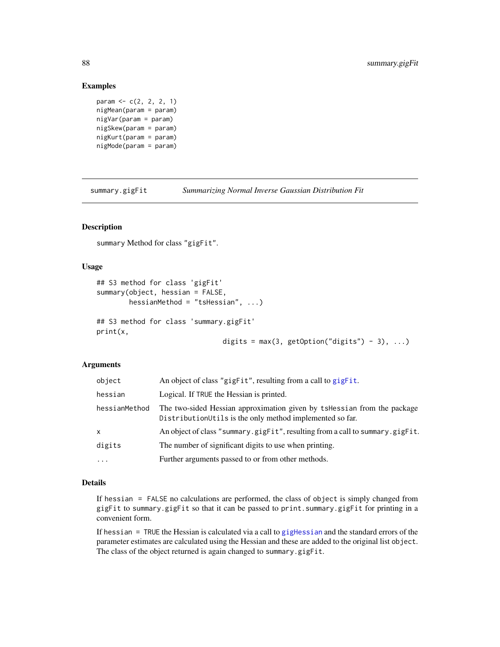#### Examples

```
param <- c(2, 2, 2, 1)
nigMean(param = param)
nigVar(param = param)
nigSkew(param = param)
nigKurt(param = param)
nigMode(param = param)
```
summary.gigFit *Summarizing Normal Inverse Gaussian Distribution Fit*

# Description

summary Method for class "gigFit".

#### Usage

```
## S3 method for class 'gigFit'
summary(object, hessian = FALSE,
        hessianMethod = "tsHessian", ...)
## S3 method for class 'summary.gigFit'
print(x,
```
digits =  $max(3, getOption("digits") - 3), ...$ 

# Arguments

| object        | An object of class "gigFit", resulting from a call to gigFit.                                                                        |
|---------------|--------------------------------------------------------------------------------------------------------------------------------------|
| hessian       | Logical. If TRUE the Hessian is printed.                                                                                             |
| hessianMethod | The two-sided Hessian approximation given by tshessian from the package<br>Distribution Utils is the only method implemented so far. |
| x             | An object of class "summary.gigFit", resulting from a call to summary.gigFit.                                                        |
| digits        | The number of significant digits to use when printing.                                                                               |
| $\cdots$      | Further arguments passed to or from other methods.                                                                                   |

#### Details

If hessian = FALSE no calculations are performed, the class of object is simply changed from gigFit to summary.gigFit so that it can be passed to print.summary.gigFit for printing in a convenient form.

If hessian  $=$  TRUE the Hessian is calculated via a call to [gigHessian](#page-31-0) and the standard errors of the parameter estimates are calculated using the Hessian and these are added to the original list object. The class of the object returned is again changed to summary.gigFit.

<span id="page-87-0"></span>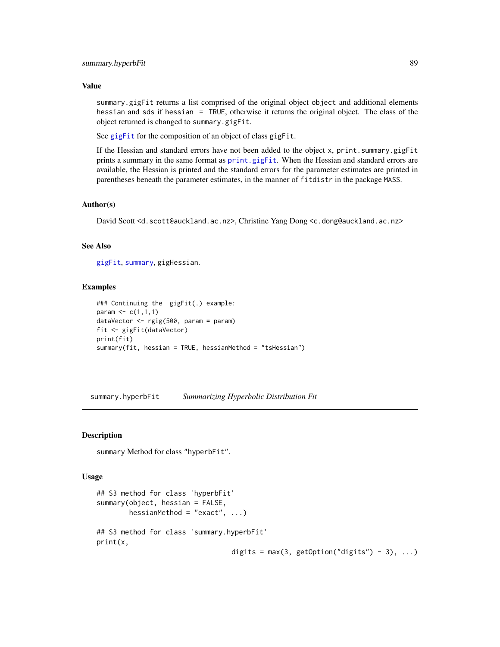#### <span id="page-88-0"></span>Value

summary.gigFit returns a list comprised of the original object object and additional elements hessian and sds if hessian = TRUE, otherwise it returns the original object. The class of the object returned is changed to summary.gigFit.

See [gigFit](#page-26-0) for the composition of an object of class gigFit.

If the Hessian and standard errors have not been added to the object x, print.summary.gigFit prints a summary in the same format as [print.gigFit](#page-26-1). When the Hessian and standard errors are available, the Hessian is printed and the standard errors for the parameter estimates are printed in parentheses beneath the parameter estimates, in the manner of fitdistr in the package MASS.

#### Author(s)

David Scott <d.scott@auckland.ac.nz>, Christine Yang Dong <c.dong@auckland.ac.nz>

#### See Also

[gigFit](#page-26-0), [summary](#page-0-0), gigHessian.

#### Examples

```
### Continuing the gigFit(.) example:
param \leq c(1,1,1)dataVector <- rgig(500, param = param)
fit <- gigFit(dataVector)
print(fit)
summary(fit, hessian = TRUE, hessianMethod = "tsHessian")
```
summary.hyperbFit *Summarizing Hyperbolic Distribution Fit*

#### Description

summary Method for class "hyperbFit".

#### Usage

```
## S3 method for class 'hyperbFit'
summary(object, hessian = FALSE,
        hessianMethod = "exact", \ldots)
## S3 method for class 'summary.hyperbFit'
print(x,
                                  digits = max(3, getOption("digits") - 3), ...
```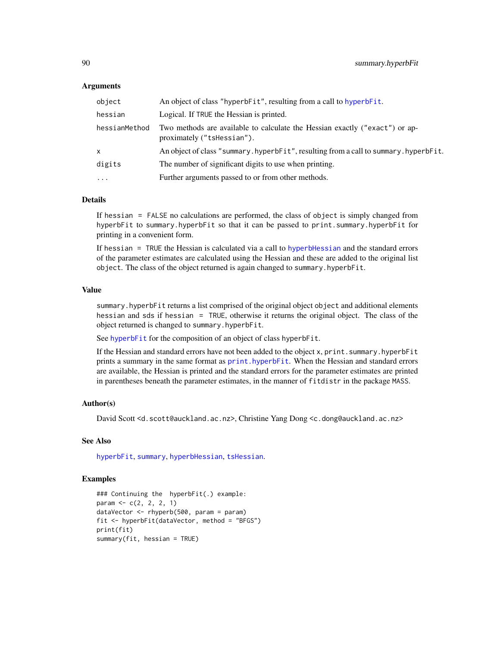#### <span id="page-89-0"></span>**Arguments**

| object        | An object of class "hyperbFit", resulting from a call to hyperbFit.                                       |
|---------------|-----------------------------------------------------------------------------------------------------------|
| hessian       | Logical. If TRUE the Hessian is printed.                                                                  |
| hessianMethod | Two methods are available to calculate the Hessian exactly ("exact") or ap-<br>proximately ("tshessian"). |
| x             | An object of class "summary.hyperbFit", resulting from a call to summary.hyperbFit.                       |
| digits        | The number of significant digits to use when printing.                                                    |
| $\cdots$      | Further arguments passed to or from other methods.                                                        |

# Details

If hessian = FALSE no calculations are performed, the class of object is simply changed from hyperbFit to summary.hyperbFit so that it can be passed to print.summary.hyperbFit for printing in a convenient form.

If hessian = TRUE the Hessian is calculated via a call to [hyperbHessian](#page-47-0) and the standard errors of the parameter estimates are calculated using the Hessian and these are added to the original list object. The class of the object returned is again changed to summary.hyperbFit.

#### Value

summary.hyperbFit returns a list comprised of the original object object and additional elements hessian and sds if hessian = TRUE, otherwise it returns the original object. The class of the object returned is changed to summary.hyperbFit.

See [hyperbFit](#page-42-0) for the composition of an object of class hyperbFit.

If the Hessian and standard errors have not been added to the object x, print.summary.hyperbFit prints a summary in the same format as [print.hyperbFit](#page-42-1). When the Hessian and standard errors are available, the Hessian is printed and the standard errors for the parameter estimates are printed in parentheses beneath the parameter estimates, in the manner of fitdistr in the package MASS.

#### Author(s)

David Scott <d.scott@auckland.ac.nz>, Christine Yang Dong <c.dong@auckland.ac.nz>

# See Also

[hyperbFit](#page-42-0), [summary](#page-0-0), [hyperbHessian](#page-47-0), [tsHessian](#page-0-0).

#### Examples

```
### Continuing the hyperbFit(.) example:
param <- c(2, 2, 2, 1)
dataVector <- rhyperb(500, param = param)
fit <- hyperbFit(dataVector, method = "BFGS")
print(fit)
summary(fit, hessian = TRUE)
```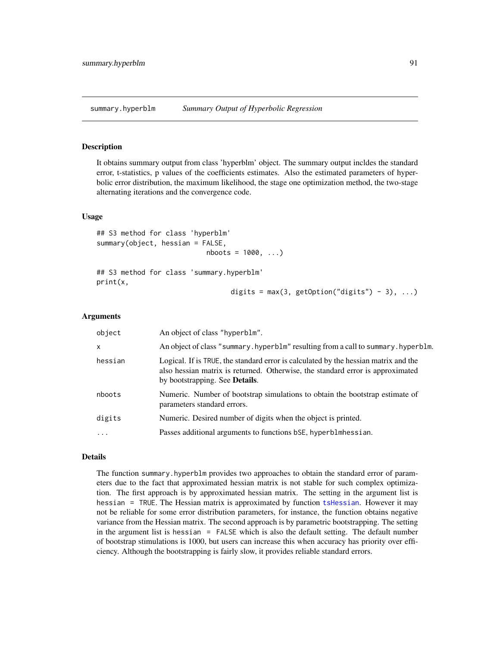<span id="page-90-1"></span>summary.hyperblm *Summary Output of Hyperbolic Regression*

#### <span id="page-90-0"></span>Description

It obtains summary output from class 'hyperblm' object. The summary output incldes the standard error, t-statistics, p values of the coefficients estimates. Also the estimated parameters of hyperbolic error distribution, the maximum likelihood, the stage one optimization method, the two-stage alternating iterations and the convergence code.

#### Usage

```
## S3 method for class 'hyperblm'
summary(object, hessian = FALSE,
                           nboots = 1000, ...)
```
## S3 method for class 'summary.hyperblm' print(x,

```
digits = max(3, getOption("digits") - 3), ...
```
#### Arguments

| object       | An object of class "hyperblm".                                                                                                                                                                                  |
|--------------|-----------------------------------------------------------------------------------------------------------------------------------------------------------------------------------------------------------------|
| $\mathsf{x}$ | An object of class "summary. hyperblm" resulting from a call to summary. hyperblm.                                                                                                                              |
| hessian      | Logical. If is TRUE, the standard error is calculated by the hessian matrix and the<br>also hessian matrix is returned. Otherwise, the standard error is approximated<br>by bootstrapping. See <b>Details</b> . |
| nboots       | Numeric. Number of bootstrap simulations to obtain the bootstrap estimate of<br>parameters standard errors.                                                                                                     |
| digits       | Numeric. Desired number of digits when the object is printed.                                                                                                                                                   |
| $\cdots$     | Passes additional arguments to functions bSE, hyperblmhessian.                                                                                                                                                  |

#### Details

The function summary.hyperblm provides two approaches to obtain the standard error of parameters due to the fact that approximated hessian matrix is not stable for such complex optimization. The first approach is by approximated hessian matrix. The setting in the argument list is hessian = TRUE. The Hessian matrix is approximated by function [tsHessian](#page-0-0). However it may not be reliable for some error distribution parameters, for instance, the function obtains negative variance from the Hessian matrix. The second approach is by parametric bootstrapping. The setting in the argument list is hessian = FALSE which is also the default setting. The default number of bootstrap stimulations is 1000, but users can increase this when accuracy has priority over efficiency. Although the bootstrapping is fairly slow, it provides reliable standard errors.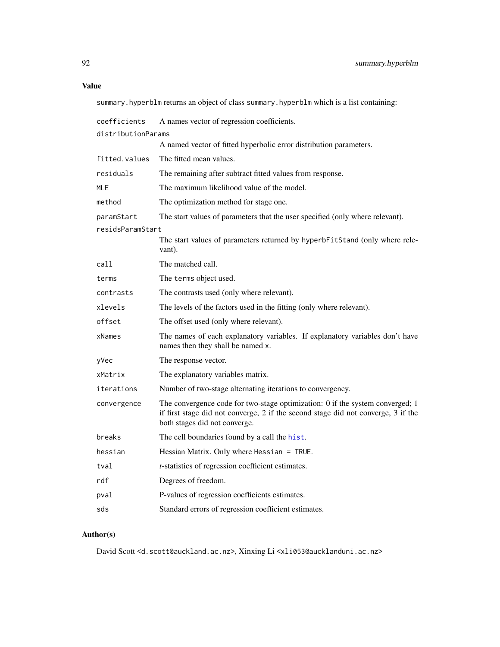# <span id="page-91-0"></span>Value

summary.hyperblm returns an object of class summary.hyperblm which is a list containing:

| coefficients       | A names vector of regression coefficients.                                                                                                                                                          |
|--------------------|-----------------------------------------------------------------------------------------------------------------------------------------------------------------------------------------------------|
| distributionParams |                                                                                                                                                                                                     |
|                    | A named vector of fitted hyperbolic error distribution parameters.                                                                                                                                  |
| fitted.values      | The fitted mean values.                                                                                                                                                                             |
| residuals          | The remaining after subtract fitted values from response.                                                                                                                                           |
| <b>MLE</b>         | The maximum likelihood value of the model.                                                                                                                                                          |
| method             | The optimization method for stage one.                                                                                                                                                              |
| paramStart         | The start values of parameters that the user specified (only where relevant).                                                                                                                       |
| residsParamStart   |                                                                                                                                                                                                     |
|                    | The start values of parameters returned by hyperbFitStand (only where rele-<br>vant).                                                                                                               |
| call               | The matched call.                                                                                                                                                                                   |
| terms              | The terms object used.                                                                                                                                                                              |
| contrasts          | The contrasts used (only where relevant).                                                                                                                                                           |
| xlevels            | The levels of the factors used in the fitting (only where relevant).                                                                                                                                |
| offset             | The offset used (only where relevant).                                                                                                                                                              |
| xNames             | The names of each explanatory variables. If explanatory variables don't have<br>names then they shall be named x.                                                                                   |
| yVec               | The response vector.                                                                                                                                                                                |
| xMatrix            | The explanatory variables matrix.                                                                                                                                                                   |
| iterations         | Number of two-stage alternating iterations to convergency.                                                                                                                                          |
| convergence        | The convergence code for two-stage optimization: 0 if the system converged; 1<br>if first stage did not converge, 2 if the second stage did not converge, 3 if the<br>both stages did not converge. |
| breaks             | The cell boundaries found by a call the hist.                                                                                                                                                       |
| hessian            | Hessian Matrix. Only where Hessian = TRUE.                                                                                                                                                          |
| tval               | <i>t</i> -statistics of regression coefficient estimates.                                                                                                                                           |
| rdf                | Degrees of freedom.                                                                                                                                                                                 |
| pval               | P-values of regression coefficients estimates.                                                                                                                                                      |
| sds                | Standard errors of regression coefficient estimates.                                                                                                                                                |

# Author(s)

David Scott <d.scott@auckland.ac.nz>, Xinxing Li <xli053@aucklanduni.ac.nz>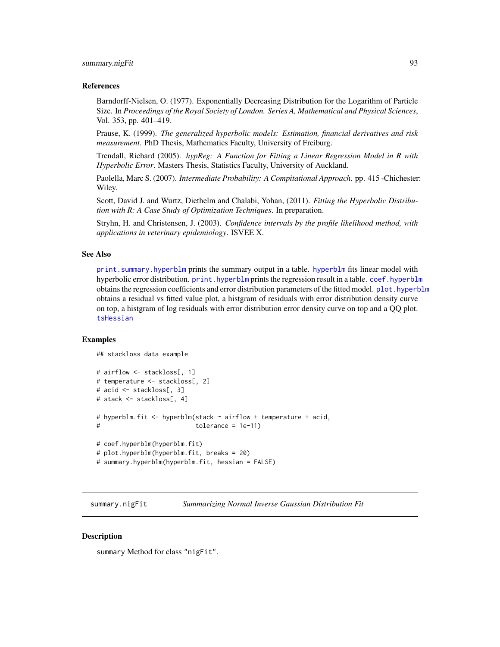# <span id="page-92-0"></span>summary.nigFit 93

#### References

Barndorff-Nielsen, O. (1977). Exponentially Decreasing Distribution for the Logarithm of Particle Size. In *Proceedings of the Royal Society of London. Series A, Mathematical and Physical Sciences*, Vol. 353, pp. 401–419.

Prause, K. (1999). *The generalized hyperbolic models: Estimation, financial derivatives and risk measurement*. PhD Thesis, Mathematics Faculty, University of Freiburg.

Trendall, Richard (2005). *hypReg: A Function for Fitting a Linear Regression Model in R with Hyperbolic Error*. Masters Thesis, Statistics Faculty, University of Auckland.

Paolella, Marc S. (2007). *Intermediate Probability: A Compitational Approach*. pp. 415 -Chichester: Wiley.

Scott, David J. and Wurtz, Diethelm and Chalabi, Yohan, (2011). *Fitting the Hyperbolic Distribution with R: A Case Study of Optimization Techniques*. In preparation.

Stryhn, H. and Christensen, J. (2003). *Confidence intervals by the profile likelihood method, with applications in veterinary epidemiology*. ISVEE X.

#### See Also

[print.summary.hyperblm](#page-90-0) prints the summary output in a table. [hyperblm](#page-48-0) fits linear model with hyperbolic error distribution. [print.hyperblm](#page-48-1) prints the regression result in a table. [coef.hyperblm](#page-48-1) obtains the regression coefficients and error distribution parameters of the fitted model. [plot.hyperblm](#page-48-1) obtains a residual vs fitted value plot, a histgram of residuals with error distribution density curve on top, a histgram of log residuals with error distribution error density curve on top and a QQ plot. [tsHessian](#page-0-0)

#### Examples

```
## stackloss data example
```

```
# airflow <- stackloss[, 1]
# temperature <- stackloss[, 2]
# acid <- stackloss[, 3]
# stack <- stackloss[, 4]
# hyperblm.fit <- hyperblm(stack ~ airflow + temperature + acid,
# tolerance = 1e-11)
# coef.hyperblm(hyperblm.fit)
# plot.hyperblm(hyperblm.fit, breaks = 20)
# summary.hyperblm(hyperblm.fit, hessian = FALSE)
```
summary.nigFit *Summarizing Normal Inverse Gaussian Distribution Fit*

#### **Description**

summary Method for class "nigFit".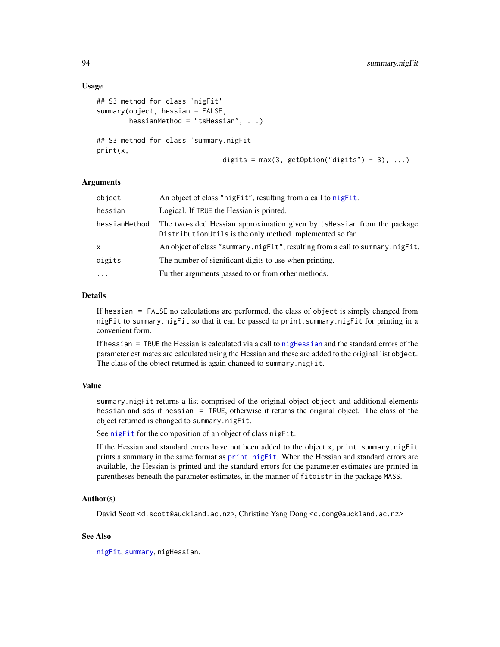#### <span id="page-93-0"></span>Usage

```
## S3 method for class 'nigFit'
summary(object, hessian = FALSE,
       hessianMethod = "tsHessian", ...)
## S3 method for class 'summary.nigFit'
print(x,
                               digits = max(3, getOption("digits") - 3), ...
```
#### Arguments

| object        | An object of class "nigFit", resulting from a call to nigFit.                                                                       |
|---------------|-------------------------------------------------------------------------------------------------------------------------------------|
| hessian       | Logical. If TRUE the Hessian is printed.                                                                                            |
| hessianMethod | The two-sided Hessian approximation given by tsHessian from the package<br>DistributionUtils is the only method implemented so far. |
| x             | An object of class "summary.nigfit", resulting from a call to summary.nigfit.                                                       |
| digits        | The number of significant digits to use when printing.                                                                              |
| $\cdots$      | Further arguments passed to or from other methods.                                                                                  |
|               |                                                                                                                                     |

# Details

If hessian = FALSE no calculations are performed, the class of object is simply changed from nigFit to summary.nigFit so that it can be passed to print.summary.nigFit for printing in a convenient form.

If hessian  $=$  TRUE the Hessian is calculated via a call to nightessian and the standard errors of the parameter estimates are calculated using the Hessian and these are added to the original list object. The class of the object returned is again changed to summary.nigFit.

# Value

summary.nigFit returns a list comprised of the original object object and additional elements hessian and sds if hessian = TRUE, otherwise it returns the original object. The class of the object returned is changed to summary.nigFit.

See [nigFit](#page-67-0) for the composition of an object of class nigFit.

If the Hessian and standard errors have not been added to the object x, print.summary.nigFit prints a summary in the same format as [print.nigFit](#page-67-1). When the Hessian and standard errors are available, the Hessian is printed and the standard errors for the parameter estimates are printed in parentheses beneath the parameter estimates, in the manner of fitdistr in the package MASS.

#### Author(s)

David Scott <d.scott@auckland.ac.nz>, Christine Yang Dong <c.dong@auckland.ac.nz>

#### See Also

[nigFit](#page-67-0), [summary](#page-0-0), nigHessian.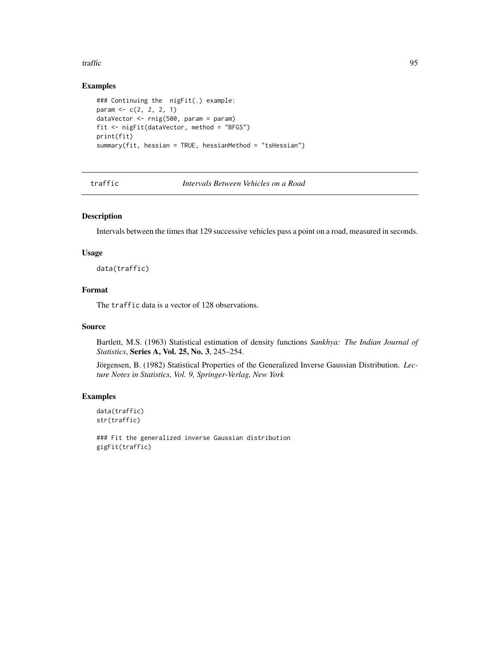#### <span id="page-94-0"></span>traffic traffic 95

# Examples

```
### Continuing the nigFit(.) example:
param <- c(2, 2, 2, 1)
dataVector <- rnig(500, param = param)
fit <- nigFit(dataVector, method = "BFGS")
print(fit)
summary(fit, hessian = TRUE, hessianMethod = "tsHessian")
```
traffic *Intervals Between Vehicles on a Road*

# Description

Intervals between the times that 129 successive vehicles pass a point on a road, measured in seconds.

#### Usage

data(traffic)

#### Format

The traffic data is a vector of 128 observations.

#### Source

Bartlett, M.S. (1963) Statistical estimation of density functions *Sankhya: The Indian Journal of Statistics*, Series A, Vol. 25, No. 3, 245–254.

Jörgensen, B. (1982) Statistical Properties of the Generalized Inverse Gaussian Distribution. *Lecture Notes in Statistics, Vol. 9, Springer-Verlag, New York*

#### Examples

data(traffic) str(traffic)

### Fit the generalized inverse Gaussian distribution gigFit(traffic)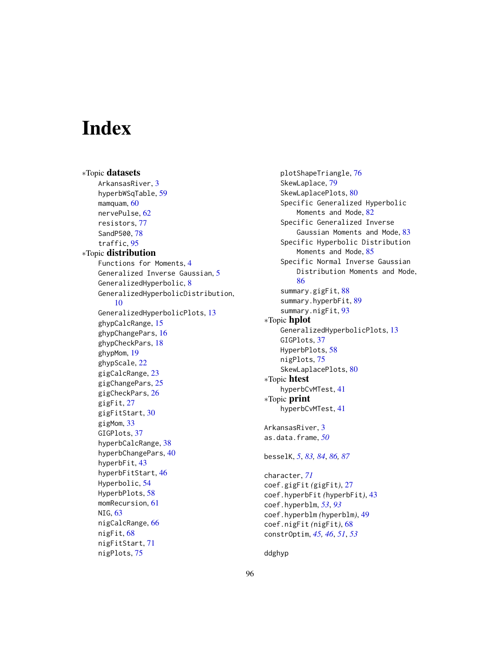# **Index**

∗Topic datasets ArkansasRiver, [3](#page-2-0) hyperbWSqTable, [59](#page-58-0) mamquam, [60](#page-59-0) nervePulse, [62](#page-61-0) resistors, [77](#page-76-0) SandP500, [78](#page-77-0) traffic, [95](#page-94-0) ∗Topic distribution Functions for Moments, [4](#page-3-1) Generalized Inverse Gaussian, [5](#page-4-1) GeneralizedHyperbolic, [8](#page-7-0) GeneralizedHyperbolicDistribution, [10](#page-9-1) GeneralizedHyperbolicPlots, [13](#page-12-0) ghypCalcRange, [15](#page-14-0) ghypChangePars, [16](#page-15-1) ghypCheckPars, [18](#page-17-0) ghypMom, [19](#page-18-1) ghypScale, [22](#page-21-0) gigCalcRange, [23](#page-22-0) gigChangePars, [25](#page-24-1) gigCheckPars, [26](#page-25-0) gigFit, [27](#page-26-2) gigFitStart, [30](#page-29-0) gigMom, [33](#page-32-0) GIGPlots, [37](#page-36-0) hyperbCalcRange, [38](#page-37-0) hyperbChangePars, [40](#page-39-1) hyperbFit, [43](#page-42-2) hyperbFitStart, [46](#page-45-1) Hyperbolic, [54](#page-53-1) HyperbPlots, [58](#page-57-0) momRecursion, [61](#page-60-0) NIG, [63](#page-62-1) nigCalcRange, [66](#page-65-0) nigFit, [68](#page-67-2) nigFitStart, [71](#page-70-0) nigPlots, [75](#page-74-0)

plotShapeTriangle, [76](#page-75-0) SkewLaplace, [79](#page-78-1) SkewLaplacePlots, [80](#page-79-0) Specific Generalized Hyperbolic Moments and Mode, [82](#page-81-1) Specific Generalized Inverse Gaussian Moments and Mode, [83](#page-82-0) Specific Hyperbolic Distribution Moments and Mode, [85](#page-84-1) Specific Normal Inverse Gaussian Distribution Moments and Mode, [86](#page-85-0) summary.gigFit, [88](#page-87-0) summary.hyperbFit, [89](#page-88-0) summary.nigFit, [93](#page-92-0) ∗Topic hplot GeneralizedHyperbolicPlots, [13](#page-12-0) GIGPlots, [37](#page-36-0) HyperbPlots, [58](#page-57-0) nigPlots, [75](#page-74-0) SkewLaplacePlots, [80](#page-79-0) ∗Topic htest hyperbCvMTest, [41](#page-40-0) ∗Topic print hyperbCvMTest, [41](#page-40-0) ArkansasRiver, [3](#page-2-0) as.data.frame, *[50](#page-49-0)* besselK, *[5](#page-4-1)*, *[83,](#page-82-0) [84](#page-83-0)*, *[86,](#page-85-0) [87](#page-86-0)* character, *[71](#page-70-0)* coef.gigFit *(*gigFit*)*, [27](#page-26-2) coef.hyperbFit *(*hyperbFit*)*, [43](#page-42-2) coef.hyperblm, *[53](#page-52-0)*, *[93](#page-92-0)* coef.hyperblm *(*hyperblm*)*, [49](#page-48-2) coef.nigFit *(*nigFit*)*, [68](#page-67-2) constrOptim, *[45,](#page-44-0) [46](#page-45-1)*, *[51](#page-50-0)*, *[53](#page-52-0)*

ddghyp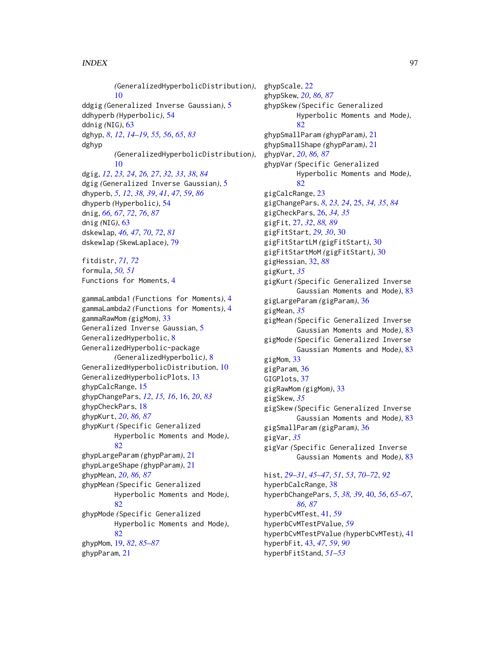#### INDEX  $\sim$  97

*(*GeneralizedHyperbolicDistribution*)*, [10](#page-9-1) ddgig *(*Generalized Inverse Gaussian*)*, [5](#page-4-1) ddhyperb *(*Hyperbolic*)*, [54](#page-53-1) ddnig *(*NIG*)*, [63](#page-62-1) dghyp, *[8](#page-7-0)*, *[12](#page-11-0)*, *[14](#page-13-0)[–19](#page-18-1)*, *[55,](#page-54-0) [56](#page-55-0)*, *[65](#page-64-0)*, *[83](#page-82-0)* dghyp *(*GeneralizedHyperbolicDistribution*)*, [10](#page-9-1) dgig, *[12](#page-11-0)*, *[23,](#page-22-0) [24](#page-23-0)*, *[26,](#page-25-0) [27](#page-26-2)*, *[32,](#page-31-1) [33](#page-32-0)*, *[38](#page-37-0)*, *[84](#page-83-0)* dgig *(*Generalized Inverse Gaussian*)*, [5](#page-4-1) dhyperb, *[5](#page-4-1)*, *[12](#page-11-0)*, *[38,](#page-37-0) [39](#page-38-0)*, *[41](#page-40-0)*, *[47](#page-46-0)*, *[59](#page-58-0)*, *[86](#page-85-0)* dhyperb *(*Hyperbolic*)*, [54](#page-53-1) dnig, *[66,](#page-65-0) [67](#page-66-0)*, *[72](#page-71-1)*, *[76](#page-75-0)*, *[87](#page-86-0)* dnig *(*NIG*)*, [63](#page-62-1) dskewlap, *[46,](#page-45-1) [47](#page-46-0)*, *[70](#page-69-0)*, *[72](#page-71-1)*, *[81](#page-80-0)* dskewlap *(*SkewLaplace*)*, [79](#page-78-1) fitdistr, *[71,](#page-70-0) [72](#page-71-1)* formula, *[50,](#page-49-0) [51](#page-50-0)* Functions for Moments, [4](#page-3-1) gammaLambda1 *(*Functions for Moments*)*, [4](#page-3-1) gammaLambda2 *(*Functions for Moments*)*, [4](#page-3-1) gammaRawMom *(*gigMom*)*, [33](#page-32-0) Generalized Inverse Gaussian, [5](#page-4-1) GeneralizedHyperbolic, [8](#page-7-0) GeneralizedHyperbolic-package *(*GeneralizedHyperbolic*)*, [8](#page-7-0) GeneralizedHyperbolicDistribution, [10](#page-9-1) GeneralizedHyperbolicPlots, [13](#page-12-0) ghypCalcRange, [15](#page-14-0) ghypChangePars, *[12](#page-11-0)*, *[15,](#page-14-0) [16](#page-15-1)*, [16,](#page-15-1) *[20](#page-19-0)*, *[83](#page-82-0)* ghypCheckPars, [18](#page-17-0) ghypKurt, *[20](#page-19-0)*, *[86,](#page-85-0) [87](#page-86-0)* ghypKurt *(*Specific Generalized Hyperbolic Moments and Mode*)*, [82](#page-81-1) ghypLargeParam *(*ghypParam*)*, [21](#page-20-0) ghypLargeShape *(*ghypParam*)*, [21](#page-20-0) ghypMean, *[20](#page-19-0)*, *[86,](#page-85-0) [87](#page-86-0)* ghypMean *(*Specific Generalized Hyperbolic Moments and Mode*)*, [82](#page-81-1) ghypMode *(*Specific Generalized Hyperbolic Moments and Mode*)*, [82](#page-81-1) ghypMom, [19,](#page-18-1) *[82](#page-81-1)*, *[85](#page-84-1)[–87](#page-86-0)* ghypParam, [21](#page-20-0)

ghypScale, [22](#page-21-0) ghypSkew, *[20](#page-19-0)*, *[86,](#page-85-0) [87](#page-86-0)* ghypSkew *(*Specific Generalized Hyperbolic Moments and Mode*)*, [82](#page-81-1) ghypSmallParam *(*ghypParam*)*, [21](#page-20-0) ghypSmallShape *(*ghypParam*)*, [21](#page-20-0) ghypVar, *[20](#page-19-0)*, *[86,](#page-85-0) [87](#page-86-0)* ghypVar *(*Specific Generalized Hyperbolic Moments and Mode*)*, [82](#page-81-1) gigCalcRange, [23](#page-22-0) gigChangePars, *[8](#page-7-0)*, *[23,](#page-22-0) [24](#page-23-0)*, [25,](#page-24-1) *[34,](#page-33-0) [35](#page-34-0)*, *[84](#page-83-0)* gigCheckPars, [26,](#page-25-0) *[34,](#page-33-0) [35](#page-34-0)* gigFit, [27,](#page-26-2) *[32](#page-31-1)*, *[88,](#page-87-0) [89](#page-88-0)* gigFitStart, *[29,](#page-28-0) [30](#page-29-0)*, [30](#page-29-0) gigFitStartLM *(*gigFitStart*)*, [30](#page-29-0) gigFitStartMoM *(*gigFitStart*)*, [30](#page-29-0) gigHessian, [32,](#page-31-1) *[88](#page-87-0)* gigKurt, *[35](#page-34-0)* gigKurt *(*Specific Generalized Inverse Gaussian Moments and Mode*)*, [83](#page-82-0) gigLargeParam *(*gigParam*)*, [36](#page-35-0) gigMean, *[35](#page-34-0)* gigMean *(*Specific Generalized Inverse Gaussian Moments and Mode*)*, [83](#page-82-0) gigMode *(*Specific Generalized Inverse Gaussian Moments and Mode*)*, [83](#page-82-0) gigMom, [33](#page-32-0) gigParam, [36](#page-35-0) GIGPlots, [37](#page-36-0) gigRawMom *(*gigMom*)*, [33](#page-32-0) gigSkew, *[35](#page-34-0)* gigSkew *(*Specific Generalized Inverse Gaussian Moments and Mode*)*, [83](#page-82-0) gigSmallParam *(*gigParam*)*, [36](#page-35-0) gigVar, *[35](#page-34-0)* gigVar *(*Specific Generalized Inverse Gaussian Moments and Mode*)*, [83](#page-82-0) hist, *[29–](#page-28-0)[31](#page-30-0)*, *[45](#page-44-0)[–47](#page-46-0)*, *[51](#page-50-0)*, *[53](#page-52-0)*, *[70](#page-69-0)[–72](#page-71-1)*, *[92](#page-91-0)* hyperbCalcRange, [38](#page-37-0) hyperbChangePars, *[5](#page-4-1)*, *[38,](#page-37-0) [39](#page-38-0)*, [40,](#page-39-1) *[56](#page-55-0)*, *[65](#page-64-0)[–67](#page-66-0)*, *[86,](#page-85-0) [87](#page-86-0)* hyperbCvMTest, [41,](#page-40-0) *[59](#page-58-0)* hyperbCvMTestPValue, *[59](#page-58-0)* hyperbCvMTestPValue *(*hyperbCvMTest*)*, [41](#page-40-0) hyperbFit, [43,](#page-42-2) *[47](#page-46-0)*, *[59](#page-58-0)*, *[90](#page-89-0)*

hyperbFitStand, *[51](#page-50-0)[–53](#page-52-0)*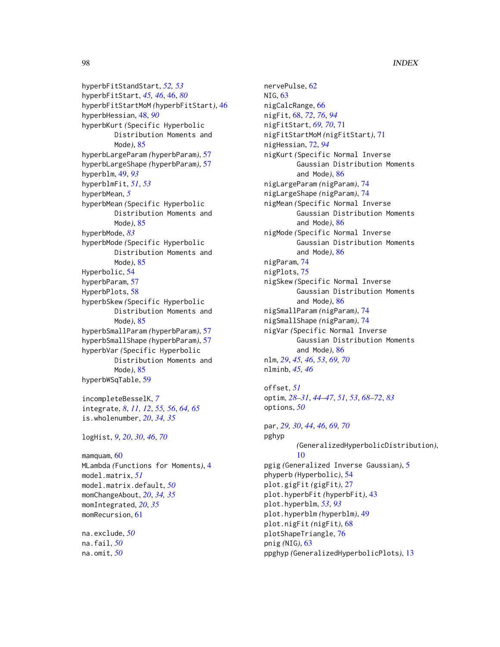# 98 **INDEX**

hyperbFitStandStart, *[52,](#page-51-0) [53](#page-52-0)* hyperbFitStart, *[45,](#page-44-0) [46](#page-45-1)*, [46,](#page-45-1) *[80](#page-79-0)* hyperbFitStartMoM *(*hyperbFitStart*)*, [46](#page-45-1) hyperbHessian, [48,](#page-47-1) *[90](#page-89-0)* hyperbKurt *(*Specific Hyperbolic Distribution Moments and Mode*)*, [85](#page-84-1) hyperbLargeParam *(*hyperbParam*)*, [57](#page-56-0) hyperbLargeShape *(*hyperbParam*)*, [57](#page-56-0) hyperblm, [49,](#page-48-2) *[93](#page-92-0)* hyperblmFit, *[51](#page-50-0)*, *[53](#page-52-0)* hyperbMean, *[5](#page-4-1)* hyperbMean *(*Specific Hyperbolic Distribution Moments and Mode*)*, [85](#page-84-1) hyperbMode, *[83](#page-82-0)* hyperbMode *(*Specific Hyperbolic Distribution Moments and Mode*)*, [85](#page-84-1) Hyperbolic, [54](#page-53-1) hyperbParam, [57](#page-56-0) HyperbPlots, [58](#page-57-0) hyperbSkew *(*Specific Hyperbolic Distribution Moments and Mode*)*, [85](#page-84-1) hyperbSmallParam *(*hyperbParam*)*, [57](#page-56-0) hyperbSmallShape *(*hyperbParam*)*, [57](#page-56-0) hyperbVar *(*Specific Hyperbolic Distribution Moments and Mode*)*, [85](#page-84-1) hyperbWSqTable, [59](#page-58-0) incompleteBesselK, *[7](#page-6-0)*

integrate, *[8](#page-7-0)*, *[11,](#page-10-0) [12](#page-11-0)*, *[55,](#page-54-0) [56](#page-55-0)*, *[64,](#page-63-0) [65](#page-64-0)* is.wholenumber, *[20](#page-19-0)*, *[34,](#page-33-0) [35](#page-34-0)*

logHist, *[9](#page-8-0)*, *[20](#page-19-0)*, *[30](#page-29-0)*, *[46](#page-45-1)*, *[70](#page-69-0)*

mamquam, [60](#page-59-0) MLambda *(*Functions for Moments*)*, [4](#page-3-1) model.matrix, *[51](#page-50-0)* model.matrix.default, *[50](#page-49-0)* momChangeAbout, *[20](#page-19-0)*, *[34,](#page-33-0) [35](#page-34-0)* momIntegrated, *[20](#page-19-0)*, *[35](#page-34-0)* momRecursion, [61](#page-60-0)

na.exclude, *[50](#page-49-0)* na.fail, *[50](#page-49-0)* na.omit, *[50](#page-49-0)*

nervePulse, [62](#page-61-0) NIG, [63](#page-62-1) nigCalcRange, [66](#page-65-0) nigFit, [68,](#page-67-2) *[72](#page-71-1)*, *[76](#page-75-0)*, *[94](#page-93-0)* nigFitStart, *[69,](#page-68-0) [70](#page-69-0)*, [71](#page-70-0) nigFitStartMoM *(*nigFitStart*)*, [71](#page-70-0) nigHessian, [72,](#page-71-1) *[94](#page-93-0)* nigKurt *(*Specific Normal Inverse Gaussian Distribution Moments and Mode*)*, [86](#page-85-0) nigLargeParam *(*nigParam*)*, [74](#page-73-0) nigLargeShape *(*nigParam*)*, [74](#page-73-0) nigMean *(*Specific Normal Inverse Gaussian Distribution Moments and Mode*)*, [86](#page-85-0) nigMode *(*Specific Normal Inverse Gaussian Distribution Moments and Mode*)*, [86](#page-85-0) nigParam, [74](#page-73-0) nigPlots, [75](#page-74-0) nigSkew *(*Specific Normal Inverse Gaussian Distribution Moments and Mode*)*, [86](#page-85-0) nigSmallParam *(*nigParam*)*, [74](#page-73-0) nigSmallShape *(*nigParam*)*, [74](#page-73-0) nigVar *(*Specific Normal Inverse Gaussian Distribution Moments and Mode*)*, [86](#page-85-0) nlm, *[29](#page-28-0)*, *[45,](#page-44-0) [46](#page-45-1)*, *[53](#page-52-0)*, *[69,](#page-68-0) [70](#page-69-0)* nlminb, *[45,](#page-44-0) [46](#page-45-1)*

offset, *[51](#page-50-0)* optim, *[28](#page-27-0)[–31](#page-30-0)*, *[44](#page-43-0)[–47](#page-46-0)*, *[51](#page-50-0)*, *[53](#page-52-0)*, *[68](#page-67-2)[–72](#page-71-1)*, *[83](#page-82-0)* options, *[50](#page-49-0)*

par, *[29,](#page-28-0) [30](#page-29-0)*, *[44](#page-43-0)*, *[46](#page-45-1)*, *[69,](#page-68-0) [70](#page-69-0)* pghyp *(*GeneralizedHyperbolicDistribution*)*, [10](#page-9-1) pgig *(*Generalized Inverse Gaussian*)*, [5](#page-4-1) phyperb *(*Hyperbolic*)*, [54](#page-53-1) plot.gigFit *(*gigFit*)*, [27](#page-26-2) plot.hyperbFit *(*hyperbFit*)*, [43](#page-42-2) plot.hyperblm, *[53](#page-52-0)*, *[93](#page-92-0)* plot.hyperblm *(*hyperblm*)*, [49](#page-48-2) plot.nigFit *(*nigFit*)*, [68](#page-67-2) plotShapeTriangle, [76](#page-75-0) pnig *(*NIG*)*, [63](#page-62-1) ppghyp *(*GeneralizedHyperbolicPlots*)*, [13](#page-12-0)